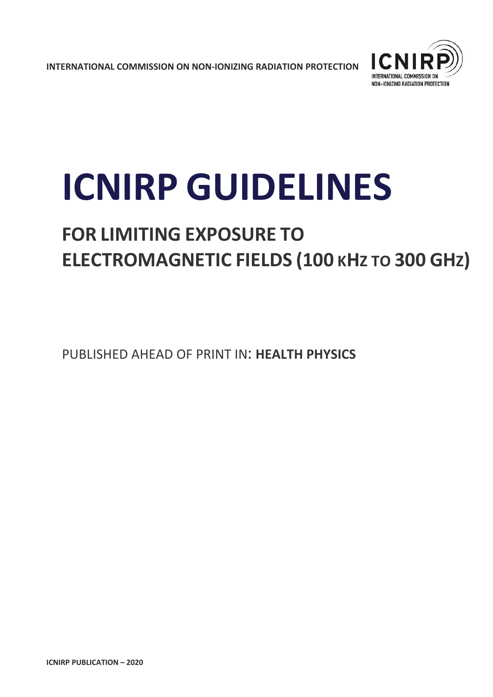**INTERNATIONAL COMMISSION ON NON-IONIZING RADIATION PROTECTION** 



# **ICNIRP GUIDELINES**

## **FOR LIMITING EXPOSURE TO ELECTROMAGNETIC FIELDS (100 KHZ TO 300 GHZ)**

PUBLISHED AHEAD OF PRINT IN: **HEALTH PHYSICS**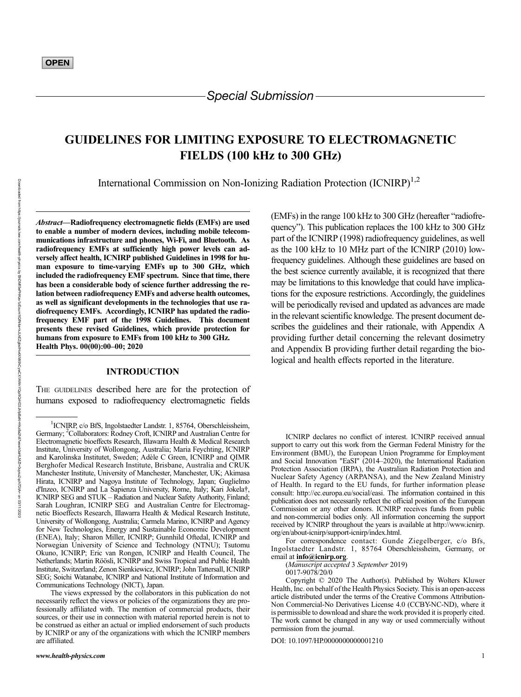### GUIDELINES FOR LIMITING EXPOSURE TO ELECTROMAGNETIC FIELDS (100 kHz to 300 GHz)

International Commission on Non-Ionizing Radiation Protection (ICNIRP)<sup>1,2</sup>

Abstract—Radiofrequency electromagnetic fields (EMFs) are used to enable a number of modern devices, including mobile telecommunications infrastructure and phones, Wi-Fi, and Bluetooth. As radiofrequency EMFs at sufficiently high power levels can adversely affect health, ICNIRP published Guidelines in 1998 for human exposure to time-varying EMFs up to 300 GHz, which included the radiofrequency EMF spectrum. Since that time, there has been a considerable body of science further addressing the relation between radiofrequency EMFs and adverse health outcomes, as well as significant developments in the technologies that use radiofrequency EMFs. Accordingly, ICNIRP has updated the radiofrequency EMF part of the 1998 Guidelines. This document presents these revised Guidelines, which provide protection for humans from exposure to EMFs from 100 kHz to 300 GHz. Health Phys. 00(00):00–00; 2020

#### INTRODUCTION

THE GUIDELINES described here are for the protection of humans exposed to radiofrequency electromagnetic fields

The views expressed by the collaborators in this publication do not necessarily reflect the views or policies of the organizations they are professionally affiliated with. The mention of commercial products, their sources, or their use in connection with material reported herein is not to be construed as either an actual or implied endorsement of such products by ICNIRP or any of the organizations with which the ICNIRP members are affiliated.

quency"). This publication replaces the 100 kHz to 300 GHz part of the ICNIRP (1998) radiofrequency guidelines, as well as the 100 kHz to 10 MHz part of the ICNIRP (2010) lowfrequency guidelines. Although these guidelines are based on the best science currently available, it is recognized that there may be limitations to this knowledge that could have implications for the exposure restrictions. Accordingly, the guidelines will be periodically revised and updated as advances are made in the relevant scientific knowledge. The present document describes the guidelines and their rationale, with Appendix A providing further detail concerning the relevant dosimetry and Appendix B providing further detail regarding the biological and health effects reported in the literature.

(EMFs) in the range 100 kHz to 300 GHz (hereafter "radiofre-

ICNIRP declares no conflict of interest. ICNIRP received annual support to carry out this work from the German Federal Ministry for the Environment (BMU), the European Union Programme for Employment and Social Innovation "EaSI" (2014–2020), the International Radiation Protection Association (IRPA), the Australian Radiation Protection and Nuclear Safety Agency (ARPANSA), and the New Zealand Ministry of Health. In regard to the EU funds, for further information please consult: http://ec.europa.eu/social/easi. The information contained in this publication does not necessarily reflect the official position of the European Commission or any other donors. ICNIRP receives funds from public and non-commercial bodies only. All information concerning the support received by ICNIRP throughout the years is available at [http://www.icnirp.](http://www.icnirp.org/en/about-icnirp/support-icnirp/index.html) [org/en/about-icnirp/support-icnirp/index.html](http://www.icnirp.org/en/about-icnirp/support-icnirp/index.html).

For correspondence contact: Gunde Ziegelberger, c/o Bfs, Ingolstaedter Landstr. 1, 85764 Oberschleissheim, Germany, or email at [info@icnirp.org](mailto:info@icnirp.org).

(Manuscript accepted 3 September 2019)

0017-9078/20/0

Copyright © 2020 The Author(s). Published by Wolters Kluwer Health, Inc. on behalf of the Health Physics Society. This is an open-access article distributed under the terms of the [Creative Commons Attribution-](http://creativecommons.org/licenses/by-nc-nd/4.0/)[Non Commercial-No Derivatives License 4.0 \(CCBY-NC-ND\),](http://creativecommons.org/licenses/by-nc-nd/4.0/) where it is permissible to download and share the work provided it is properly cited. The work cannot be changed in any way or used commercially without permission from the journal.

DOI: 10.1097/HP.0000000000001210

<sup>&</sup>lt;sup>1</sup>ICNIRP, c/o BfS, Ingolstaedter Landstr. 1, 85764, Oberschleissheim, Germany; <sup>2</sup>Collaborators: Rodney Croft, ICNIRP and Australian Centre for Electromagnetic bioeffects Research, Illawarra Health & Medical Research Institute, University of Wollongong, Australia; Maria Feychting, ICNIRP and Karolinska Institutet, Sweden; Adèle C Green, ICNIRP and QIMR Berghofer Medical Research Institute, Brisbane, Australia and CRUK Manchester Institute, University of Manchester, Manchester, UK; Akimasa Hirata, ICNIRP and Nagoya Institute of Technology, Japan; Guglielmo d'Inzeo, ICNIRP and La Sapienza University, Rome, Italy; Kari Jokela†, ICNIRP SEG and STUK – Radiation and Nuclear Safety Authority, Finland; Sarah Loughran, ICNIRP SEG and Australian Centre for Electromagnetic Bioeffects Research, Illawarra Health & Medical Research Institute, University of Wollongong, Australia; Carmela Marino, ICNIRP and Agency for New Technologies, Energy and Sustainable Economic Development (ENEA), Italy; Sharon Miller, ICNIRP; Gunnhild Oftedal, ICNIRP and Norwegian University of Science and Technology (NTNU); Tsutomu Okuno, ICNIRP; Eric van Rongen, ICNIRP and Health Council, The Netherlands; Martin Röösli, ICNIRP and Swiss Tropical and Public Health Institute, Switzerland; Zenon Sienkiewicz, ICNIRP; John Tattersall, ICNIRP SEG; Soichi Watanabe, ICNIRP and National Institute of Information and Communications Technology (NICT), Japan.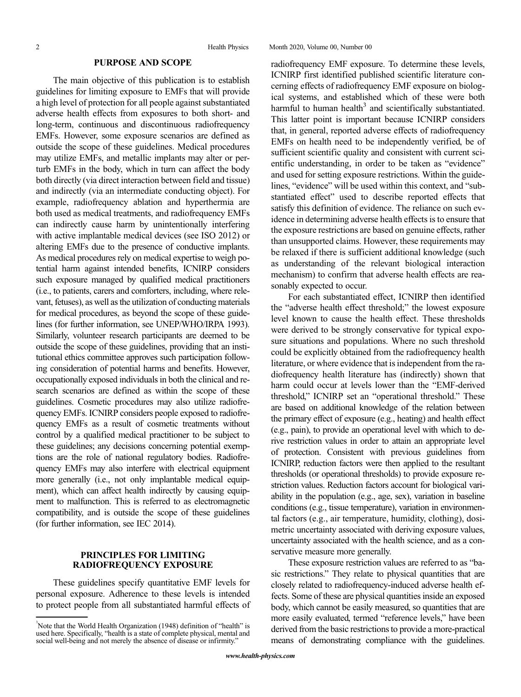#### PURPOSE AND SCOPE

The main objective of this publication is to establish guidelines for limiting exposure to EMFs that will provide a high level of protection for all people against substantiated adverse health effects from exposures to both short- and long-term, continuous and discontinuous radiofrequency EMFs. However, some exposure scenarios are defined as outside the scope of these guidelines. Medical procedures may utilize EMFs, and metallic implants may alter or perturb EMFs in the body, which in turn can affect the body both directly (via direct interaction between field and tissue) and indirectly (via an intermediate conducting object). For example, radiofrequency ablation and hyperthermia are both used as medical treatments, and radiofrequency EMFs can indirectly cause harm by unintentionally interfering with active implantable medical devices (see ISO 2012) or altering EMFs due to the presence of conductive implants. As medical procedures rely on medical expertise to weigh potential harm against intended benefits, ICNIRP considers such exposure managed by qualified medical practitioners (i.e., to patients, carers and comforters, including, where relevant, fetuses), as well as the utilization of conducting materials for medical procedures, as beyond the scope of these guidelines (for further information, see UNEP/WHO/IRPA 1993). Similarly, volunteer research participants are deemed to be outside the scope of these guidelines, providing that an institutional ethics committee approves such participation following consideration of potential harms and benefits. However, occupationally exposed individuals in both the clinical and research scenarios are defined as within the scope of these guidelines. Cosmetic procedures may also utilize radiofrequency EMFs. ICNIRP considers people exposed to radiofrequency EMFs as a result of cosmetic treatments without control by a qualified medical practitioner to be subject to these guidelines; any decisions concerning potential exemptions are the role of national regulatory bodies. Radiofrequency EMFs may also interfere with electrical equipment more generally (i.e., not only implantable medical equipment), which can affect health indirectly by causing equipment to malfunction. This is referred to as electromagnetic compatibility, and is outside the scope of these guidelines (for further information, see IEC 2014).

#### PRINCIPLES FOR LIMITING RADIOFREQUENCY EXPOSURE

These guidelines specify quantitative EMF levels for personal exposure. Adherence to these levels is intended to protect people from all substantiated harmful effects of radiofrequency EMF exposure. To determine these levels, ICNIRP first identified published scientific literature concerning effects of radiofrequency EMF exposure on biological systems, and established which of these were both harmful to human health $3$  and scientifically substantiated. This latter point is important because ICNIRP considers that, in general, reported adverse effects of radiofrequency EMFs on health need to be independently verified, be of sufficient scientific quality and consistent with current scientific understanding, in order to be taken as "evidence" and used for setting exposure restrictions. Within the guidelines, "evidence" will be used within this context, and "substantiated effect" used to describe reported effects that satisfy this definition of evidence. The reliance on such evidence in determining adverse health effects is to ensure that the exposure restrictions are based on genuine effects, rather than unsupported claims. However, these requirements may be relaxed if there is sufficient additional knowledge (such as understanding of the relevant biological interaction mechanism) to confirm that adverse health effects are reasonably expected to occur.

For each substantiated effect, ICNIRP then identified the "adverse health effect threshold;" the lowest exposure level known to cause the health effect. These thresholds were derived to be strongly conservative for typical exposure situations and populations. Where no such threshold could be explicitly obtained from the radiofrequency health literature, or where evidence that is independent from the radiofrequency health literature has (indirectly) shown that harm could occur at levels lower than the "EMF-derived threshold," ICNIRP set an "operational threshold." These are based on additional knowledge of the relation between the primary effect of exposure (e.g., heating) and health effect (e.g., pain), to provide an operational level with which to derive restriction values in order to attain an appropriate level of protection. Consistent with previous guidelines from ICNIRP, reduction factors were then applied to the resultant thresholds (or operational thresholds) to provide exposure restriction values. Reduction factors account for biological variability in the population (e.g., age, sex), variation in baseline conditions (e.g., tissue temperature), variation in environmental factors (e.g., air temperature, humidity, clothing), dosimetric uncertainty associated with deriving exposure values, uncertainty associated with the health science, and as a conservative measure more generally.

These exposure restriction values are referred to as "basic restrictions." They relate to physical quantities that are closely related to radiofrequency-induced adverse health effects. Some of these are physical quantities inside an exposed body, which cannot be easily measured, so quantities that are more easily evaluated, termed "reference levels," have been derived from the basic restrictions to provide a more-practical means of demonstrating compliance with the guidelines.

<sup>&</sup>lt;sup>3</sup>Note that the World Health Organization (1948) definition of "health" is used here. Specifically, "health is a state of complete physical, mental and social well-being and not merely the absence of disease or infirmity."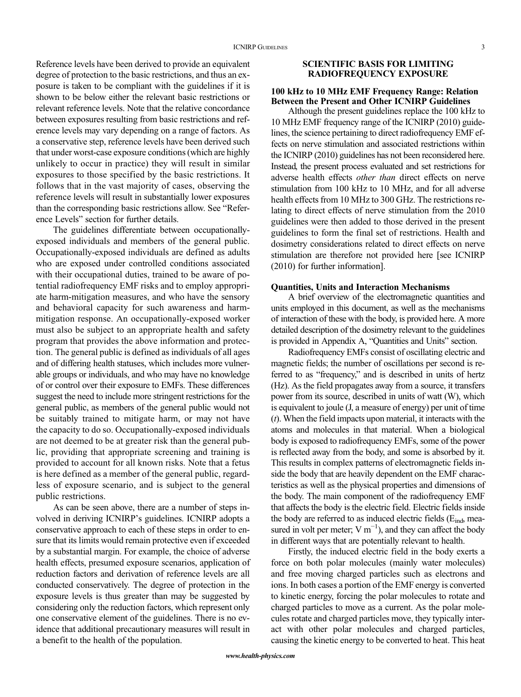Reference levels have been derived to provide an equivalent degree of protection to the basic restrictions, and thus an exposure is taken to be compliant with the guidelines if it is shown to be below either the relevant basic restrictions or relevant reference levels. Note that the relative concordance between exposures resulting from basic restrictions and reference levels may vary depending on a range of factors. As a conservative step, reference levels have been derived such that under worst-case exposure conditions (which are highly unlikely to occur in practice) they will result in similar exposures to those specified by the basic restrictions. It follows that in the vast majority of cases, observing the reference levels will result in substantially lower exposures than the corresponding basic restrictions allow. See "Reference Levels" section for further details.

The guidelines differentiate between occupationallyexposed individuals and members of the general public. Occupationally-exposed individuals are defined as adults who are exposed under controlled conditions associated with their occupational duties, trained to be aware of potential radiofrequency EMF risks and to employ appropriate harm-mitigation measures, and who have the sensory and behavioral capacity for such awareness and harmmitigation response. An occupationally-exposed worker must also be subject to an appropriate health and safety program that provides the above information and protection. The general public is defined as individuals of all ages and of differing health statuses, which includes more vulnerable groups or individuals, and who may have no knowledge of or control over their exposure to EMFs. These differences suggest the need to include more stringent restrictions for the general public, as members of the general public would not be suitably trained to mitigate harm, or may not have the capacity to do so. Occupationally-exposed individuals are not deemed to be at greater risk than the general public, providing that appropriate screening and training is provided to account for all known risks. Note that a fetus is here defined as a member of the general public, regardless of exposure scenario, and is subject to the general public restrictions.

As can be seen above, there are a number of steps involved in deriving ICNIRP's guidelines. ICNIRP adopts a conservative approach to each of these steps in order to ensure that its limits would remain protective even if exceeded by a substantial margin. For example, the choice of adverse health effects, presumed exposure scenarios, application of reduction factors and derivation of reference levels are all conducted conservatively. The degree of protection in the exposure levels is thus greater than may be suggested by considering only the reduction factors, which represent only one conservative element of the guidelines. There is no evidence that additional precautionary measures will result in a benefit to the health of the population.

#### SCIENTIFIC BASIS FOR LIMITING RADIOFREQUENCY EXPOSURE

#### 100 kHz to 10 MHz EMF Frequency Range: Relation Between the Present and Other ICNIRP Guidelines

Although the present guidelines replace the 100 kHz to 10 MHz EMF frequency range of the ICNIRP (2010) guidelines, the science pertaining to direct radiofrequency EMF effects on nerve stimulation and associated restrictions within the ICNIRP (2010) guidelines has not been reconsidered here. Instead, the present process evaluated and set restrictions for adverse health effects other than direct effects on nerve stimulation from 100 kHz to 10 MHz, and for all adverse health effects from 10 MHz to 300 GHz. The restrictions relating to direct effects of nerve stimulation from the 2010 guidelines were then added to those derived in the present guidelines to form the final set of restrictions. Health and dosimetry considerations related to direct effects on nerve stimulation are therefore not provided here [see ICNIRP (2010) for further information].

#### Quantities, Units and Interaction Mechanisms

A brief overview of the electromagnetic quantities and units employed in this document, as well as the mechanisms of interaction of these with the body, is provided here. A more detailed description of the dosimetry relevant to the guidelines is provided in Appendix A, "Quantities and Units" section.

Radiofrequency EMFs consist of oscillating electric and magnetic fields; the number of oscillations per second is referred to as "frequency," and is described in units of hertz (Hz). As the field propagates away from a source, it transfers power from its source, described in units of watt (W), which is equivalent to joule (J, a measure of energy) per unit of time  $(t)$ . When the field impacts upon material, it interacts with the atoms and molecules in that material. When a biological body is exposed to radiofrequency EMFs, some of the power is reflected away from the body, and some is absorbed by it. This results in complex patterns of electromagnetic fields inside the body that are heavily dependent on the EMF characteristics as well as the physical properties and dimensions of the body. The main component of the radiofrequency EMF that affects the body is the electric field. Electric fields inside the body are referred to as induced electric fields  $(E_{ind}$ , measured in volt per meter;  $V m^{-1}$ ), and they can affect the body in different ways that are potentially relevant to health.

Firstly, the induced electric field in the body exerts a force on both polar molecules (mainly water molecules) and free moving charged particles such as electrons and ions. In both cases a portion of the EMF energy is converted to kinetic energy, forcing the polar molecules to rotate and charged particles to move as a current. As the polar molecules rotate and charged particles move, they typically interact with other polar molecules and charged particles, causing the kinetic energy to be converted to heat. This heat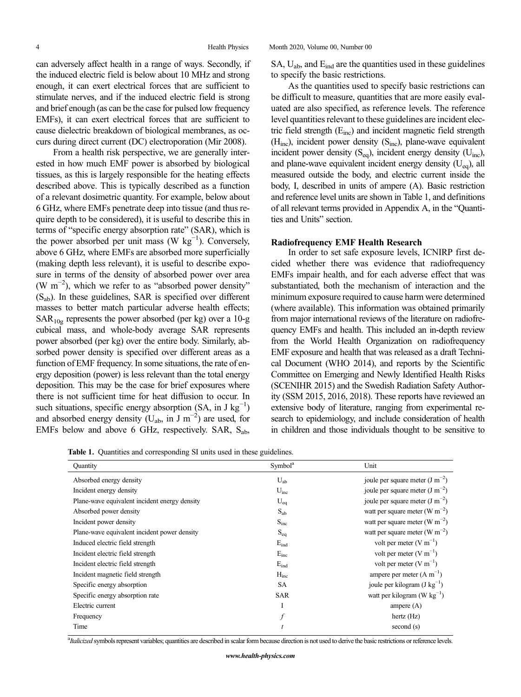can adversely affect health in a range of ways. Secondly, if the induced electric field is below about 10 MHz and strong enough, it can exert electrical forces that are sufficient to stimulate nerves, and if the induced electric field is strong and brief enough (as can be the case for pulsed low frequency EMFs), it can exert electrical forces that are sufficient to cause dielectric breakdown of biological membranes, as occurs during direct current (DC) electroporation (Mir 2008).

From a health risk perspective, we are generally interested in how much EMF power is absorbed by biological tissues, as this is largely responsible for the heating effects described above. This is typically described as a function of a relevant dosimetric quantity. For example, below about 6 GHz, where EMFs penetrate deep into tissue (and thus require depth to be considered), it is useful to describe this in terms of "specific energy absorption rate" (SAR), which is the power absorbed per unit mass (W  $kg^{-1}$ ). Conversely, above 6 GHz, where EMFs are absorbed more superficially (making depth less relevant), it is useful to describe exposure in terms of the density of absorbed power over area (W m−<sup>2</sup> ), which we refer to as "absorbed power density" (Sab). In these guidelines, SAR is specified over different masses to better match particular adverse health effects;  $SAR<sub>10g</sub>$  represents the power absorbed (per kg) over a 10-g cubical mass, and whole-body average SAR represents power absorbed (per kg) over the entire body. Similarly, absorbed power density is specified over different areas as a function of EMF frequency. In some situations, the rate of energy deposition (power) is less relevant than the total energy deposition. This may be the case for brief exposures where there is not sufficient time for heat diffusion to occur. In such situations, specific energy absorption  $(SA, in J kg<sup>-1</sup>)$ and absorbed energy density ( $U_{ab}$ , in J m<sup>-2</sup>) are used, for EMFs below and above 6 GHz, respectively. SAR,  $S_{ab}$ , SA, U<sub>ab</sub>, and E<sub>ind</sub> are the quantities used in these guidelines to specify the basic restrictions.

As the quantities used to specify basic restrictions can be difficult to measure, quantities that are more easily evaluated are also specified, as reference levels. The reference level quantities relevant to these guidelines are incident electric field strength (Einc) and incident magnetic field strength  $(H_{inc})$ , incident power density  $(S_{inc})$ , plane-wave equivalent incident power density  $(S_{eq})$ , incident energy density  $(U_{inc})$ , and plane-wave equivalent incident energy density  $(U_{eq})$ , all measured outside the body, and electric current inside the body, I, described in units of ampere (A). Basic restriction and reference level units are shown in Table 1, and definitions of all relevant terms provided in Appendix A, in the "Quantities and Units" section.

#### Radiofrequency EMF Health Research

In order to set safe exposure levels, ICNIRP first decided whether there was evidence that radiofrequency EMFs impair health, and for each adverse effect that was substantiated, both the mechanism of interaction and the minimum exposure required to cause harm were determined (where available). This information was obtained primarily from major international reviews of the literature on radiofrequency EMFs and health. This included an in-depth review from the World Health Organization on radiofrequency EMF exposure and health that was released as a draft Technical Document (WHO 2014), and reports by the Scientific Committee on Emerging and Newly Identified Health Risks (SCENIHR 2015) and the Swedish Radiation Safety Authority (SSM 2015, 2016, 2018). These reports have reviewed an extensive body of literature, ranging from experimental research to epidemiology, and include consideration of health in children and those individuals thought to be sensitive to

Table 1. Quantities and corresponding SI units used in these guidelines.

| <b>Ouantity</b>                               | Symbol <sup>a</sup> | Unit                                |
|-----------------------------------------------|---------------------|-------------------------------------|
| Absorbed energy density                       | $U_{ab}$            | joule per square meter $(J m^{-2})$ |
| Incident energy density                       | $U_{inc}$           | joule per square meter $(J m^{-2})$ |
| Plane-wave equivalent incident energy density | $U_{eq}$            | joule per square meter $(J m^{-2})$ |
| Absorbed power density                        | $S_{ab}$            | watt per square meter (W $m^{-2}$ ) |
| Incident power density                        | $S_{inc}$           | watt per square meter (W $m^{-2}$ ) |
| Plane-wave equivalent incident power density  | $S_{eq}$            | watt per square meter (W $m^{-2}$ ) |
| Induced electric field strength               | $E_{ind}$           | volt per meter $(V m^{-1})$         |
| Incident electric field strength              | $E_{inc}$           | volt per meter $(V m^{-1})$         |
| Incident electric field strength              | $E_{ind}$           | volt per meter $(V m^{-1})$         |
| Incident magnetic field strength              | $H_{inc}$           | ampere per meter $(A m^{-1})$       |
| Specific energy absorption                    | SA                  | joule per kilogram $(J kg^{-1})$    |
| Specific energy absorption rate               | <b>SAR</b>          | watt per kilogram (W $kg^{-1}$ )    |
| Electric current                              | L                   | ampere $(A)$                        |
| Frequency                                     |                     | hertz(Hz)                           |
| Time                                          |                     | second (s)                          |

<sup>a</sup>Italicized symbols represent variables; quantities are described in scalar form because direction is not used to derive the basic restrictions or reference levels.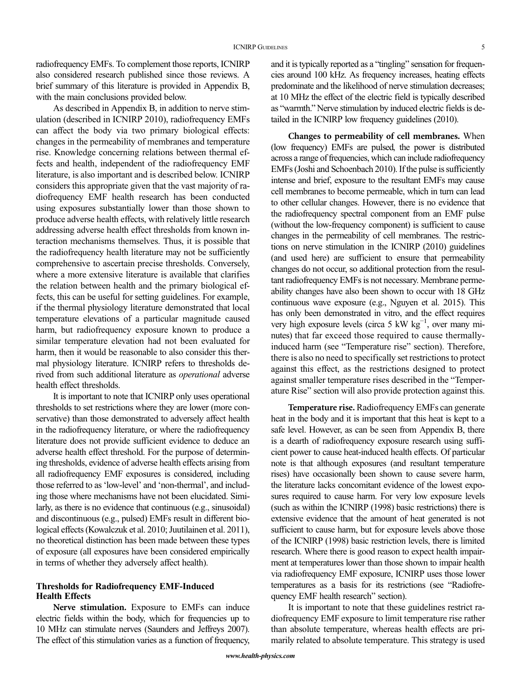radiofrequency EMFs. To complement those reports, ICNIRP also considered research published since those reviews. A brief summary of this literature is provided in Appendix B, with the main conclusions provided below.

As described in Appendix B, in addition to nerve stimulation (described in ICNIRP 2010), radiofrequency EMFs can affect the body via two primary biological effects: changes in the permeability of membranes and temperature rise. Knowledge concerning relations between thermal effects and health, independent of the radiofrequency EMF literature, is also important and is described below. ICNIRP considers this appropriate given that the vast majority of radiofrequency EMF health research has been conducted using exposures substantially lower than those shown to produce adverse health effects, with relatively little research addressing adverse health effect thresholds from known interaction mechanisms themselves. Thus, it is possible that the radiofrequency health literature may not be sufficiently comprehensive to ascertain precise thresholds. Conversely, where a more extensive literature is available that clarifies the relation between health and the primary biological effects, this can be useful for setting guidelines. For example, if the thermal physiology literature demonstrated that local temperature elevations of a particular magnitude caused harm, but radiofrequency exposure known to produce a similar temperature elevation had not been evaluated for harm, then it would be reasonable to also consider this thermal physiology literature. ICNIRP refers to thresholds derived from such additional literature as operational adverse health effect thresholds.

It is important to note that ICNIRP only uses operational thresholds to set restrictions where they are lower (more conservative) than those demonstrated to adversely affect health in the radiofrequency literature, or where the radiofrequency literature does not provide sufficient evidence to deduce an adverse health effect threshold. For the purpose of determining thresholds, evidence of adverse health effects arising from all radiofrequency EMF exposures is considered, including those referred to as'low-level' and 'non-thermal', and including those where mechanisms have not been elucidated. Similarly, as there is no evidence that continuous (e.g., sinusoidal) and discontinuous (e.g., pulsed) EMFs result in different biological effects (Kowalczuk et al. 2010; Juutilainen et al. 2011), no theoretical distinction has been made between these types of exposure (all exposures have been considered empirically in terms of whether they adversely affect health).

#### Thresholds for Radiofrequency EMF-Induced Health Effects

Nerve stimulation. Exposure to EMFs can induce electric fields within the body, which for frequencies up to 10 MHz can stimulate nerves (Saunders and Jeffreys 2007). The effect of this stimulation varies as a function of frequency,

and it is typically reported as a "tingling" sensation for frequencies around 100 kHz. As frequency increases, heating effects predominate and the likelihood of nerve stimulation decreases; at 10 MHz the effect of the electric field is typically described as "warmth." Nerve stimulation by induced electric fields is detailed in the ICNIRP low frequency guidelines (2010).

Changes to permeability of cell membranes. When (low frequency) EMFs are pulsed, the power is distributed across a range of frequencies, which can include radiofrequency EMFs (Joshi and Schoenbach 2010). If the pulse is sufficiently intense and brief, exposure to the resultant EMFs may cause cell membranes to become permeable, which in turn can lead to other cellular changes. However, there is no evidence that the radiofrequency spectral component from an EMF pulse (without the low-frequency component) is sufficient to cause changes in the permeability of cell membranes. The restrictions on nerve stimulation in the ICNIRP (2010) guidelines (and used here) are sufficient to ensure that permeability changes do not occur, so additional protection from the resultant radiofrequency EMFs is not necessary. Membrane permeability changes have also been shown to occur with 18 GHz continuous wave exposure (e.g., Nguyen et al. 2015). This has only been demonstrated in vitro, and the effect requires very high exposure levels (circa 5 kW kg<sup>-1</sup>, over many minutes) that far exceed those required to cause thermallyinduced harm (see "Temperature rise" section). Therefore, there is also no need to specifically set restrictions to protect against this effect, as the restrictions designed to protect against smaller temperature rises described in the "Temperature Rise" section will also provide protection against this.

Temperature rise. Radiofrequency EMFs can generate heat in the body and it is important that this heat is kept to a safe level. However, as can be seen from Appendix B, there is a dearth of radiofrequency exposure research using sufficient power to cause heat-induced health effects. Of particular note is that although exposures (and resultant temperature rises) have occasionally been shown to cause severe harm, the literature lacks concomitant evidence of the lowest exposures required to cause harm. For very low exposure levels (such as within the ICNIRP (1998) basic restrictions) there is extensive evidence that the amount of heat generated is not sufficient to cause harm, but for exposure levels above those of the ICNIRP (1998) basic restriction levels, there is limited research. Where there is good reason to expect health impairment at temperatures lower than those shown to impair health via radiofrequency EMF exposure, ICNIRP uses those lower temperatures as a basis for its restrictions (see "Radiofrequency EMF health research" section).

It is important to note that these guidelines restrict radiofrequency EMF exposure to limit temperature rise rather than absolute temperature, whereas health effects are primarily related to absolute temperature. This strategy is used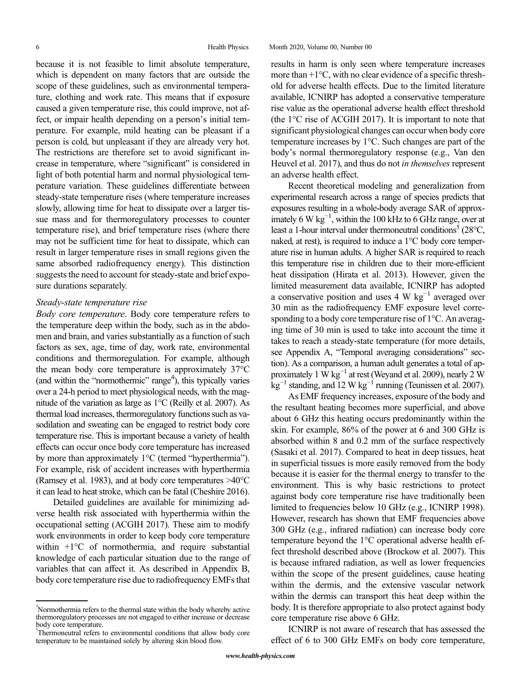6 Health Physics Month 2020, Volume 00, Number 00

because it is not feasible to limit absolute temperature, which is dependent on many factors that are outside the scope of these guidelines, such as environmental temperature, clothing and work rate. This means that if exposure caused a given temperature rise, this could improve, not affect, or impair health depending on a person's initial temperature. For example, mild heating can be pleasant if a person is cold, but unpleasant if they are already very hot. The restrictions are therefore set to avoid significant increase in temperature, where "significant" is considered in light of both potential harm and normal physiological temperature variation. These guidelines differentiate between steady-state temperature rises (where temperature increases slowly, allowing time for heat to dissipate over a larger tissue mass and for thermoregulatory processes to counter temperature rise), and brief temperature rises (where there may not be sufficient time for heat to dissipate, which can result in larger temperature rises in small regions given the same absorbed radiofrequency energy). This distinction suggests the need to account for steady-state and brief exposure durations separately.

#### Steady-state temperature rise

Body core temperature. Body core temperature refers to the temperature deep within the body, such as in the abdomen and brain, and varies substantially as a function of such factors as sex, age, time of day, work rate, environmental conditions and thermoregulation. For example, although the mean body core temperature is approximately 37°C (and within the "normothermic" range<sup>4</sup>), this typically varies over a 24-h period to meet physiological needs, with the magnitude of the variation as large as 1°C (Reilly et al. 2007). As thermal load increases, thermoregulatory functions such as vasodilation and sweating can be engaged to restrict body core temperature rise. This is important because a variety of health effects can occur once body core temperature has increased by more than approximately 1°C (termed "hyperthermia"). For example, risk of accident increases with hyperthermia (Ramsey et al. 1983), and at body core temperatures >40°C it can lead to heat stroke, which can be fatal (Cheshire 2016).

Detailed guidelines are available for minimizing adverse health risk associated with hyperthermia within the occupational setting (ACGIH 2017). These aim to modify work environments in order to keep body core temperature within  $+1$ °C of normothermia, and require substantial knowledge of each particular situation due to the range of variables that can affect it. As described in Appendix B, body core temperature rise due to radiofrequency EMFs that

results in harm is only seen where temperature increases more than  $+1^{\circ}$ C, with no clear evidence of a specific threshold for adverse health effects. Due to the limited literature available, ICNIRP has adopted a conservative temperature rise value as the operational adverse health effect threshold (the 1°C rise of ACGIH 2017). It is important to note that significant physiological changes can occur when body core temperature increases by 1°C. Such changes are part of the body's normal thermoregulatory response (e.g., Van den Heuvel et al. 2017), and thus do not in themselves represent an adverse health effect.

Recent theoretical modeling and generalization from experimental research across a range of species predicts that exposures resulting in a whole-body average SAR of approximately 6 W kg−<sup>1</sup> , within the 100 kHz to 6 GHz range, over at least a 1-hour interval under thermoneutral conditions<sup>5</sup> (28 $\rm ^{\circ}C,$ naked, at rest), is required to induce a 1°C body core temperature rise in human adults. A higher SAR is required to reach this temperature rise in children due to their more-efficient heat dissipation (Hirata et al. 2013). However, given the limited measurement data available, ICNIRP has adopted a conservative position and uses 4 W  $kg^{-1}$  averaged over 30 min as the radiofrequency EMF exposure level corresponding to a body core temperature rise of 1°C. An averaging time of 30 min is used to take into account the time it takes to reach a steady-state temperature (for more details, see Appendix A, "Temporal averaging considerations" section). As a comparison, a human adult generates a total of approximately 1 W kg<sup> $-1$ </sup> at rest (Weyand et al. 2009), nearly 2 W  $kg^{-1}$  standing, and 12 W kg<sup>-1</sup> running (Teunissen et al. 2007).

As EMF frequency increases, exposure of the body and the resultant heating becomes more superficial, and above about 6 GHz this heating occurs predominantly within the skin. For example, 86% of the power at 6 and 300 GHz is absorbed within 8 and 0.2 mm of the surface respectively (Sasaki et al. 2017). Compared to heat in deep tissues, heat in superficial tissues is more easily removed from the body because it is easier for the thermal energy to transfer to the environment. This is why basic restrictions to protect against body core temperature rise have traditionally been limited to frequencies below 10 GHz (e.g., ICNIRP 1998). However, research has shown that EMF frequencies above 300 GHz (e.g., infrared radiation) can increase body core temperature beyond the 1°C operational adverse health effect threshold described above (Brockow et al. 2007). This is because infrared radiation, as well as lower frequencies within the scope of the present guidelines, cause heating within the dermis, and the extensive vascular network within the dermis can transport this heat deep within the body. It is therefore appropriate to also protect against body core temperature rise above 6 GHz.

ICNIRP is not aware of research that has assessed the effect of 6 to 300 GHz EMFs on body core temperature,

<sup>4</sup> Normothermia refers to the thermal state within the body whereby active thermoregulatory processes are not engaged to either increase or decrease body core temperature.

Thermoneutral refers to environmental conditions that allow body core temperature to be maintained solely by altering skin blood flow.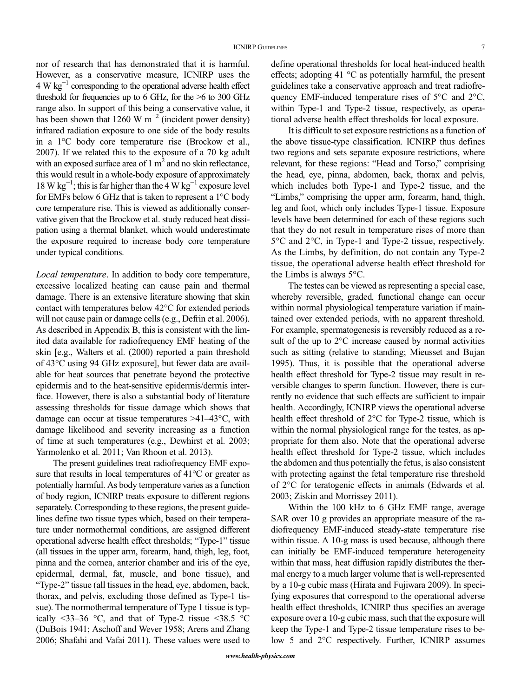nor of research that has demonstrated that it is harmful. However, as a conservative measure, ICNIRP uses the 4 W kg−<sup>1</sup> corresponding to the operational adverse health effect threshold for frequencies up to 6 GHz, for the  $\geq 6$  to 300 GHz range also. In support of this being a conservative value, it has been shown that 1260 W  $m^{-2}$  (incident power density) infrared radiation exposure to one side of the body results in a 1°C body core temperature rise (Brockow et al., 2007). If we related this to the exposure of a 70 kg adult with an exposed surface area of  $1 \text{ m}^2$  and no skin reflectance, this would result in a whole-body exposure of approximately  $18 \text{ W kg}^{-1}$ ; this is far higher than the 4 W kg<sup>-1</sup> exposure level for EMFs below 6 GHz that is taken to represent a 1°C body core temperature rise. This is viewed as additionally conservative given that the Brockow et al. study reduced heat dissipation using a thermal blanket, which would underestimate the exposure required to increase body core temperature under typical conditions.

Local temperature. In addition to body core temperature, excessive localized heating can cause pain and thermal damage. There is an extensive literature showing that skin contact with temperatures below 42°C for extended periods will not cause pain or damage cells (e.g., Defrin et al. 2006). As described in Appendix B, this is consistent with the limited data available for radiofrequency EMF heating of the skin [e.g., Walters et al. (2000) reported a pain threshold of 43°C using 94 GHz exposure], but fewer data are available for heat sources that penetrate beyond the protective epidermis and to the heat-sensitive epidermis/dermis interface. However, there is also a substantial body of literature assessing thresholds for tissue damage which shows that damage can occur at tissue temperatures  $>41-43$ °C, with damage likelihood and severity increasing as a function of time at such temperatures (e.g., Dewhirst et al. 2003; Yarmolenko et al. 2011; Van Rhoon et al. 2013).

The present guidelines treat radiofrequency EMF exposure that results in local temperatures of 41<sup>o</sup>C or greater as potentially harmful. As body temperature varies as a function of body region, ICNIRP treats exposure to different regions separately. Corresponding to these regions, the present guidelines define two tissue types which, based on their temperature under normothermal conditions, are assigned different operational adverse health effect thresholds; "Type-1" tissue (all tissues in the upper arm, forearm, hand, thigh, leg, foot, pinna and the cornea, anterior chamber and iris of the eye, epidermal, dermal, fat, muscle, and bone tissue), and "Type-2" tissue (all tissues in the head, eye, abdomen, back, thorax, and pelvis, excluding those defined as Type-1 tissue). The normothermal temperature of Type 1 tissue is typically  $\leq$ 33–36 °C, and that of Type-2 tissue  $\leq$ 38.5 °C (DuBois 1941; Aschoff and Wever 1958; Arens and Zhang 2006; Shafahi and Vafai 2011). These values were used to define operational thresholds for local heat-induced health effects; adopting 41 °C as potentially harmful, the present guidelines take a conservative approach and treat radiofrequency EMF-induced temperature rises of 5°C and 2°C, within Type-1 and Type-2 tissue, respectively, as operational adverse health effect thresholds for local exposure.

It is difficult to set exposure restrictions as a function of the above tissue-type classification. ICNIRP thus defines two regions and sets separate exposure restrictions, where relevant, for these regions: "Head and Torso," comprising the head, eye, pinna, abdomen, back, thorax and pelvis, which includes both Type-1 and Type-2 tissue, and the "Limbs," comprising the upper arm, forearm, hand, thigh, leg and foot, which only includes Type-1 tissue. Exposure levels have been determined for each of these regions such that they do not result in temperature rises of more than 5°C and 2°C, in Type-1 and Type-2 tissue, respectively. As the Limbs, by definition, do not contain any Type-2 tissue, the operational adverse health effect threshold for the Limbs is always 5°C.

The testes can be viewed as representing a special case, whereby reversible, graded, functional change can occur within normal physiological temperature variation if maintained over extended periods, with no apparent threshold. For example, spermatogenesis is reversibly reduced as a result of the up to 2°C increase caused by normal activities such as sitting (relative to standing; Mieusset and Bujan 1995). Thus, it is possible that the operational adverse health effect threshold for Type-2 tissue may result in reversible changes to sperm function. However, there is currently no evidence that such effects are sufficient to impair health. Accordingly, ICNIRP views the operational adverse health effect threshold of 2°C for Type-2 tissue, which is within the normal physiological range for the testes, as appropriate for them also. Note that the operational adverse health effect threshold for Type-2 tissue, which includes the abdomen and thus potentially the fetus, is also consistent with protecting against the fetal temperature rise threshold of 2°C for teratogenic effects in animals (Edwards et al. 2003; Ziskin and Morrissey 2011).

Within the 100 kHz to 6 GHz EMF range, average SAR over 10 g provides an appropriate measure of the radiofrequency EMF-induced steady-state temperature rise within tissue. A 10-g mass is used because, although there can initially be EMF-induced temperature heterogeneity within that mass, heat diffusion rapidly distributes the thermal energy to a much larger volume that is well-represented by a 10-g cubic mass (Hirata and Fujiwara 2009). In specifying exposures that correspond to the operational adverse health effect thresholds, ICNIRP thus specifies an average exposure over a 10-g cubic mass, such that the exposure will keep the Type-1 and Type-2 tissue temperature rises to below 5 and 2°C respectively. Further, ICNIRP assumes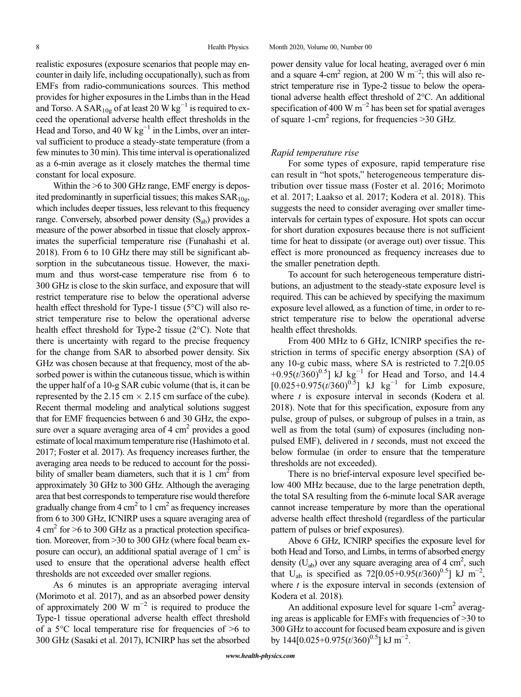realistic exposures (exposure scenarios that people may encounter in daily life, including occupationally), such as from EMFs from radio-communications sources. This method provides for higher exposures in the Limbs than in the Head and Torso. A SAR<sub>10g</sub> of at least 20 W kg<sup>-1</sup> is required to exceed the operational adverse health effect thresholds in the Head and Torso, and 40 W  $kg^{-1}$  in the Limbs, over an interval sufficient to produce a steady-state temperature (from a few minutes to 30 min). This time interval is operationalized as a 6-min average as it closely matches the thermal time constant for local exposure.

Within the >6 to 300 GHz range, EMF energy is deposited predominantly in superficial tissues; this makes  $SAR<sub>10</sub>$ , which includes deeper tissues, less relevant to this frequency range. Conversely, absorbed power density  $(S_{ab})$  provides a measure of the power absorbed in tissue that closely approximates the superficial temperature rise (Funahashi et al. 2018). From 6 to 10 GHz there may still be significant absorption in the subcutaneous tissue. However, the maximum and thus worst-case temperature rise from 6 to 300 GHz is close to the skin surface, and exposure that will restrict temperature rise to below the operational adverse health effect threshold for Type-1 tissue (5°C) will also restrict temperature rise to below the operational adverse health effect threshold for Type-2 tissue (2°C). Note that there is uncertainty with regard to the precise frequency for the change from SAR to absorbed power density. Six GHz was chosen because at that frequency, most of the absorbed power is within the cutaneous tissue, which is within the upper half of a 10-g SAR cubic volume (that is, it can be represented by the 2.15 cm  $\times$  2.15 cm surface of the cube). Recent thermal modeling and analytical solutions suggest that for EMF frequencies between 6 and 30 GHz, the exposure over a square averaging area of  $4 \text{ cm}^2$  provides a good estimate of local maximum temperature rise (Hashimoto et al. 2017; Foster et al. 2017). As frequency increases further, the averaging area needs to be reduced to account for the possibility of smaller beam diameters, such that it is  $1 \text{ cm}^2$  from approximately 30 GHz to 300 GHz. Although the averaging area that best corresponds to temperature rise would therefore gradually change from  $4 \text{ cm}^2$  to 1 cm<sup>2</sup> as frequency increases from 6 to 300 GHz, ICNIRP uses a square averaging area of  $4 \text{ cm}^2$  for  $>6$  to 300 GHz as a practical protection specification. Moreover, from >30 to 300 GHz (where focal beam exposure can occur), an additional spatial average of 1 cm<sup>2</sup> is used to ensure that the operational adverse health effect thresholds are not exceeded over smaller regions.

As 6 minutes is an appropriate averaging interval (Morimoto et al. 2017), and as an absorbed power density of approximately 200 W  $m^{-2}$  is required to produce the Type-1 tissue operational adverse health effect threshold of a  $5^{\circ}$ C local temperature rise for frequencies of  $>6$  to 300 GHz (Sasaki et al. 2017), ICNIRP has set the absorbed power density value for local heating, averaged over 6 min and a square 4-cm<sup>2</sup> region, at 200 W m<sup>-2</sup>; this will also restrict temperature rise in Type-2 tissue to below the operational adverse health effect threshold of 2°C. An additional specification of 400 W  $\text{m}^{-2}$  has been set for spatial averages of square 1-cm<sup>2</sup> regions, for frequencies  $>$  30 GHz.

#### Rapid temperature rise

For some types of exposure, rapid temperature rise can result in "hot spots," heterogeneous temperature distribution over tissue mass (Foster et al. 2016; Morimoto et al. 2017; Laakso et al. 2017; Kodera et al. 2018). This suggests the need to consider averaging over smaller timeintervals for certain types of exposure. Hot spots can occur for short duration exposures because there is not sufficient time for heat to dissipate (or average out) over tissue. This effect is more pronounced as frequency increases due to the smaller penetration depth.

To account for such heterogeneous temperature distributions, an adjustment to the steady-state exposure level is required. This can be achieved by specifying the maximum exposure level allowed, as a function of time, in order to restrict temperature rise to below the operational adverse health effect thresholds.

From 400 MHz to 6 GHz, ICNIRP specifies the restriction in terms of specific energy absorption (SA) of any 10-g cubic mass, where SA is restricted to 7.2[0.05 +0.95(t/360)<sup>0.5</sup>] kJ kg<sup>-1</sup> for Head and Torso, and 14.4  $[0.025+0.975(t/360)^{0.5}]$  kJ kg<sup>-1</sup> for Limb exposure, where  $t$  is exposure interval in seconds (Kodera et al. 2018). Note that for this specification, exposure from any pulse, group of pulses, or subgroup of pulses in a train, as well as from the total (sum) of exposures (including nonpulsed EMF), delivered in t seconds, must not exceed the below formulae (in order to ensure that the temperature thresholds are not exceeded).

There is no brief-interval exposure level specified below 400 MHz because, due to the large penetration depth, the total SA resulting from the 6-minute local SAR average cannot increase temperature by more than the operational adverse health effect threshold (regardless of the particular pattern of pulses or brief exposures).

Above 6 GHz, ICNIRP specifies the exposure level for both Head and Torso, and Limbs, in terms of absorbed energy density ( $U_{ab}$ ) over any square averaging area of 4 cm<sup>2</sup>, such that U<sub>ab</sub> is specified as 72[0.05+0.95(t/360)<sup>0.5</sup>] kJ m<sup>-2</sup>, where  $t$  is the exposure interval in seconds (extension of Kodera et al. 2018).

An additional exposure level for square  $1$ -cm<sup>2</sup> averaging areas is applicable for EMFs with frequencies of >30 to 300 GHz to account for focused beam exposure and is given by 144[0.025+0.975( $t/360$ )<sup>0.5</sup>] kJ m<sup>-2</sup>.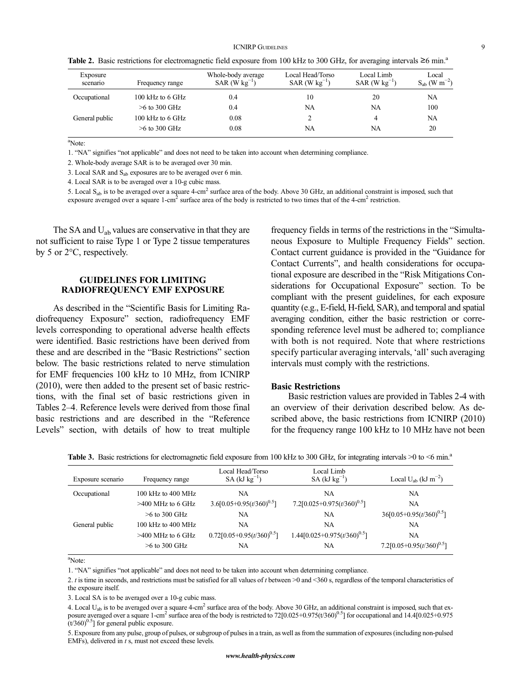| Exposure<br>scenario | Frequency range  | Whole-body average<br>$SAR (W kg-1)$ | Local Head/Torso<br>$SAR (W kg-1)$ | Local Limb<br>$SAR (W kg-1)$ | Local<br>$S_{ab}$ (W m <sup>-2</sup> ) |
|----------------------|------------------|--------------------------------------|------------------------------------|------------------------------|----------------------------------------|
| Occupational         | 100 kHz to 6 GHz | 0.4                                  | 10                                 | 20                           | NA                                     |
|                      | $>6$ to 300 GHz  | 0.4                                  | NA                                 | NA                           | 100                                    |
| General public       | 100 kHz to 6 GHz | 0.08                                 |                                    | 4                            | NA                                     |
|                      | $>6$ to 300 GHz  | 0.08                                 | NA                                 | NA                           | 20                                     |

**Table 2.** Basic restrictions for electromagnetic field exposure from 100 kHz to 300 GHz, for averaging intervals ≥6 min.<sup>a</sup>

a Note:

1. "NA" signifies "not applicable" and does not need to be taken into account when determining compliance.

2. Whole-body average SAR is to be averaged over 30 min.

3. Local SAR and Sab exposures are to be averaged over 6 min.

4. Local SAR is to be averaged over a 10-g cubic mass.

5. Local  $S_{ab}$  is to be averaged over a square 4-cm<sup>2</sup> surface area of the body. Above 30 GHz, an additional constraint is imposed, such that exposure averaged over a square  $1$ -cm<sup>2</sup> surface area of the body is restricted to two times that of the  $4$ -cm<sup>2</sup> restriction.

The SA and U<sub>ab</sub> values are conservative in that they are not sufficient to raise Type 1 or Type 2 tissue temperatures by 5 or 2°C, respectively.

#### GUIDELINES FOR LIMITING RADIOFREQUENCY EMF EXPOSURE

As described in the "Scientific Basis for Limiting Radiofrequency Exposure" section, radiofrequency EMF levels corresponding to operational adverse health effects were identified. Basic restrictions have been derived from these and are described in the "Basic Restrictions" section below. The basic restrictions related to nerve stimulation for EMF frequencies 100 kHz to 10 MHz, from ICNIRP (2010), were then added to the present set of basic restrictions, with the final set of basic restrictions given in Tables 2–4. Reference levels were derived from those final basic restrictions and are described in the "Reference Levels" section, with details of how to treat multiple frequency fields in terms of the restrictions in the "Simultaneous Exposure to Multiple Frequency Fields" section. Contact current guidance is provided in the "Guidance for Contact Currents", and health considerations for occupational exposure are described in the "Risk Mitigations Considerations for Occupational Exposure" section. To be compliant with the present guidelines, for each exposure quantity (e.g., E-field, H-field, SAR), and temporal and spatial averaging condition, either the basic restriction or corresponding reference level must be adhered to; compliance with both is not required. Note that where restrictions specify particular averaging intervals, 'all' such averaging intervals must comply with the restrictions.

#### Basic Restrictions

Basic restriction values are provided in Tables 2-4 with an overview of their derivation described below. As described above, the basic restrictions from ICNIRP (2010) for the frequency range 100 kHz to 10 MHz have not been

**Table 3.** Basic restrictions for electromagnetic field exposure from 100 kHz to 300 GHz, for integrating intervals  $>0$  to  $<$ 6 min.<sup>a</sup>

| Exposure scenario | Frequency range        | Local Head/Torso<br>$SA(kJ kg^{-1})$ | Local Limb<br>$SA(kJ kg^{-1})$   | Local $U_{ab}$ (kJ m <sup>-2</sup> )  |
|-------------------|------------------------|--------------------------------------|----------------------------------|---------------------------------------|
| Occupational      | $100$ kHz to $400$ MHz | NA                                   | NA                               | NA                                    |
|                   | $>400$ MHz to 6 GHz    | $3.6[0.05+0.95(t/360)^{0.5}]$        | $7.2[0.025+0.975(t/360)^{0.5}]$  | NA                                    |
|                   | $>6$ to 300 GHz        | NA                                   | NA                               | $36[0.05+0.95(t/360)^{0.5}]$          |
| General public    | $100$ kHz to $400$ MHz | NA                                   | NA                               | NA                                    |
|                   | $>400$ MHz to 6 GHz    | $0.72[0.05+0.95(t/360)^{0.5}]$       | $1.44[0.025+0.975(t/360)^{0.5}]$ | NA                                    |
|                   | $>6$ to 300 GHz        | NA                                   | NA                               | 7.2[0.05+0.95(t/360) <sup>0.5</sup> ] |

a Note:

1. "NA" signifies "not applicable" and does not need to be taken into account when determining compliance.

2. t is time in seconds, and restrictions must be satisfied for all values of t between >0 and <360 s, regardless of the temporal characteristics of the exposure itself.

3. Local SA is to be averaged over a 10-g cubic mass.

4. Local U<sub>ab</sub> is to be averaged over a square 4-cm<sup>2</sup> surface area of the body. Above 30 GHz, an additional constraint is imposed, such that exposure averaged over a square 1-cm<sup>2</sup> surface area of the body is restricted to 72 $[0.025+0.975(t/360)^{0.5}]$  for occupational and 14.4 $[0.025+0.975$  $(t/360)^{0.5}$ ] for general public exposure.

5. Exposure from any pulse, group of pulses, or subgroup of pulses in a train, as well as from the summation of exposures (including non-pulsed EMFs), delivered in t s, must not exceed these levels.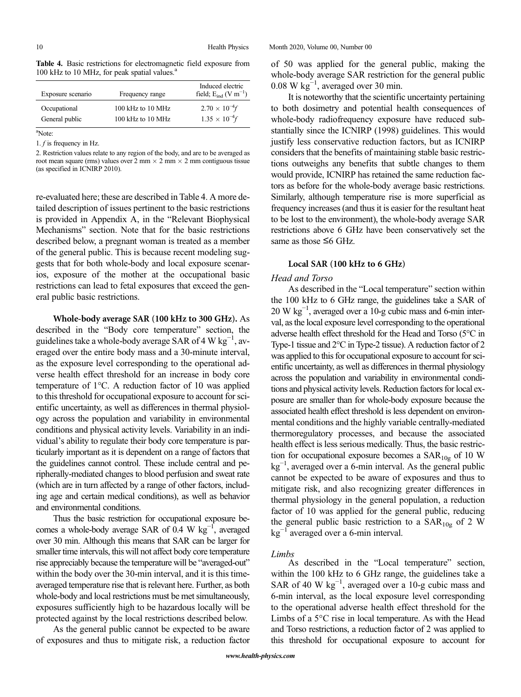Table 4. Basic restrictions for electromagnetic field exposure from  $100$  kHz to  $10$  MHz, for peak spatial values. $a$ 

| Exposure scenario | Frequency range   | Induced electric<br>field; $E_{ind}$ (V m <sup>-1</sup> ) |
|-------------------|-------------------|-----------------------------------------------------------|
| Occupational      | 100 kHz to 10 MHz | $2.70 \times 10^{-4}f$                                    |
| General public    | 100 kHz to 10 MHz | $1.35 \times 10^{-4}f$                                    |

a Note:

1.  $f$  is frequency in Hz.

2. Restriction values relate to any region of the body, and are to be averaged as root mean square (rms) values over 2 mm  $\times$  2 mm  $\times$  2 mm contiguous tissue (as specified in ICNIRP 2010).

re-evaluated here; these are described in Table 4. A more detailed description of issues pertinent to the basic restrictions is provided in Appendix A, in the "Relevant Biophysical Mechanisms" section. Note that for the basic restrictions described below, a pregnant woman is treated as a member of the general public. This is because recent modeling suggests that for both whole-body and local exposure scenarios, exposure of the mother at the occupational basic restrictions can lead to fetal exposures that exceed the general public basic restrictions.

Whole-body average SAR (100 kHz to 300 GHz). As described in the "Body core temperature" section, the guidelines take a whole-body average SAR of 4 W kg<sup>-1</sup>, averaged over the entire body mass and a 30-minute interval, as the exposure level corresponding to the operational adverse health effect threshold for an increase in body core temperature of 1°C. A reduction factor of 10 was applied to this threshold for occupational exposure to account for scientific uncertainty, as well as differences in thermal physiology across the population and variability in environmental conditions and physical activity levels. Variability in an individual's ability to regulate their body core temperature is particularly important as it is dependent on a range of factors that the guidelines cannot control. These include central and peripherally-mediated changes to blood perfusion and sweat rate (which are in turn affected by a range of other factors, including age and certain medical conditions), as well as behavior and environmental conditions.

Thus the basic restriction for occupational exposure becomes a whole-body average SAR of  $0.4 \text{ W kg}^{-1}$ , averaged over 30 min. Although this means that SAR can be larger for smaller time intervals, this will not affect body core temperature rise appreciably because the temperature will be "averaged-out" within the body over the 30-min interval, and it is this timeaveraged temperature rise that is relevant here. Further, as both whole-body and local restrictions must be met simultaneously, exposures sufficiently high to be hazardous locally will be protected against by the local restrictions described below.

As the general public cannot be expected to be aware of exposures and thus to mitigate risk, a reduction factor of 50 was applied for the general public, making the whole-body average SAR restriction for the general public  $0.08 \text{ W kg}^{-1}$ , averaged over 30 min.

It is noteworthy that the scientific uncertainty pertaining to both dosimetry and potential health consequences of whole-body radiofrequency exposure have reduced substantially since the ICNIRP (1998) guidelines. This would justify less conservative reduction factors, but as ICNIRP considers that the benefits of maintaining stable basic restrictions outweighs any benefits that subtle changes to them would provide, ICNIRP has retained the same reduction factors as before for the whole-body average basic restrictions. Similarly, although temperature rise is more superficial as frequency increases (and thus it is easier for the resultant heat to be lost to the environment), the whole-body average SAR restrictions above 6 GHz have been conservatively set the same as those  $\leq 6$  GHz.

#### Local SAR (100 kHz to 6 GHz)

#### Head and Torso

As described in the "Local temperature" section within the 100 kHz to 6 GHz range, the guidelines take a SAR of 20 W kg−<sup>1</sup> , averaged over a 10-g cubic mass and 6-min interval, as the local exposure level corresponding to the operational adverse health effect threshold for the Head and Torso (5°C in Type-1 tissue and 2°C in Type-2 tissue). A reduction factor of 2 was applied to this for occupational exposure to account for scientific uncertainty, as well as differences in thermal physiology across the population and variability in environmental conditions and physical activity levels. Reduction factors for local exposure are smaller than for whole-body exposure because the associated health effect threshold is less dependent on environmental conditions and the highly variable centrally-mediated thermoregulatory processes, and because the associated health effect is less serious medically. Thus, the basic restriction for occupational exposure becomes a  $SAR_{10g}$  of 10 W kg−<sup>1</sup> , averaged over a 6-min interval. As the general public cannot be expected to be aware of exposures and thus to mitigate risk, and also recognizing greater differences in thermal physiology in the general population, a reduction factor of 10 was applied for the general public, reducing the general public basic restriction to a  $SAR_{10g}$  of 2 W  $kg^{-1}$  averaged over a 6-min interval.

#### Limbs

As described in the "Local temperature" section, within the 100 kHz to 6 GHz range, the guidelines take a SAR of 40 W  $\text{kg}^{-1}$ , averaged over a 10-g cubic mass and 6-min interval, as the local exposure level corresponding to the operational adverse health effect threshold for the Limbs of a 5°C rise in local temperature. As with the Head and Torso restrictions, a reduction factor of 2 was applied to this threshold for occupational exposure to account for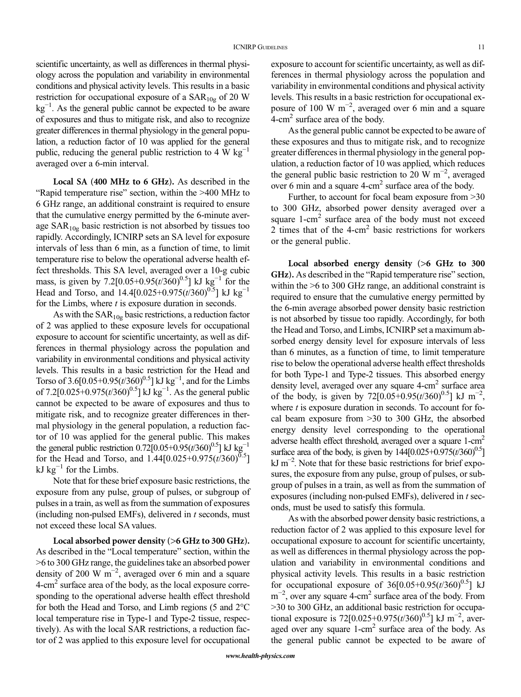scientific uncertainty, as well as differences in thermal physiology across the population and variability in environmental conditions and physical activity levels. This results in a basic restriction for occupational exposure of a  $SAR_{10g}$  of 20 W kg<sup>-1</sup>. As the general public cannot be expected to be aware of exposures and thus to mitigate risk, and also to recognize greater differences in thermal physiology in the general population, a reduction factor of 10 was applied for the general public, reducing the general public restriction to 4 W kg<sup>-1</sup> averaged over a 6-min interval.

Local SA (400 MHz to 6 GHz). As described in the "Rapid temperature rise" section, within the >400 MHz to 6 GHz range, an additional constraint is required to ensure that the cumulative energy permitted by the 6-minute average  $SAR_{10g}$  basic restriction is not absorbed by tissues too rapidly. Accordingly, ICNIRP sets an SA level for exposure intervals of less than 6 min, as a function of time, to limit temperature rise to below the operational adverse health effect thresholds. This SA level, averaged over a 10-g cubic mass, is given by 7.2[0.05+0.95(t/360)<sup>0.5</sup>] kJ kg<sup>-1</sup> for the Head and Torso, and  $14.4[0.025+0.975(t/360)^{0.5}]$  kJ kg<sup>-1</sup> for the Limbs, where  $t$  is exposure duration in seconds.

As with the  $SAR_{10g}$  basic restrictions, a reduction factor of 2 was applied to these exposure levels for occupational exposure to account for scientific uncertainty, as well as differences in thermal physiology across the population and variability in environmental conditions and physical activity levels. This results in a basic restriction for the Head and Torso of 3.6[0.05+0.95( $t/360$ )<sup>0.5</sup>] kJ kg<sup>-1</sup>, and for the Limbs of 7.2[0.025+0.975( $t/360$ )<sup>0.5</sup>] kJ kg<sup>-1</sup>. As the general public cannot be expected to be aware of exposures and thus to mitigate risk, and to recognize greater differences in thermal physiology in the general population, a reduction factor of 10 was applied for the general public. This makes the general public restriction  $0.72[0.05+0.95(t/360)^{0.5}]$  kJ kg<sup>-1</sup> for the Head and Torso, and  $1.44[0.025+0.975(t/360)^{0.5}]$ kJ kg $^{-1}$  for the Limbs.

Note that for these brief exposure basic restrictions, the exposure from any pulse, group of pulses, or subgroup of pulses in a train, as well as from the summation of exposures (including non-pulsed EMFs), delivered in  $t$  seconds, must not exceed these local SA values.

Local absorbed power density (>6 GHz to 300 GHz). As described in the "Local temperature" section, within the >6 to 300 GHz range, the guidelines take an absorbed power density of 200 W  $m^{-2}$ , averaged over 6 min and a square  $4$ -cm<sup>2</sup> surface area of the body, as the local exposure corresponding to the operational adverse health effect threshold for both the Head and Torso, and Limb regions (5 and 2°C local temperature rise in Type-1 and Type-2 tissue, respectively). As with the local SAR restrictions, a reduction factor of 2 was applied to this exposure level for occupational exposure to account for scientific uncertainty, as well as differences in thermal physiology across the population and variability in environmental conditions and physical activity levels. This results in a basic restriction for occupational exposure of 100 W m−<sup>2</sup> , averaged over 6 min and a square  $4$ -cm<sup>2</sup> surface area of the body.

As the general public cannot be expected to be aware of these exposures and thus to mitigate risk, and to recognize greater differences in thermal physiology in the general population, a reduction factor of 10 was applied, which reduces the general public basic restriction to 20 W  $\text{m}^{-2}$ , averaged over 6 min and a square 4-cm2 surface area of the body.

Further, to account for focal beam exposure from >30 to 300 GHz, absorbed power density averaged over a square  $1$ -cm<sup>2</sup> surface area of the body must not exceed 2 times that of the  $4$ -cm<sup>2</sup> basic restrictions for workers or the general public.

Local absorbed energy density (>6 GHz to 300 GHz). As described in the "Rapid temperature rise" section, within the >6 to 300 GHz range, an additional constraint is required to ensure that the cumulative energy permitted by the 6-min average absorbed power density basic restriction is not absorbed by tissue too rapidly. Accordingly, for both the Head and Torso, and Limbs, ICNIRP set a maximum absorbed energy density level for exposure intervals of less than 6 minutes, as a function of time, to limit temperature rise to below the operational adverse health effect thresholds for both Type-1 and Type-2 tissues. This absorbed energy density level, averaged over any square  $4$ -cm<sup>2</sup> surface area of the body, is given by  $72[0.05+0.95(t/360)^{0.5}]$  kJ m<sup>-2</sup>, where  $t$  is exposure duration in seconds. To account for focal beam exposure from >30 to 300 GHz, the absorbed energy density level corresponding to the operational adverse health effect threshold, averaged over a square 1-cm<sup>2</sup> surface area of the body, is given by  $144[0.025+0.975(t/360)^{0.5}]$ kJ m−<sup>2</sup> . Note that for these basic restrictions for brief exposures, the exposure from any pulse, group of pulses, or subgroup of pulses in a train, as well as from the summation of exposures (including non-pulsed EMFs), delivered in t seconds, must be used to satisfy this formula.

As with the absorbed power density basic restrictions, a reduction factor of 2 was applied to this exposure level for occupational exposure to account for scientific uncertainty, as well as differences in thermal physiology across the population and variability in environmental conditions and physical activity levels. This results in a basic restriction for occupational exposure of  $36[0.05+0.95(t/360)^{0.5}]$  kJ m<sup>-2</sup>, over any square 4-cm<sup>2</sup> surface area of the body. From >30 to 300 GHz, an additional basic restriction for occupational exposure is  $72[0.025+0.975(t/360)^{0.5}]$  kJ m<sup>-2</sup>, averaged over any square  $1$ -cm<sup>2</sup> surface area of the body. As the general public cannot be expected to be aware of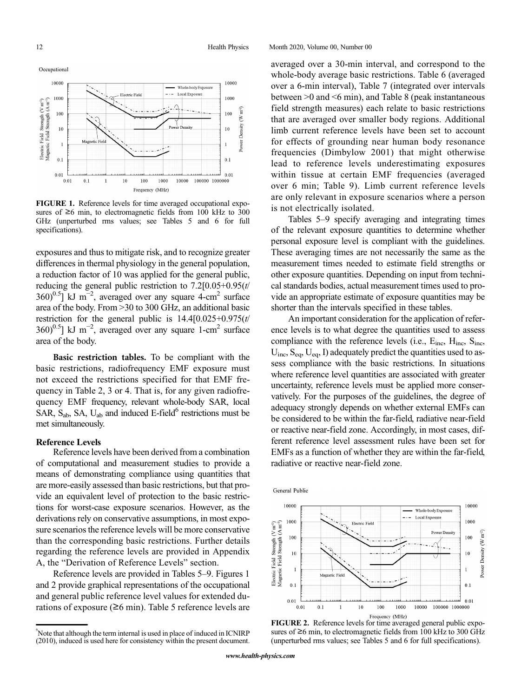

FIGURE 1. Reference levels for time averaged occupational exposures of  $\geq 6$  min, to electromagnetic fields from 100 kHz to 300 GHz (unperturbed rms values; see Tables 5 and 6 for full specifications).

exposures and thus to mitigate risk, and to recognize greater differences in thermal physiology in the general population, a reduction factor of 10 was applied for the general public, reducing the general public restriction to  $7.2[0.05+0.95(t)]$  $(360)^{0.5}$  kJ m<sup>-2</sup>, averaged over any square 4-cm<sup>2</sup> surface area of the body. From >30 to 300 GHz, an additional basic restriction for the general public is  $14.4[0.025+0.975(t)$  $360)^{0.5}$ ] kJ m<sup>-2</sup>, averaged over any square 1-cm<sup>2</sup> surface area of the body.

Basic restriction tables. To be compliant with the basic restrictions, radiofrequency EMF exposure must not exceed the restrictions specified for that EMF frequency in Table 2, 3 or 4. That is, for any given radiofrequency EMF frequency, relevant whole-body SAR, local SAR,  $S_{ab}$ , SA,  $U_{ab}$  and induced E-field<sup>6</sup> restrictions must be met simultaneously.

#### Reference Levels

Reference levels have been derived from a combination of computational and measurement studies to provide a means of demonstrating compliance using quantities that are more-easily assessed than basic restrictions, but that provide an equivalent level of protection to the basic restrictions for worst-case exposure scenarios. However, as the derivations rely on conservative assumptions, in most exposure scenarios the reference levels will be more conservative than the corresponding basic restrictions. Further details regarding the reference levels are provided in Appendix A, the "Derivation of Reference Levels" section.

Reference levels are provided in Tables 5–9. Figures 1 and 2 provide graphical representations of the occupational and general public reference level values for extended durations of exposure (≥6 min). Table 5 reference levels are averaged over a 30-min interval, and correspond to the whole-body average basic restrictions. Table 6 (averaged over a 6-min interval), Table 7 (integrated over intervals between  $>0$  and  $\leq 6$  min), and Table 8 (peak instantaneous field strength measures) each relate to basic restrictions that are averaged over smaller body regions. Additional limb current reference levels have been set to account for effects of grounding near human body resonance frequencies (Dimbylow 2001) that might otherwise lead to reference levels underestimating exposures within tissue at certain EMF frequencies (averaged over 6 min; Table 9). Limb current reference levels are only relevant in exposure scenarios where a person is not electrically isolated.

Tables 5–9 specify averaging and integrating times of the relevant exposure quantities to determine whether personal exposure level is compliant with the guidelines. These averaging times are not necessarily the same as the measurement times needed to estimate field strengths or other exposure quantities. Depending on input from technical standards bodies, actual measurement times used to provide an appropriate estimate of exposure quantities may be shorter than the intervals specified in these tables.

An important consideration for the application of reference levels is to what degree the quantities used to assess compliance with the reference levels (i.e., Einc, Hinc, Sinc,  $U_{\text{inc}}$ ,  $S_{\text{eq}}$ ,  $U_{\text{eq}}$ , I) adequately predict the quantities used to assess compliance with the basic restrictions. In situations where reference level quantities are associated with greater uncertainty, reference levels must be applied more conservatively. For the purposes of the guidelines, the degree of adequacy strongly depends on whether external EMFs can be considered to be within the far-field, radiative near-field or reactive near-field zone. Accordingly, in most cases, different reference level assessment rules have been set for EMFs as a function of whether they are within the far-field, radiative or reactive near-field zone.

General Public



FIGURE 2. Reference levels for time averaged general public exposures of ≥6 min, to electromagnetic fields from 100 kHz to 300 GHz (unperturbed rms values; see Tables 5 and 6 for full specifications).

<sup>6</sup> Note that although the term internal is used in place of induced in ICNIRP (2010), induced is used here for consistency within the present document.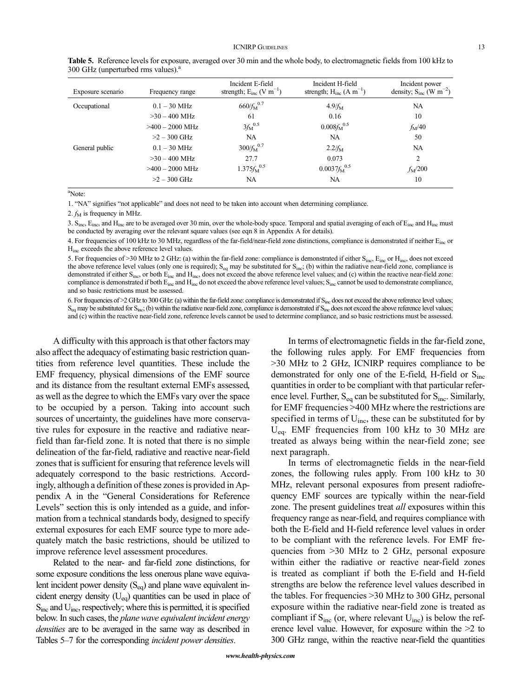| Exposure scenario | Frequency range | Incident E-field<br>strength; $E_{inc}$ (V m <sup>-1</sup> ) | Incident H-field<br>strength; $H_{inc}(A m^{-1})$ | Incident power<br>density; $S_{inc}$ (W m <sup>-2</sup> ) |
|-------------------|-----------------|--------------------------------------------------------------|---------------------------------------------------|-----------------------------------------------------------|
| Occupational      | $0.1 - 30$ MHz  | $660/f_{\rm M}^{0.7}$                                        | $4.9/f_{\rm M}$                                   | NA                                                        |
|                   | $>30-400$ MHz   | 61                                                           | 0.16                                              | 10                                                        |
|                   | $>400-2000$ MHz | $3f_{\rm M}^{0.5}$                                           | $0.008 f_{\rm M}^{0.5}$                           | $f_{\rm M}/40$                                            |
|                   | $>2 - 300$ GHz  | NA                                                           | NA                                                | 50                                                        |
| General public    | $0.1 - 30$ MHz  | $300/f_{\rm M}^{0.7}$                                        | $2.2/f_{\rm M}$                                   | NA                                                        |
|                   | $>30-400$ MHz   | 27.7                                                         | 0.073                                             | 2                                                         |
|                   | $>400-2000$ MHz | $1.375 f_{\rm M}^{0.5}$                                      | $0.0037 f_{\rm M}^{0.5}$                          | $f_{\rm M}$ /200                                          |
|                   | $>2 - 300$ GHz  | NA                                                           | NA                                                | 10                                                        |

Table 5. Reference levels for exposure, averaged over 30 min and the whole body, to electromagnetic fields from 100 kHz to 300 GHz (unperturbed rms values).<sup>a</sup>

a Note:

1. "NA" signifies "not applicable" and does not need to be taken into account when determining compliance.

2.  $f_{\rm M}$  is frequency in MHz.

3.  $S_{\text{inc}}$ , E<sub>inc</sub>, and H<sub>inc</sub> are to be averaged over 30 min, over the whole-body space. Temporal and spatial averaging of each of E<sub>inc</sub> and H<sub>inc</sub> must be conducted by averaging over the relevant square values (see eqn 8 in Appendix A for details).

4. For frequencies of 100 kHz to 30 MHz, regardless of the far-field/near-field zone distinctions, compliance is demonstrated if neither E<sub>inc</sub> or Hinc exceeds the above reference level values.

5. For frequencies of >30 MHz to 2 GHz: (a) within the far-field zone: compliance is demonstrated if either S<sub>inc</sub>, E<sub>inc</sub> or H<sub>inc</sub>, does not exceed the above reference level values (only one is required); S<sub>eq</sub> may be substituted for S<sub>inc</sub>; (b) within the radiative near-field zone, compliance is demonstrated if either  $S_{\text{inc}}$ , or both  $E_{\text{inc}}$  and  $H_{\text{inc}}$ , does not exceed the above reference level values; and (c) within the reactive near-field zone: compliance is demonstrated if both  $E_{inc}$  and  $H_{inc}$  do not exceed the above reference level values;  $S_{inc}$  cannot be used to demonstrate compliance, and so basic restrictions must be assessed.

6. For frequencies of >2 GHz to 300 GHz: (a) within the far-field zone: compliance is demonstrated if  $S<sub>inc</sub>$  does not exceed the above reference level values;  $S_{eq}$  may be substituted for  $S_{inc}$ ; (b) within the radiative near-field zone, compliance is demonstrated if  $S_{inc}$  does not exceed the above reference level values; and (c) within the reactive near-field zone, reference levels cannot be used to determine compliance, and so basic restrictions must be assessed.

A difficulty with this approach is that other factors may also affect the adequacy of estimating basic restriction quantities from reference level quantities. These include the EMF frequency, physical dimensions of the EMF source and its distance from the resultant external EMFs assessed, as well as the degree to which the EMFs vary over the space to be occupied by a person. Taking into account such sources of uncertainty, the guidelines have more conservative rules for exposure in the reactive and radiative nearfield than far-field zone. It is noted that there is no simple delineation of the far-field, radiative and reactive near-field zones that is sufficient for ensuring that reference levels will adequately correspond to the basic restrictions. Accordingly, although a definition of these zones is provided in Appendix A in the "General Considerations for Reference Levels" section this is only intended as a guide, and information from a technical standards body, designed to specify external exposures for each EMF source type to more adequately match the basic restrictions, should be utilized to improve reference level assessment procedures.

Related to the near- and far-field zone distinctions, for some exposure conditions the less onerous plane wave equivalent incident power density  $(S_{eq})$  and plane wave equivalent incident energy density  $(U_{eq})$  quantities can be used in place of  $S<sub>inc</sub>$  and  $U<sub>inc</sub>$ , respectively; where this is permitted, it is specified below. In such cases, the plane wave equivalent incident energy densities are to be averaged in the same way as described in Tables 5–7 for the corresponding incident power densities.

In terms of electromagnetic fields in the far-field zone, the following rules apply. For EMF frequencies from >30 MHz to 2 GHz, ICNIRP requires compliance to be demonstrated for only one of the E-field, H-field or  $S<sub>inc</sub>$ quantities in order to be compliant with that particular reference level. Further,  $S_{eq}$  can be substituted for  $S_{inc}$ . Similarly, for EMF frequencies >400 MHz where the restrictions are specified in terms of  $U_{inc}$ , these can be substituted for by Ueq. EMF frequencies from 100 kHz to 30 MHz are treated as always being within the near-field zone; see next paragraph.

In terms of electromagnetic fields in the near-field zones, the following rules apply. From 100 kHz to 30 MHz, relevant personal exposures from present radiofrequency EMF sources are typically within the near-field zone. The present guidelines treat all exposures within this frequency range as near-field, and requires compliance with both the E-field and H-field reference level values in order to be compliant with the reference levels. For EMF frequencies from >30 MHz to 2 GHz, personal exposure within either the radiative or reactive near-field zones is treated as compliant if both the E-field and H-field strengths are below the reference level values described in the tables. For frequencies >30 MHz to 300 GHz, personal exposure within the radiative near-field zone is treated as compliant if  $S<sub>inc</sub>$  (or, where relevant  $U<sub>inc</sub>$ ) is below the reference level value. However, for exposure within the >2 to 300 GHz range, within the reactive near-field the quantities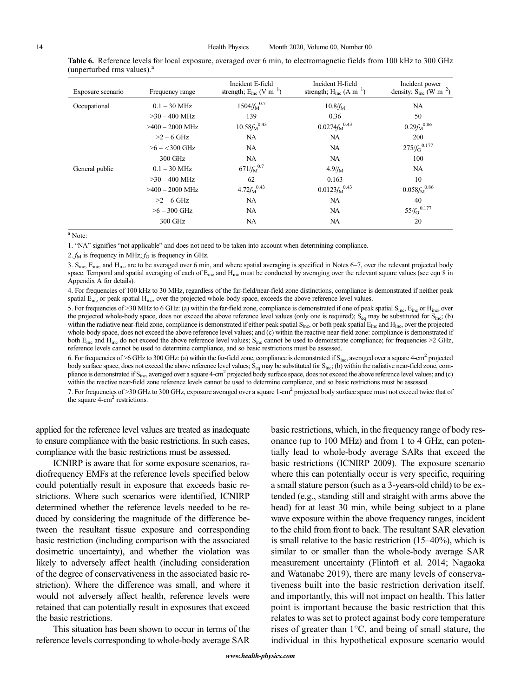| Exposure scenario | Frequency range | Incident E-field<br>strength; $E_{inc}$ (V m <sup>-1</sup> ) | Incident H-field<br>strength; $H_{inc}$ (A m <sup>-1</sup> ) | Incident power<br>density; $S_{inc}$ (W m <sup>-2</sup> ) |
|-------------------|-----------------|--------------------------------------------------------------|--------------------------------------------------------------|-----------------------------------------------------------|
| Occupational      | $0.1 - 30$ MHz  | $1504/f_{\rm M}$ <sup>0.7</sup>                              | $10.8/f_{\rm M}$                                             | <b>NA</b>                                                 |
|                   | $>30-400$ MHz   | 139                                                          | 0.36                                                         | 50                                                        |
|                   | $>400-2000$ MHz | $10.58\ensuremath{f_{\mathrm{M}}}^{0.43}$                    | $0.0274 f_{\rm M}^{0.43}$                                    | $0.29 f_M^{0.86}$                                         |
|                   | $>2-6$ GHz      | NA                                                           | <b>NA</b>                                                    | 200                                                       |
|                   | $>6 - 300 GHz$  | NA                                                           | <b>NA</b>                                                    | $275/f_G^{0.177}$                                         |
|                   | 300 GHz         | NA.                                                          | <b>NA</b>                                                    | 100                                                       |
| General public    | $0.1 - 30$ MHz  | $671/f_{\rm M}^{0.7}$                                        | $4.9/f_{\rm M}$                                              | <b>NA</b>                                                 |
|                   | $>30-400$ MHz   | 62                                                           | 0.163                                                        | 10                                                        |
|                   | $>400-2000$ MHz | $4.72 f_M^{0.43}$                                            | $0.0123 f_{\rm M}^{0.43}$                                    | $0.058\ensuremath{f_{\mathrm{M}}}^{0.86}$                 |
|                   | $>2-6$ GHz      | NA                                                           | <b>NA</b>                                                    | 40                                                        |
|                   | $>6-300$ GHz    | NA.                                                          | <b>NA</b>                                                    | $55/f_G^{0.177}$                                          |
|                   | 300 GHz         | NA                                                           | NA                                                           | 20                                                        |

Table 6. Reference levels for local exposure, averaged over 6 min, to electromagnetic fields from 100 kHz to 300 GHz (unperturbed rms values). $a$ 

<sup>a</sup> Note:

1. "NA" signifies "not applicable" and does not need to be taken into account when determining compliance.

2.  $f_{\rm M}$  is frequency in MHz;  $f_{\rm G}$  is frequency in GHz.

3.  $S<sub>inc</sub>$ , Einc, and H<sub>inc</sub> are to be averaged over 6 min, and where spatial averaging is specified in Notes 6–7, over the relevant projected body space. Temporal and spatial averaging of each of  $E_{inc}$  and  $H_{inc}$  must be conducted by averaging over the relevant square values (see eqn 8 in Appendix A for details).

4. For frequencies of 100 kHz to 30 MHz, regardless of the far-field/near-field zone distinctions, compliance is demonstrated if neither peak spatial E<sub>inc</sub> or peak spatial H<sub>inc</sub>, over the projected whole-body space, exceeds the above reference level values.

5. For frequencies of >30 MHz to 6 GHz: (a) within the far-field zone, compliance is demonstrated if one of peak spatial  $S_{inc}$ ,  $E_{inc}$  or  $H_{inc}$ , over the projected whole-body space, does not exceed the above reference level values (only one is required);  $S_{eq}$  may be substituted for  $S_{inc}$ ; (b) within the radiative near-field zone, compliance is demonstrated if either peak spatial S<sub>inc</sub>, or both peak spatial E<sub>inc</sub> and H<sub>inc</sub>, over the projected whole-body space, does not exceed the above reference level values; and (c) within the reactive near-field zone: compliance is demonstrated if both  $E_{inc}$  and  $H_{inc}$  do not exceed the above reference level values;  $S_{inc}$  cannot be used to demonstrate compliance; for frequencies  $\geq 2$  GHz, reference levels cannot be used to determine compliance, and so basic restrictions must be assessed.

6. For frequencies of >6 GHz to 300 GHz: (a) within the far-field zone, compliance is demonstrated if  $S_{inc}$ , averaged over a square 4-cm<sup>2</sup> projected body surface space, does not exceed the above reference level values; S<sub>eq</sub> may be substituted for S<sub>inc</sub>; (b) within the radiative near-field zone, compliance is demonstrated if S<sub>inc</sub>, averaged over a square 4-cm<sup>2</sup> projected body surface space, does not exceed the above reference level values; and (c) within the reactive near-field zone reference levels cannot be used to determine compliance, and so basic restrictions must be assessed.

7. For frequencies of >30 GHz to 300 GHz, exposure averaged over a square 1-cm<sup>2</sup> projected body surface space must not exceed twice that of the square  $4$ -cm<sup>2</sup> restrictions.

applied for the reference level values are treated as inadequate to ensure compliance with the basic restrictions. In such cases, compliance with the basic restrictions must be assessed.

ICNIRP is aware that for some exposure scenarios, radiofrequency EMFs at the reference levels specified below could potentially result in exposure that exceeds basic restrictions. Where such scenarios were identified, ICNIRP determined whether the reference levels needed to be reduced by considering the magnitude of the difference between the resultant tissue exposure and corresponding basic restriction (including comparison with the associated dosimetric uncertainty), and whether the violation was likely to adversely affect health (including consideration of the degree of conservativeness in the associated basic restriction). Where the difference was small, and where it would not adversely affect health, reference levels were retained that can potentially result in exposures that exceed the basic restrictions.

This situation has been shown to occur in terms of the reference levels corresponding to whole-body average SAR

basic restrictions, which, in the frequency range of body resonance (up to 100 MHz) and from 1 to 4 GHz, can potentially lead to whole-body average SARs that exceed the basic restrictions (ICNIRP 2009). The exposure scenario where this can potentially occur is very specific, requiring a small stature person (such as a 3-years-old child) to be extended (e.g., standing still and straight with arms above the head) for at least 30 min, while being subject to a plane wave exposure within the above frequency ranges, incident to the child from front to back. The resultant SAR elevation is small relative to the basic restriction (15–40%), which is similar to or smaller than the whole-body average SAR measurement uncertainty (Flintoft et al. 2014; Nagaoka and Watanabe 2019), there are many levels of conservativeness built into the basic restriction derivation itself, and importantly, this will not impact on health. This latter point is important because the basic restriction that this relates to was set to protect against body core temperature rises of greater than 1°C, and being of small stature, the individual in this hypothetical exposure scenario would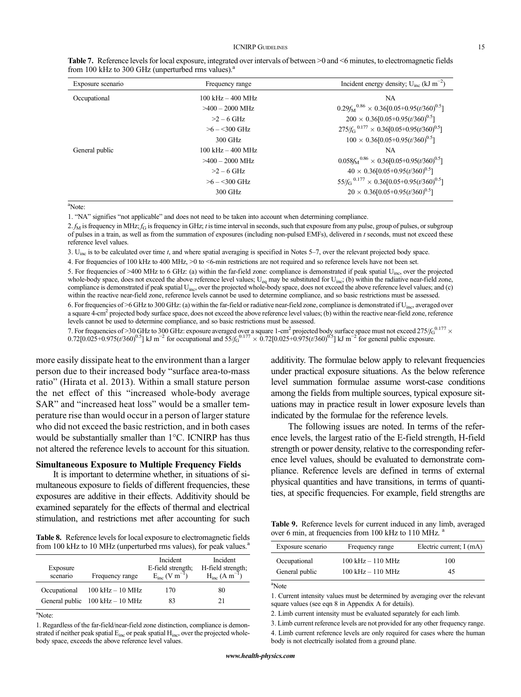| Exposure scenario | Frequency range                     | Incident energy density; $U_{inc}$ (kJ m <sup>-2</sup> )     |
|-------------------|-------------------------------------|--------------------------------------------------------------|
| Occupational      | $100 \text{ kHz} - 400 \text{ MHz}$ | NA.                                                          |
|                   | $>400 - 2000$ MHz                   | $0.29 f_{\rm M}^{0.86} \times 0.36[0.05+0.95(t/360)^{0.5}]$  |
|                   | $>2-6$ GHz                          | $200 \times 0.36[0.05+0.95(t/360)^{0.5}]$                    |
|                   | $>6 - 300$ GHz                      | $275/f_G^{0.177} \times 0.36[0.05+0.95(t/360)^{0.5}]$        |
|                   | 300 GHz                             | $100 \times 0.36[0.05+0.95(t/360)^{0.5}]$                    |
| General public    | $100 \text{ kHz} - 400 \text{ MHz}$ | NA.                                                          |
|                   | $>400 - 2000$ MHz                   | $0.058 f_{\rm M}^{0.86} \times 0.36[0.05+0.95(t/360)^{0.5}]$ |
|                   | $>2 - 6$ GHz                        | $40 \times 0.36[0.05+0.95(t/360)^{0.5}]$                     |
|                   | $>6 - 300$ GHz                      | $55/f_G^{0.177} \times 0.36[0.05+0.95(t/360)^{0.5}]$         |
|                   | 300 GHz                             | $20 \times 0.36[0.05+0.95(t/360)^{0.5}]$                     |

Table 7. Reference levels for local exposure, integrated over intervals of between >0 and <6 minutes, to electromagnetic fields from 100 kHz to 300 GHz (unperturbed rms values). $a^2$ 

a Note:

1. "NA" signifies "not applicable" and does not need to be taken into account when determining compliance.

2.  $f_M$  is frequency in MHz;  $f_G$  is frequency in GHz; t is time interval in seconds, such that exposure from any pulse, group of pulses, or subgroup of pulses in a train, as well as from the summation of exposures (including non-pulsed EMFs), delivered in t seconds, must not exceed these reference level values.

3. Uinc is to be calculated over time t, and where spatial averaging is specified in Notes 5–7, over the relevant projected body space.

4. For frequencies of 100 kHz to 400 MHz, >0 to <6-min restrictions are not required and so reference levels have not been set.

5. For frequencies of >400 MHz to 6 GHz: (a) within the far-field zone: compliance is demonstrated if peak spatial  $U_{inc}$ , over the projected whole-body space, does not exceed the above reference level values; U<sub>eq</sub> may be substituted for U<sub>inc</sub>; (b) within the radiative near-field zone, compliance is demonstrated if peak spatial U<sub>inc</sub>, over the projected whole-body space, does not exceed the above reference level values; and (c) within the reactive near-field zone, reference levels cannot be used to determine compliance, and so basic restrictions must be assessed. 6. For frequencies of >6 GHz to 300 GHz: (a) within the far-field or radiative near-field zone, compliance is demonstrated if Uinc, averaged over a square 4-cm<sup>2</sup> projected body surface space, does not exceed the above reference level values; (b) within the reactive near-field zone, reference

levels cannot be used to determine compliance, and so basic restrictions must be assessed.

7. For frequencies of >30 GHz to 300 GHz: exposure averaged over a square 1-cm<sup>2</sup> projected body surface space must not exceed  $275/f_0^{0.177} \times 0.72[0.025+0.975(t/360)^{0.5}]$  kJ m<sup>-2</sup> for general public exposure.

more easily dissipate heat to the environment than a larger person due to their increased body "surface area-to-mass ratio" (Hirata et al. 2013). Within a small stature person the net effect of this "increased whole-body average SAR" and "increased heat loss" would be a smaller temperature rise than would occur in a person of larger stature who did not exceed the basic restriction, and in both cases would be substantially smaller than 1°C. ICNIRP has thus not altered the reference levels to account for this situation.

#### Simultaneous Exposure to Multiple Frequency Fields

It is important to determine whether, in situations of simultaneous exposure to fields of different frequencies, these exposures are additive in their effects. Additivity should be examined separately for the effects of thermal and electrical stimulation, and restrictions met after accounting for such

Table 8. Reference levels for local exposure to electromagnetic fields from 100 kHz to 10 MHz (unperturbed rms values), for peak values.<sup>a</sup>

| Exposure<br>scenario | Frequency range                                   | Incident<br>E-field strength;<br>$E_{inc}$ (V m <sup>-1</sup> ) | Incident<br>H-field strength;<br>$H_{inc}$ (A m <sup>-1</sup> ) |
|----------------------|---------------------------------------------------|-----------------------------------------------------------------|-----------------------------------------------------------------|
| Occupational         | $100$ kHz $-10$ MHz                               | 170                                                             | 80                                                              |
|                      | General public $100 \text{ kHz} - 10 \text{ MHz}$ | 83                                                              | 21                                                              |

a Note:

1. Regardless of the far-field/near-field zone distinction, compliance is demonstrated if neither peak spatial  $E_{inc}$  or peak spatial  $H_{inc}$ , over the projected wholebody space, exceeds the above reference level values.

additivity. The formulae below apply to relevant frequencies under practical exposure situations. As the below reference level summation formulae assume worst-case conditions among the fields from multiple sources, typical exposure situations may in practice result in lower exposure levels than indicated by the formulae for the reference levels.

The following issues are noted. In terms of the reference levels, the largest ratio of the E-field strength, H-field strength or power density, relative to the corresponding reference level values, should be evaluated to demonstrate compliance. Reference levels are defined in terms of external physical quantities and have transitions, in terms of quantities, at specific frequencies. For example, field strengths are

Table 9. Reference levels for current induced in any limb, averaged over 6 min, at frequencies from 100 kHz to 110 MHz. <sup>a</sup>

| Exposure scenario | Frequency range       | Electric current; $I(mA)$ |
|-------------------|-----------------------|---------------------------|
| Occupational      | $100$ kHz $- 110$ MHz | 100                       |
| General public    | $100$ kHz $- 110$ MHz | 45                        |

a Note

1. Current intensity values must be determined by averaging over the relevant square values (see eqn 8 in Appendix A for details).

2. Limb current intensity must be evaluated separately for each limb.

3. Limb current reference levels are not provided for any other frequency range.

4. Limb current reference levels are only required for cases where the human

body is not electrically isolated from a ground plane.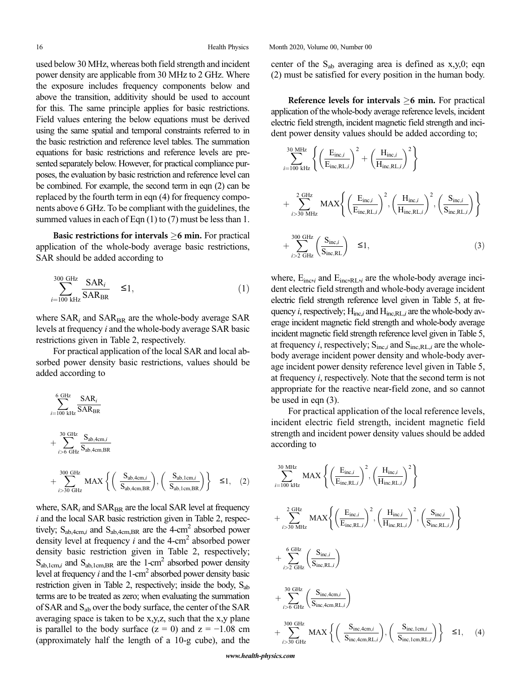used below 30 MHz, whereas both field strength and incident power density are applicable from 30 MHz to 2 GHz. Where the exposure includes frequency components below and above the transition, additivity should be used to account for this. The same principle applies for basic restrictions. Field values entering the below equations must be derived using the same spatial and temporal constraints referred to in the basic restriction and reference level tables. The summation equations for basic restrictions and reference levels are presented separately below. However, for practical compliance purposes, the evaluation by basic restriction and reference level can be combined. For example, the second term in eqn (2) can be replaced by the fourth term in eqn (4) for frequency components above 6 GHz. To be compliant with the guidelines, the summed values in each of Eqn (1) to (7) must be less than 1.

Basic restrictions for intervals  $\geq 6$  min. For practical application of the whole-body average basic restrictions, SAR should be added according to

$$
\sum_{i=100 \text{ kHz}}^{300 \text{ GHz}} \frac{\text{SAR}_i}{\text{SAR}_{\text{BR}}} \leq 1, \tag{1}
$$

where  $SAR_i$  and  $SAR_{BR}$  are the whole-body average  $SAR$ levels at frequency i and the whole-body average SAR basic restrictions given in Table 2, respectively.

For practical application of the local SAR and local absorbed power density basic restrictions, values should be added according to

$$
\sum_{i=100 \text{ kHz}}^{6 \text{ GHz}} \frac{\text{SAR}_{i}}{\text{SAR}_{BR}} + \sum_{i>6 \text{ GHz}}^{30 \text{ GHz}} \frac{\text{S}_{ab,4cm,i}}{\text{S}_{ab,4cm,BR}} + \sum_{i>30 \text{ GHz}}^{30 \text{ GHz}} \text{MAX} \left\{ \left( \frac{\text{S}_{ab,4cm,i}}{\text{S}_{ab,4cm,BR}} \right), \left( \frac{\text{S}_{ab,1cm,i}}{\text{S}_{ab,1cm,BR}} \right) \right\} \le 1, (2)
$$

where,  $SAR_i$  and  $SAR_{BR}$  are the local SAR level at frequency  $i$  and the local SAR basic restriction given in Table 2, respectively;  $S_{ab,4cm,i}$  and  $S_{ab,4cm,BR}$  are the 4-cm<sup>2</sup> absorbed power density level at frequency  $i$  and the 4-cm<sup>2</sup> absorbed power density basic restriction given in Table 2, respectively;  $S_{ab,1cm,i}$  and  $S_{ab,1cm,BR}$  are the 1-cm<sup>2</sup> absorbed power density level at frequency i and the  $1$ -cm<sup>2</sup> absorbed power density basic restriction given in Table 2, respectively; inside the body, S<sub>ab</sub> terms are to be treated as zero; when evaluating the summation of SAR and S<sub>ab</sub> over the body surface, the center of the SAR averaging space is taken to be x,y,z, such that the x,y plane is parallel to the body surface  $(z = 0)$  and  $z = -1.08$  cm (approximately half the length of a 10-g cube), and the

center of the  $S_{ab}$  averaging area is defined as x,y,0; eqn (2) must be satisfied for every position in the human body.

Reference levels for intervals  $\geq 6$  min. For practical application of the whole-body average reference levels, incident electric field strength, incident magnetic field strength and incident power density values should be added according to;

$$
\sum_{i=100 \text{ kHz}}^{30 \text{ MHz}} \left\{ \left( \frac{E_{\text{inc},i}}{E_{\text{inc},RL,i}} \right)^2 + \left( \frac{H_{\text{inc},i}}{H_{\text{inc},RL,i}} \right)^2 \right\}
$$
  
+ 
$$
\sum_{i>30 \text{ MHz}}^{2 \text{ GHz}} \text{MAX} \left\{ \left( \frac{E_{\text{inc},i}}{E_{\text{inc},RL,i}} \right)^2, \left( \frac{H_{\text{inc},i}}{H_{\text{inc},RL,i}} \right)^2, \left( \frac{S_{\text{inc},i}}{S_{\text{inc},RL,i}} \right) \right\}
$$
  
+ 
$$
\sum_{i>2 \text{ GHz}}^{300 \text{ GHz}} \left( \frac{S_{\text{inc},i}}{S_{\text{inc},RL}} \right) \le 1, \tag{3}
$$

where,  $E_{inc,i}$  and  $E_{inc,RL,i}$  are the whole-body average incident electric field strength and whole-body average incident electric field strength reference level given in Table 5, at frequency *i*, respectively;  $H_{inc,i}$  and  $H_{inc,RL,i}$  are the whole-body average incident magnetic field strength and whole-body average incident magnetic field strength reference level given in Table 5, at frequency *i*, respectively;  $S_{inc,i}$  and  $S_{inc,RL,i}$  are the wholebody average incident power density and whole-body average incident power density reference level given in Table 5, at frequency i, respectively. Note that the second term is not appropriate for the reactive near-field zone, and so cannot be used in eqn (3).

For practical application of the local reference levels, incident electric field strength, incident magnetic field strength and incident power density values should be added according to

$$
\sum_{i=100 \text{ kHz}}^{30 \text{ MHz}} \text{MAX} \left\{ \left( \frac{E_{\text{inc},i}}{E_{\text{inc},RL,i}} \right)^2, \left( \frac{H_{\text{inc},i}}{H_{\text{inc},RL,i}} \right)^2 \right\}
$$
  
+ 
$$
\sum_{i>30 \text{ MHz}}^{2 \text{ GHz}} \text{MAX} \left\{ \left( \frac{E_{\text{inc},i}}{E_{\text{inc},RL,i}} \right)^2, \left( \frac{H_{\text{inc},i}}{H_{\text{inc},RL,i}} \right)^2, \left( \frac{S_{\text{inc},i}}{S_{\text{inc},RL,i}} \right) \right\}
$$
  
+ 
$$
\sum_{i>30 \text{ GHz}}^{6 \text{ GHz}} \left( \frac{S_{\text{inc},i}}{S_{\text{inc},RL,i}} \right)
$$
  
+ 
$$
\sum_{i>6 \text{ GHz}}^{30 \text{ GHz}} \left( \frac{S_{\text{inc},4\text{cm},i}}{S_{\text{inc},4\text{cm},RL,i}} \right)
$$
  
+ 
$$
\sum_{i>30 \text{ GHz}}^{30 \text{ GHz}} \text{MAX} \left\{ \left( \frac{S_{\text{inc},4\text{cm},i}}{S_{\text{inc},4\text{cm},RL,i}} \right), \left( \frac{S_{\text{inc},1\text{cm},i}}{S_{\text{inc},1\text{cm},RL,i}} \right) \right\} \le 1, \quad (4)
$$

[www.health-physics.com](http://www.health-physics.com)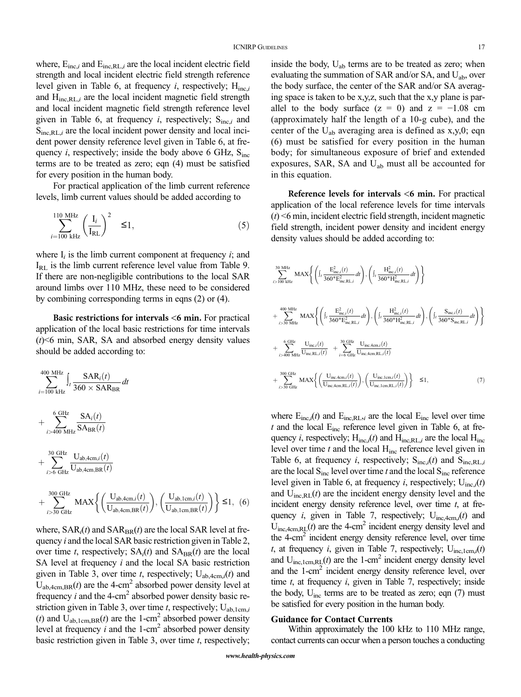where,  $E_{inc,i}$  and  $E_{inc,RL,i}$  are the local incident electric field strength and local incident electric field strength reference level given in Table 6, at frequency *i*, respectively;  $H_{inc,i}$ and  $H_{inc,RL,i}$  are the local incident magnetic field strength and local incident magnetic field strength reference level given in Table 6, at frequency *i*, respectively;  $S_{inc,i}$  and  $S_{inc,RL,i}$  are the local incident power density and local incident power density reference level given in Table 6, at frequency *i*, respectively; inside the body above 6 GHz,  $S_{inc}$ terms are to be treated as zero; eqn (4) must be satisfied for every position in the human body.

For practical application of the limb current reference levels, limb current values should be added according to

$$
\sum_{i=100 \text{ kHz}}^{110 \text{ MHz}} \left(\frac{\mathbf{I}_i}{\mathbf{I}_{\text{RL}}}\right)^2 \le 1, \tag{5}
$$

where  $I_i$  is the limb current component at frequency *i*; and  $I_{RL}$  is the limb current reference level value from Table 9. If there are non-negligible contributions to the local SAR around limbs over 110 MHz, these need to be considered by combining corresponding terms in eqns (2) or (4).

Basic restrictions for intervals <6 min. For practical application of the local basic restrictions for time intervals  $(t)$   $\leq$  6 min, SAR, SA and absorbed energy density values should be added according to:

$$
\sum_{i=100 \text{ kHz}}^{400 \text{ MHz}} \int_{t} \frac{\text{SAR}_{i}(t)}{360 \times \text{SAR}_{\text{BR}}} dt
$$
  
+ 
$$
\sum_{i>400 \text{ MHz}}^{6 \text{ GHz}} \frac{\text{SA}_{i}(t)}{\text{SA}_{\text{BR}}(t)}
$$
  
+ 
$$
\sum_{i>6 \text{ GHz}}^{30 \text{ GHz}} \frac{\text{U}_{ab,4cm,i}(t)}{\text{U}_{ab,4cm,BR}(t)}
$$
  
+ 
$$
\sum_{i>30 \text{ GHz}}^{300 \text{ GHz}} \text{MAX} \left\{ \left( \frac{\text{U}_{ab,4cm,i}(t)}{\text{U}_{ab,4cm,BR}(t)} \right), \left( \frac{\text{U}_{ab,1cm,i}(t)}{\text{U}_{ab,1cm,BR}(t)} \right) \right\} \le 1, (6)
$$

where,  $SAR_i(t)$  and  $SAR_{BR}(t)$  are the local SAR level at frequency i and the local SAR basic restriction given in Table 2, over time t, respectively;  $SA_i(t)$  and  $SA_{BR}(t)$  are the local SA level at frequency *i* and the local SA basic restriction given in Table 3, over time t, respectively;  $U_{ab,4cm,i}(t)$  and  $U_{ab,4cm,BR}(t)$  are the 4-cm<sup>2</sup> absorbed power density level at frequency i and the 4-cm<sup>2</sup> absorbed power density basic restriction given in Table 3, over time t, respectively;  $U_{ab,1cm,i}$ (t) and  $U_{ab,1cm,BR}(t)$  are the 1-cm<sup>2</sup> absorbed power density level at frequency i and the  $1$ -cm<sup>2</sup> absorbed power density basic restriction given in Table 3, over time  $t$ , respectively; inside the body, Uab terms are to be treated as zero; when evaluating the summation of SAR and/or SA, and Uab, over the body surface, the center of the SAR and/or SA averaging space is taken to be x,y,z, such that the x,y plane is parallel to the body surface  $(z = 0)$  and  $z = -1.08$  cm (approximately half the length of a 10-g cube), and the center of the  $U_{ab}$  averaging area is defined as x,y,0; eqn (6) must be satisfied for every position in the human body; for simultaneous exposure of brief and extended exposures, SAR, SA and Uab must all be accounted for in this equation.

Reference levels for intervals <6 min. For practical application of the local reference levels for time intervals  $(t)$  <6 min, incident electric field strength, incident magnetic field strength, incident power density and incident energy density values should be added according to:

$$
\sum_{i>100 \text{ kHz}}^{30 \text{ MHz}} \text{MAX} \left\{ \left( J_{i} \frac{E_{\text{inc},i}^{2}(t)}{360*E_{\text{inc},RL,i}^{2}} dt \right), \left( J_{i} \frac{H_{\text{inc},i}^{2}(t)}{360*H_{\text{inc},RL,i}^{2}} dt \right) \right\}
$$
\n
$$
+ \sum_{i>30 \text{ MHz}}^{400 \text{ MHz}} \text{MAX} \left\{ \left( J_{i} \frac{E_{\text{inc},i}^{2}(t)}{360*E_{\text{inc},RL,i}^{2}} dt \right), \left( J_{i} \frac{H_{\text{inc},i}^{2}(t)}{360*H_{\text{inc},RL,i}^{2}} dt \right), \left( J_{i} \frac{S_{\text{inc},i}(t)}{360*S_{\text{inc},RL,i}} dt \right) \right\}
$$
\n
$$
+ \sum_{i>30 \text{ MHz}}^{6 \text{ GHz}} \frac{U_{\text{inc},i}(t)}{U_{\text{inc},RL,i}(t)} + \sum_{i=6 \text{ GHz}}^{30 \text{ GHz}} \frac{U_{\text{inc},4\text{cm},i}(t)}{U_{\text{inc},4\text{cm},RL,i}(t)}
$$
\n
$$
+ \sum_{i>30 \text{ GHz}}^{300 \text{ GHz}} \text{MAX} \left\{ \left( \frac{U_{\text{inc},4\text{cm},k,i}(t)}{U_{\text{inc},4\text{cm},RL,i}(t)} \right), \left( \frac{U_{\text{inc},1\text{cm},i}(t)}{U_{\text{inc},1\text{cm},k,i}(t)} \right) \right\} \leq 1, \tag{7}
$$

where  $E_{inc,i}(t)$  and  $E_{inc,RL,i}$  are the local  $E_{inc}$  level over time  $t$  and the local  $E_{inc}$  reference level given in Table 6, at frequency *i*, respectively;  $H_{inc,i}(t)$  and  $H_{inc,RL,i}$  are the local  $H_{inc}$ level over time  $t$  and the local  $H_{inc}$  reference level given in Table 6, at frequency *i*, respectively;  $S_{inc,i}(t)$  and  $S_{inc,RL,i}$ are the local  $S_{inc}$  level over time t and the local  $S_{inc}$  reference level given in Table 6, at frequency *i*, respectively;  $U_{inc,i}(t)$ and  $U_{\text{inc,RL}}(t)$  are the incident energy density level and the incident energy density reference level, over time  $t$ , at frequency *i*, given in Table 7, respectively;  $U_{inc,4cm,i}(t)$  and  $U_{\text{inc,4cm,RL}}(t)$  are the 4-cm<sup>2</sup> incident energy density level and the 4-cm2 incident energy density reference level, over time t, at frequency i, given in Table 7, respectively;  $U_{inc,1cm,i}(t)$ and  $U_{\text{inc,1cm,RL}}(t)$  are the 1-cm<sup>2</sup> incident energy density level and the 1-cm<sup>2</sup> incident energy density reference level, over time  $t$ , at frequency  $i$ , given in Table 7, respectively; inside the body,  $U_{inc}$  terms are to be treated as zero; eqn  $(7)$  must be satisfied for every position in the human body.

#### Guidance for Contact Currents

Within approximately the 100 kHz to 110 MHz range, contact currents can occur when a person touches a conducting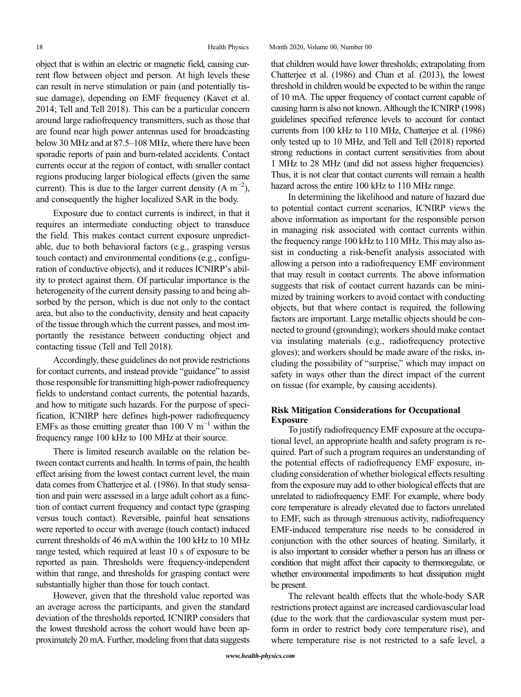object that is within an electric or magnetic field, causing current flow between object and person. At high levels these can result in nerve stimulation or pain (and potentially tissue damage), depending on EMF frequency (Kavet et al. 2014; Tell and Tell 2018). This can be a particular concern around large radiofrequency transmitters, such as those that are found near high power antennas used for broadcasting below 30 MHz and at 87.5–108 MHz, where there have been sporadic reports of pain and burn-related accidents. Contact currents occur at the region of contact, with smaller contact regions producing larger biological effects (given the same current). This is due to the larger current density  $(A m^{-2})$ , and consequently the higher localized SAR in the body.

Exposure due to contact currents is indirect, in that it requires an intermediate conducting object to transduce the field. This makes contact current exposure unpredictable, due to both behavioral factors (e.g., grasping versus touch contact) and environmental conditions (e.g., configuration of conductive objects), and it reduces ICNIRP's ability to protect against them. Of particular importance is the heterogeneity of the current density passing to and being absorbed by the person, which is due not only to the contact area, but also to the conductivity, density and heat capacity of the tissue through which the current passes, and most importantly the resistance between conducting object and contacting tissue (Tell and Tell 2018).

Accordingly, these guidelines do not provide restrictions for contact currents, and instead provide "guidance" to assist those responsible for transmitting high-power radiofrequency fields to understand contact currents, the potential hazards, and how to mitigate such hazards. For the purpose of specification, ICNIRP here defines high-power radiofrequency EMFs as those emitting greater than 100 V  $m^{-1}$  within the frequency range 100 kHz to 100 MHz at their source.

There is limited research available on the relation between contact currents and health. In terms of pain, the health effect arising from the lowest contact current level, the main data comes from Chatterjee et al. (1986). In that study sensation and pain were assessed in a large adult cohort as a function of contact current frequency and contact type (grasping versus touch contact). Reversible, painful heat sensations were reported to occur with average (touch contact) induced current thresholds of 46 mA within the 100 kHz to 10 MHz range tested, which required at least 10 s of exposure to be reported as pain. Thresholds were frequency-independent within that range, and thresholds for grasping contact were substantially higher than those for touch contact.

However, given that the threshold value reported was an average across the participants, and given the standard deviation of the thresholds reported, ICNIRP considers that the lowest threshold across the cohort would have been approximately 20 mA. Further, modeling from that data suggests

18 Health Physics Month 2020, Volume 00, Number 00

that children would have lower thresholds; extrapolating from Chatterjee et al. (1986) and Chan et al. (2013), the lowest threshold in children would be expected to be within the range of 10 mA. The upper frequency of contact current capable of causing harm is also not known. Although the ICNIRP (1998) guidelines specified reference levels to account for contact currents from 100 kHz to 110 MHz, Chatterjee et al. (1986) only tested up to 10 MHz, and Tell and Tell (2018) reported strong reductions in contact current sensitivities from about 1 MHz to 28 MHz (and did not assess higher frequencies). Thus, it is not clear that contact currents will remain a health hazard across the entire 100 kHz to 110 MHz range.

In determining the likelihood and nature of hazard due to potential contact current scenarios, ICNIRP views the above information as important for the responsible person in managing risk associated with contact currents within the frequency range 100 kHz to 110 MHz. This may also assist in conducting a risk-benefit analysis associated with allowing a person into a radiofrequency EMF environment that may result in contact currents. The above information suggests that risk of contact current hazards can be minimized by training workers to avoid contact with conducting objects, but that where contact is required, the following factors are important. Large metallic objects should be connected to ground (grounding); workers should make contact via insulating materials (e.g., radiofrequency protective gloves); and workers should be made aware of the risks, including the possibility of "surprise," which may impact on safety in ways other than the direct impact of the current on tissue (for example, by causing accidents).

#### Risk Mitigation Considerations for Occupational Exposure

To justify radiofrequency EMF exposure at the occupational level, an appropriate health and safety program is required. Part of such a program requires an understanding of the potential effects of radiofrequency EMF exposure, including consideration of whether biological effects resulting from the exposure may add to other biological effects that are unrelated to radiofrequency EMF. For example, where body core temperature is already elevated due to factors unrelated to EMF, such as through strenuous activity, radiofrequency EMF-induced temperature rise needs to be considered in conjunction with the other sources of heating. Similarly, it is also important to consider whether a person has an illness or condition that might affect their capacity to thermoregulate, or whether environmental impediments to heat dissipation might be present.

The relevant health effects that the whole-body SAR restrictions protect against are increased cardiovascular load (due to the work that the cardiovascular system must perform in order to restrict body core temperature rise), and where temperature rise is not restricted to a safe level, a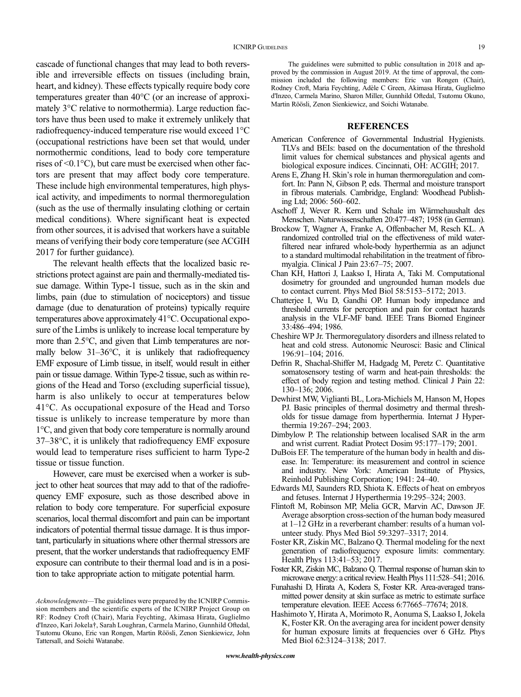cascade of functional changes that may lead to both reversible and irreversible effects on tissues (including brain, heart, and kidney). These effects typically require body core temperatures greater than 40°C (or an increase of approximately 3°C relative to normothermia). Large reduction factors have thus been used to make it extremely unlikely that radiofrequency-induced temperature rise would exceed 1°C (occupational restrictions have been set that would, under normothermic conditions, lead to body core temperature rises of <0.1°C), but care must be exercised when other factors are present that may affect body core temperature. These include high environmental temperatures, high physical activity, and impediments to normal thermoregulation (such as the use of thermally insulating clothing or certain medical conditions). Where significant heat is expected from other sources, it is advised that workers have a suitable means of verifying their body core temperature (see ACGIH 2017 for further guidance).

The relevant health effects that the localized basic restrictions protect against are pain and thermally-mediated tissue damage. Within Type-1 tissue, such as in the skin and limbs, pain (due to stimulation of nociceptors) and tissue damage (due to denaturation of proteins) typically require temperatures above approximately 41°C. Occupational exposure of the Limbs is unlikely to increase local temperature by more than 2.5°C, and given that Limb temperatures are normally below 31–36°C, it is unlikely that radiofrequency EMF exposure of Limb tissue, in itself, would result in either pain or tissue damage. Within Type-2 tissue, such as within regions of the Head and Torso (excluding superficial tissue), harm is also unlikely to occur at temperatures below 41°C. As occupational exposure of the Head and Torso tissue is unlikely to increase temperature by more than 1°C, and given that body core temperature is normally around 37–38°C, it is unlikely that radiofrequency EMF exposure would lead to temperature rises sufficient to harm Type-2 tissue or tissue function.

However, care must be exercised when a worker is subject to other heat sources that may add to that of the radiofrequency EMF exposure, such as those described above in relation to body core temperature. For superficial exposure scenarios, local thermal discomfort and pain can be important indicators of potential thermal tissue damage. It is thus important, particularly in situations where other thermal stressors are present, that the worker understands that radiofrequency EMF exposure can contribute to their thermal load and is in a position to take appropriate action to mitigate potential harm.

The guidelines were submitted to public consultation in 2018 and approved by the commission in August 2019. At the time of approval, the commission included the following members: Eric van Rongen (Chair), Rodney Croft, Maria Feychting, Adèle C Green, Akimasa Hirata, Guglielmo d'Inzeo, Carmela Marino, Sharon Miller, Gunnhild Oftedal, Tsutomu Okuno, Martin Röösli, Zenon Sienkiewicz, and Soichi Watanabe.

#### **REFERENCES**

- American Conference of Governmental Industrial Hygienists. TLVs and BEIs: based on the documentation of the threshold limit values for chemical substances and physical agents and biological exposure indices. Cincinnati, OH: ACGIH; 2017.
- Arens E, Zhang H. Skin's role in human thermoregulation and comfort. In: Pann N, Gibson P, eds. Thermal and moisture transport in fibrous materials. Cambridge, England: Woodhead Publishing Ltd; 2006: 560–602.
- Aschoff J, Wever R. Kern und Schale im Wärmehaushalt des Menschen. Naturwissenschaften 20:477–487; 1958 (in German).
- Brockow T, Wagner A, Franke A, Offenbacher M, Resch KL. A randomized controlled trial on the effectiveness of mild waterfiltered near infrared whole-body hyperthermia as an adjunct to a standard multimodal rehabilitation in the treatment of fibromyalgia. Clinical J Pain 23:67–75; 2007.
- Chan KH, Hattori J, Laakso I, Hirata A, Taki M. Computational dosimetry for grounded and ungrounded human models due to contact current. Phys Med Biol 58:5153–5172; 2013.
- Chatterjee I, Wu D, Gandhi OP. Human body impedance and threshold currents for perception and pain for contact hazards analysis in the VLF-MF band. IEEE Trans Biomed Engineer 33:486–494; 1986.
- Cheshire WP Jr. Thermoregulatory disorders and illness related to heat and cold stress. Autonomic Neurosci: Basic and Clinical 196:91–104; 2016.
- Defrin R, Shachal-Shiffer M, Hadgadg M, Peretz C. Quantitative somatosensory testing of warm and heat-pain thresholds: the effect of body region and testing method. Clinical J Pain 22: 130–136; 2006.
- Dewhirst MW, Viglianti BL, Lora-Michiels M, Hanson M, Hopes PJ. Basic principles of thermal dosimetry and thermal thresholds for tissue damage from hyperthermia. Internat J Hyperthermia 19:267–294; 2003.
- Dimbylow P. The relationship between localised SAR in the arm and wrist current. Radiat Protect Dosim 95:177–179; 2001.
- DuBois EF. The temperature of the human body in health and disease. In: Temperature: its measurement and control in science and industry. New York: American Institute of Physics, Reinhold Publishing Corporation; 1941: 24–40.
- Edwards MJ, Saunders RD, Shiota K. Effects of heat on embryos and fetuses. Internat J Hyperthermia 19:295–324; 2003.
- Flintoft M, Robinson MP, Melia GCR, Marvin AC, Dawson JF. Average absorption cross-section of the human body measured at 1–12 GHz in a reverberant chamber: results of a human volunteer study. Phys Med Biol 59:3297–3317; 2014.
- Foster KR, Ziskin MC, Balzano Q. Thermal modeling for the next generation of radiofrequency exposure limits: commentary. Health Phys 113:41–53; 2017.
- Foster KR, Ziskin MC, Balzano Q. Thermal response of human skin to microwave energy: a critical review. Health Phys 111:528–541; 2016.
- Funahashi D, Hirata A, Kodera S, Foster KR. Area-averaged transmitted power density at skin surface as metric to estimate surface temperature elevation. IEEE Access 6:77665–77674; 2018.
- Hashimoto Y, Hirata A, Morimoto R, Aonuma S, Laakso I, Jokela K, Foster KR. On the averaging area for incident power density for human exposure limits at frequencies over 6 GHz. Phys Med Biol 62:3124–3138; 2017.

Acknowledgments—The guidelines were prepared by the ICNIRP Commission members and the scientific experts of the ICNIRP Project Group on RF: Rodney Croft (Chair), Maria Feychting, Akimasa Hirata, Guglielmo d'Inzeo, Kari Jokela†, Sarah Loughran, Carmela Marino, Gunnhild Oftedal, Tsutomu Okuno, Eric van Rongen, Martin Röösli, Zenon Sienkiewicz, John Tattersall, and Soichi Watanabe.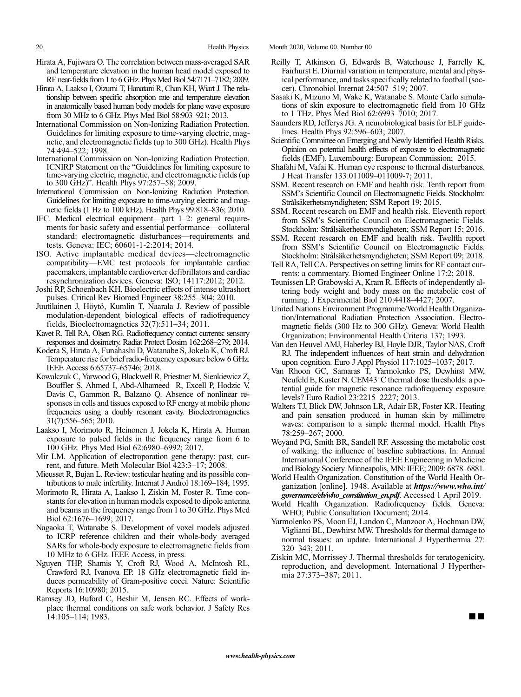- Hirata A, Fujiwara O. The correlation between mass-averaged SAR and temperature elevation in the human head model exposed to RF near-fields from 1 to 6 GHz. Phys Med Biol 54:7171–7182; 2009.
- Hirata A, Laakso I, Oizumi T, Hanatani R, Chan KH, Wiart J. The relationship between specific absorption rate and temperature elevation in anatomically based human body models for plane wave exposure from 30 MHz to 6 GHz. Phys Med Biol 58:903–921; 2013.
- International Commission on Non-Ionizing Radiation Protection. Guidelines for limiting exposure to time-varying electric, magnetic, and electromagnetic fields (up to 300 GHz). Health Phys 74:494–522; 1998.
- International Commission on Non-Ionizing Radiation Protection. ICNIRP Statement on the "Guidelines for limiting exposure to time-varying electric, magnetic, and electromagnetic fields (up to 300 GHz)". Health Phys 97:257–58; 2009.
- International Commission on Non-Ionizing Radiation Protection. Guidelines for limiting exposure to time-varying electric and magnetic fields (1 Hz to 100 kHz). Health Phys 99:818–836; 2010.
- IEC. Medical electrical equipment—part 1–2: general requirements for basic safety and essential performance—collateral standard: electromagnetic disturbances—requirements and tests. Geneva: IEC; 60601-1-2:2014; 2014.
- ISO. Active implantable medical devices—electromagnetic compatibility—EMC test protocols for implantable cardiac pacemakers, implantable cardioverter defibrillators and cardiac resynchronization devices. Geneva: ISO; 14117:2012; 2012.
- Joshi RP, Schoenbach KH. Bioelectric effects of intense ultrashort pulses. Critical Rev Biomed Engineer 38:255–304; 2010.
- Juutilainen J, Höytö, Kumlin T, Naarala J. Review of possible modulation-dependent biological effects of radiofrequency fields, Bioelectromagnetics 32(7):511–34; 2011.
- Kavet R, Tell RA, Olsen RG. Radiofrequency contact currents: sensory responses and dosimetry. Radiat Protect Dosim 162:268–279; 2014.
- Kodera S, Hirata A, Funahashi D, Watanabe S, Jokela K, Croft RJ. Temperature rise for brief radio-frequency exposure below 6 GHz. IEEE Access 6:65737–65746; 2018.
- Kowalczuk C, Yarwood G, Blackwell R, Priestner M, Sienkiewicz Z, Bouffler S, Ahmed I, Abd-Alhameed R, Excell P, Hodzic V, Davis C, Gammon R, Balzano Q. Absence of nonlinear responses in cells and tissues exposed to RF energy at mobile phone frequencies using a doubly resonant cavity. Bioelectromagnetics 31(7):556–565; 2010.
- Laakso I, Morimoto R, Heinonen J, Jokela K, Hirata A. Human exposure to pulsed fields in the frequency range from 6 to 100 GHz. Phys Med Biol 62:6980–6992; 2017.
- Mir LM. Application of electroporation gene therapy: past, current, and future. Meth Molecular Biol 423:3–17; 2008.
- Mieusset R, Bujan L. Review: testicular heating and its possible contributions to male infertility. Internat J Androl 18:169–184; 1995.
- Morimoto R, Hirata A, Laakso I, Ziskin M, Foster R. Time constants for elevation in human models exposed to dipole antenna and beams in the frequency range from 1 to 30 GHz. Phys Med Biol 62:1676–1699; 2017.
- Nagaoka T, Watanabe S. Development of voxel models adjusted to ICRP reference children and their whole-body averaged SARs for whole-body exposure to electromagnetic fields from 10 MHz to 6 GHz. IEEE Access, in press.
- Nguyen THP, Shamis Y, Croft RJ, Wood A, McIntosh RL, Crawford RJ, Ivanova EP. 18 GHz electromagnetic field induces permeability of Gram-positive cocci. Nature: Scientific Reports 16:10980; 2015.
- Ramsey JD, Buford C, Beshir M, Jensen RC. Effects of workplace thermal conditions on safe work behavior. J Safety Res 14:105–114; 1983.
- Reilly T, Atkinson G, Edwards B, Waterhouse J, Farrelly K, Fairhurst E. Diurnal variation in temperature, mental and physical performance, and tasks specifically related to football (soccer). Chronobiol Internat 24:507–519; 2007.
- Sasaki K, Mizuno M, Wake K, Watanabe S. Monte Carlo simulations of skin exposure to electromagnetic field from 10 GHz to 1 THz. Phys Med Biol 62:6993–7010; 2017.
- Saunders RD, Jefferys JG. A neurobiological basis for ELF guidelines. Health Phys 92:596–603; 2007.
- Scientific Committee on Emerging and Newly Identified Health Risks. Opinion on potential health effects of exposure to electromagnetic fields (EMF). Luxembourg: European Commission; 2015.
- Shafahi M, Vafai K. Human eye response to thermal disturbances. J Heat Transfer 133:011009–011009-7; 2011.
- SSM. Recent research on EMF and health risk. Tenth report from SSM's Scientific Council on Electromagnetic Fields. Stockholm: Strålsäkerhetsmyndigheten; SSM Report 19; 2015.
- SSM. Recent research on EMF and health risk. Eleventh report from SSM's Scientific Council on Electromagnetic Fields. Stockholm: Strålsäkerhetsmyndigheten; SSM Report 15; 2016.
- SSM. Recent research on EMF and health risk. Twelfth report from SSM's Scientific Council on Electromagnetic Fields. Stockholm: Strålsäkerhetsmyndigheten; SSM Report 09; 2018.
- Tell RA, Tell CA. Perspectives on setting limits for RF contact currents: a commentary. Biomed Engineer Online 17:2; 2018.
- Teunissen LP, Grabowski A, Kram R. Effects of independently altering body weight and body mass on the metabolic cost of running. J Experimental Biol 210:4418–4427; 2007.
- United Nations Environment Programme/World Health Organization/International Radiation Protection Association. Electromagnetic fields (300 Hz to 300 GHz). Geneva: World Health Organization; Environmental Health Criteria 137; 1993.
- Van den Heuvel AMJ, Haberley BJ, Hoyle DJR, Taylor NAS, Croft RJ. The independent influences of heat strain and dehydration upon cognition. Euro J Appl Physiol 117:1025–1037; 2017.
- Van Rhoon GC, Samaras T, Yarmolenko PS, Dewhirst MW, Neufeld E, Kuster N. CEM43°C thermal dose thresholds: a potential guide for magnetic resonance radiofrequency exposure levels? Euro Radiol 23:2215–2227; 2013.
- Walters TJ, Blick DW, Johnson LR, Adair ER, Foster KR. Heating and pain sensation produced in human skin by millimetre waves: comparison to a simple thermal model. Health Phys 78:259–267; 2000.
- Weyand PG, Smith BR, Sandell RF. Assessing the metabolic cost of walking: the influence of baseline subtractions. In: Annual International Conference of the IEEE Engineering in Medicine and Biology Society. Minneapolis, MN: IEEE; 2009: 6878–6881.
- World Health Organization. Constitution of the World Health Organization [online]. 1948. Available at [https://www.who.int/](https://www.who.int/governance/eb/who_constitution_en.pdf) [governance/eb/who\\_constitution\\_en.pdf](https://www.who.int/governance/eb/who_constitution_en.pdf). Accessed 1 April 2019.
- World Health Organization. Radiofrequency fields. Geneva: WHO; Public Consultation Document; 2014.
- Yarmolenko PS, Moon EJ, Landon C, Manzoor A, Hochman DW, Viglianti BL, Dewhirst MW. Thresholds for thermal damage to normal tissues: an update. International J Hyperthermia 27: 320–343; 2011.
- Ziskin MC, Morrissey J. Thermal thresholds for teratogenicity, reproduction, and development. International J Hyperthermia 27:373–387; 2011.

■■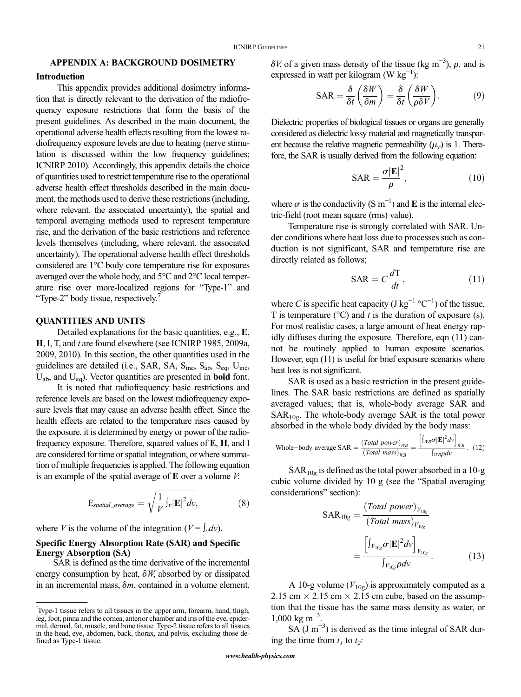#### APPENDIX A: BACKGROUND DOSIMETRY

#### Introduction

This appendix provides additional dosimetry information that is directly relevant to the derivation of the radiofrequency exposure restrictions that form the basis of the present guidelines. As described in the main document, the operational adverse health effects resulting from the lowest radiofrequency exposure levels are due to heating (nerve stimulation is discussed within the low frequency guidelines; ICNIRP 2010). Accordingly, this appendix details the choice of quantities used to restrict temperature rise to the operational adverse health effect thresholds described in the main document, the methods used to derive these restrictions (including, where relevant, the associated uncertainty), the spatial and temporal averaging methods used to represent temperature rise, and the derivation of the basic restrictions and reference levels themselves (including, where relevant, the associated uncertainty). The operational adverse health effect thresholds considered are 1°C body core temperature rise for exposures averaged over the whole body, and 5°C and 2°C local temperature rise over more-localized regions for "Type-1" and "Type-2" body tissue, respectively.<sup>7</sup>

#### QUANTITIES AND UNITS

Detailed explanations for the basic quantities, e.g., E, H, I, T, and t are found elsewhere (see ICNIRP 1985, 2009a, 2009, 2010). In this section, the other quantities used in the guidelines are detailed (i.e., SAR, SA,  $S_{inc}$ ,  $S_{ab}$ ,  $S_{eq}$ ,  $U_{inc}$ ,  $U_{ab}$ , and  $U_{ea}$ ). Vector quantities are presented in **bold** font.

It is noted that radiofrequency basic restrictions and reference levels are based on the lowest radiofrequency exposure levels that may cause an adverse health effect. Since the health effects are related to the temperature rises caused by the exposure, it is determined by energy or power of the radiofrequency exposure. Therefore, squared values of E, H, and I are considered for time or spatial integration, or where summation of multiple frequencies is applied. The following equation is an example of the spatial average of  $E$  over a volume  $V$ :

$$
E_{spatial\_average} = \sqrt{\frac{1}{V} \int_{V} |\mathbf{E}|^2 dv},
$$
 (8)

where V is the volume of the integration ( $V = \int_{v} dv$ ).

#### Specific Energy Absorption Rate (SAR) and Specific Energy Absorption (SA)

SAR is defined as the time derivative of the incremental energy consumption by heat,  $\delta W$ , absorbed by or dissipated in an incremental mass,  $\delta m$ , contained in a volume element,  $\delta V$ , of a given mass density of the tissue (kg m<sup>-3</sup>),  $\rho$ , and is expressed in watt per kilogram (W kg<sup>-1</sup>):

$$
SAR = \frac{\delta}{\delta t} \left( \frac{\delta W}{\delta m} \right) = \frac{\delta}{\delta t} \left( \frac{\delta W}{\rho \delta V} \right). \tag{9}
$$

Dielectric properties of biological tissues or organs are generally considered as dielectric lossy material and magnetically transparent because the relative magnetic permeability  $(\mu_r)$  is 1. Therefore, the SAR is usually derived from the following equation:

$$
SAR = \frac{\sigma |\mathbf{E}|^2}{\rho},\tag{10}
$$

where  $\sigma$  is the conductivity (S m<sup>-1</sup>) and **E** is the internal electric-field (root mean square (rms) value).

Temperature rise is strongly correlated with SAR. Under conditions where heat loss due to processes such as conduction is not significant, SAR and temperature rise are directly related as follows;

$$
SAR = C\frac{dT}{dt},\qquad(11)
$$

where C is specific heat capacity (J kg<sup>-1</sup> °C<sup>-1</sup>) of the tissue, T is temperature  $(^{\circ}C)$  and t is the duration of exposure (s). For most realistic cases, a large amount of heat energy rapidly diffuses during the exposure. Therefore, eqn (11) cannot be routinely applied to human exposure scenarios. However, eqn (11) is useful for brief exposure scenarios where heat loss is not significant.

SAR is used as a basic restriction in the present guidelines. The SAR basic restrictions are defined as spatially averaged values; that is, whole-body average SAR and  $SAR<sub>10g</sub>$ . The whole-body average SAR is the total power absorbed in the whole body divided by the body mass:

Whole–body average SAR = 
$$
\frac{(Total power)_{WB}}{(Total mass)_{WB}} = \frac{\left[\int_{WB} \sigma |\mathbf{E}|^2 dv\right]_{WB}}{\int_{WB} \rho dv}.
$$
 (12)

 $SAR_{10g}$  is defined as the total power absorbed in a 10-g cubic volume divided by 10 g (see the "Spatial averaging considerations" section):

$$
SAR_{10g} = \frac{(Total power)_{V_{10g}}}{(Total mass)_{V_{10g}}} = \frac{\left[\int_{V_{10g}} \sigma |\mathbf{E}|^2 dv\right]_{V_{10g}}}{\int_{V_{10g}} \rho dv}.
$$
 (13)

A 10-g volume  $(V_{10g})$  is approximately computed as a 2.15 cm  $\times$  2.15 cm  $\times$  2.15 cm cube, based on the assumption that the tissue has the same mass density as water, or 1,000 kg m<sup>-3</sup>.

SA ( $\text{J m}^{-3}$ ) is derived as the time integral of SAR during the time from  $t_1$  to  $t_2$ :

Type-1 tissue refers to all tissues in the upper arm, forearm, hand, thigh, leg, foot, pinna and the cornea, anterior chamber and iris of the eye, epidermal, dermal, fat, muscle, and bone tissue. Type-2 tissue refers to all tissues in the head, eye, abdomen, back, thorax, and pelvis, excluding those defined as Type-1 tissue.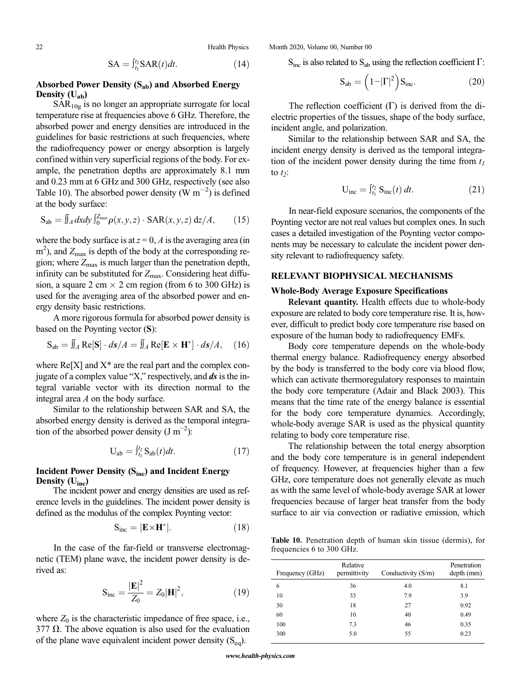22 Health Physics Month 2020, Volume 00, Number 00

 $SA = \int_{t_1}^{t_2} SAR(t)dt.$  (14)

#### Absorbed Power Density  $(S_{ab})$  and Absorbed Energy Density  $(U_{ab})$

 $SAR_{10g}$  is no longer an appropriate surrogate for local temperature rise at frequencies above 6 GHz. Therefore, the absorbed power and energy densities are introduced in the guidelines for basic restrictions at such frequencies, where the radiofrequency power or energy absorption is largely confined within very superficial regions of the body. For example, the penetration depths are approximately 8.1 mm and 0.23 mm at 6 GHz and 300 GHz, respectively (see also Table 10). The absorbed power density  $(W \, \text{m}^{-2})$  is defined at the body surface:

$$
S_{ab} = \iint_A dx dy \int_0^{Z_{max}} \rho(x, y, z) \cdot SAR(x, y, z) dz/A,
$$
 (15)

where the body surface is at  $z = 0$ , A is the averaging area (in  $\text{m}^2$ ), and  $Z_{\text{max}}$  is depth of the body at the corresponding region; where  $Z_{\text{max}}$  is much larger than the penetration depth, infinity can be substituted for  $Z_{\text{max}}$ . Considering heat diffusion, a square 2 cm  $\times$  2 cm region (from 6 to 300 GHz) is used for the averaging area of the absorbed power and energy density basic restrictions.

A more rigorous formula for absorbed power density is based on the Poynting vector (S):

$$
S_{ab} = \mathbb{J}_A \operatorname{Re}[S] \cdot ds / A = \mathbb{J}_A \operatorname{Re}[E \times H^*] \cdot ds / A, \quad (16)
$$

where  $Re[X]$  and  $X^*$  are the real part and the complex conjugate of a complex value "X," respectively, and  $ds$  is the integral variable vector with its direction normal to the integral area  $A$  on the body surface.

Similar to the relationship between SAR and SA, the absorbed energy density is derived as the temporal integration of the absorbed power density  $(J m^{-2})$ :

$$
U_{ab} = \int_{t_1}^{t_2} S_{ab}(t) dt.
$$
 (17)

#### Incident Power Density  $(S_{inc})$  and Incident Energy Density  $(U<sub>inc</sub>)$

The incident power and energy densities are used as reference levels in the guidelines. The incident power density is defined as the modulus of the complex Poynting vector:

$$
S_{inc} = |\mathbf{E} \times \mathbf{H}^*|.
$$
 (18)

In the case of the far-field or transverse electromagnetic (TEM) plane wave, the incident power density is derived as:

$$
\mathbf{S}_{\text{inc}} = \frac{|\mathbf{E}|^2}{Z_0} = Z_0 |\mathbf{H}|^2, \tag{19}
$$

where  $Z_0$  is the characteristic impedance of free space, i.e., 377  $\Omega$ . The above equation is also used for the evaluation of the plane wave equivalent incident power density  $(S_{eq})$ .

$$
S_{inc}
$$
 is also related to  $S_{ab}$  using the reflection coefficient  $\Gamma$ :

$$
S_{ab} = \left(1 - |\Gamma|^2\right) S_{inc}.\tag{20}
$$

The reflection coefficient  $( \Gamma )$  is derived from the dielectric properties of the tissues, shape of the body surface, incident angle, and polarization.

Similar to the relationship between SAR and SA, the incident energy density is derived as the temporal integration of the incident power density during the time from  $t_1$ to  $t_2$ :

$$
U_{inc} = \int_{t_1}^{t_2} S_{inc}(t) \, dt. \tag{21}
$$

In near-field exposure scenarios, the components of the Poynting vector are not real values but complex ones. In such cases a detailed investigation of the Poynting vector components may be necessary to calculate the incident power density relevant to radiofrequency safety.

#### RELEVANT BIOPHYSICAL MECHANISMS

#### Whole-Body Average Exposure Specifications

Relevant quantity. Health effects due to whole-body exposure are related to body core temperature rise. It is, however, difficult to predict body core temperature rise based on exposure of the human body to radiofrequency EMFs.

Body core temperature depends on the whole-body thermal energy balance. Radiofrequency energy absorbed by the body is transferred to the body core via blood flow, which can activate thermoregulatory responses to maintain the body core temperature (Adair and Black 2003). This means that the time rate of the energy balance is essential for the body core temperature dynamics. Accordingly, whole-body average SAR is used as the physical quantity relating to body core temperature rise.

The relationship between the total energy absorption and the body core temperature is in general independent of frequency. However, at frequencies higher than a few GHz, core temperature does not generally elevate as much as with the same level of whole-body average SAR at lower frequencies because of larger heat transfer from the body surface to air via convection or radiative emission, which

Table 10. Penetration depth of human skin tissue (dermis), for frequencies 6 to 300 GHz.

| Frequency (GHz) | Relative<br>permittivity | Conductivity (S/m) | Penetration<br>depth (mm) |
|-----------------|--------------------------|--------------------|---------------------------|
| 6               | 36                       | 4.0                | 8.1                       |
| 10              | 33                       | 7.9                | 3.9                       |
| 30              | 18                       | 27                 | 0.92                      |
| 60              | 10                       | 40                 | 0.49                      |
| 100             | 7.3                      | 46                 | 0.35                      |
| 300             | 5.0                      | 55                 | 0.23                      |
|                 |                          |                    |                           |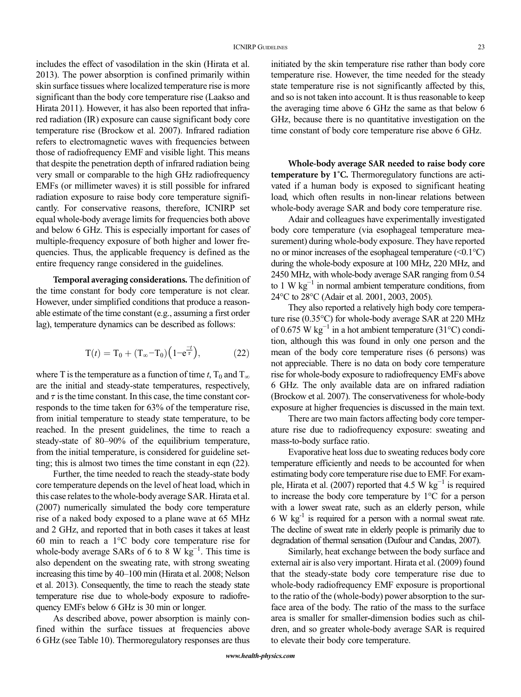includes the effect of vasodilation in the skin (Hirata et al. 2013). The power absorption is confined primarily within skin surface tissues where localized temperature rise is more significant than the body core temperature rise (Laakso and Hirata 2011). However, it has also been reported that infrared radiation (IR) exposure can cause significant body core temperature rise (Brockow et al. 2007). Infrared radiation refers to electromagnetic waves with frequencies between those of radiofrequency EMF and visible light. This means that despite the penetration depth of infrared radiation being very small or comparable to the high GHz radiofrequency EMFs (or millimeter waves) it is still possible for infrared radiation exposure to raise body core temperature significantly. For conservative reasons, therefore, ICNIRP set equal whole-body average limits for frequencies both above and below 6 GHz. This is especially important for cases of multiple-frequency exposure of both higher and lower frequencies. Thus, the applicable frequency is defined as the entire frequency range considered in the guidelines.

Temporal averaging considerations. The definition of the time constant for body core temperature is not clear. However, under simplified conditions that produce a reasonable estimate of the time constant (e.g., assuming a first order lag), temperature dynamics can be described as follows:

$$
T(t) = T_0 + (T_{\infty} - T_0) \left( 1 - e^{\frac{-t}{\tau}} \right), \tag{22}
$$

where T is the temperature as a function of time t, T<sub>0</sub> and T<sub>∞</sub> are the initial and steady-state temperatures, respectively, and  $\tau$  is the time constant. In this case, the time constant corresponds to the time taken for 63% of the temperature rise, from initial temperature to steady state temperature, to be reached. In the present guidelines, the time to reach a steady-state of 80–90% of the equilibrium temperature, from the initial temperature, is considered for guideline setting; this is almost two times the time constant in eqn (22).

Further, the time needed to reach the steady-state body core temperature depends on the level of heat load, which in this case relates to the whole-body average SAR. Hirata et al. (2007) numerically simulated the body core temperature rise of a naked body exposed to a plane wave at 65 MHz and 2 GHz, and reported that in both cases it takes at least 60 min to reach a 1°C body core temperature rise for whole-body average SARs of 6 to 8 W  $kg^{-1}$ . This time is also dependent on the sweating rate, with strong sweating increasing this time by 40–100 min (Hirata et al. 2008; Nelson et al. 2013). Consequently, the time to reach the steady state temperature rise due to whole-body exposure to radiofrequency EMFs below 6 GHz is 30 min or longer.

As described above, power absorption is mainly confined within the surface tissues at frequencies above 6 GHz (see Table 10). Thermoregulatory responses are thus initiated by the skin temperature rise rather than body core temperature rise. However, the time needed for the steady state temperature rise is not significantly affected by this, and so is not taken into account. It is thus reasonable to keep the averaging time above 6 GHz the same as that below 6 GHz, because there is no quantitative investigation on the time constant of body core temperature rise above 6 GHz.

Whole-body average SAR needed to raise body core temperature by 1˚C. Thermoregulatory functions are activated if a human body is exposed to significant heating load, which often results in non-linear relations between whole-body average SAR and body core temperature rise.

Adair and colleagues have experimentally investigated body core temperature (via esophageal temperature measurement) during whole-body exposure. They have reported no or minor increases of the esophageal temperature  $(\leq 0.1^{\circ}C)$ during the whole-body exposure at 100 MHz, 220 MHz, and 2450 MHz, with whole-body average SAR ranging from 0.54 to 1 W  $kg^{-1}$  in normal ambient temperature conditions, from 24°C to 28°C (Adair et al. 2001, 2003, 2005).

They also reported a relatively high body core temperature rise (0.35°C) for whole-body average SAR at 220 MHz of 0.675 W kg<sup> $-1$ </sup> in a hot ambient temperature (31 $^{\circ}$ C) condition, although this was found in only one person and the mean of the body core temperature rises (6 persons) was not appreciable. There is no data on body core temperature rise for whole-body exposure to radiofrequency EMFs above 6 GHz. The only available data are on infrared radiation (Brockow et al. 2007). The conservativeness for whole-body exposure at higher frequencies is discussed in the main text.

There are two main factors affecting body core temperature rise due to radiofrequency exposure: sweating and mass-to-body surface ratio.

Evaporative heat loss due to sweating reduces body core temperature efficiently and needs to be accounted for when estimating body core temperature rise due to EMF. For example, Hirata et al. (2007) reported that 4.5 W kg<sup>-1</sup> is required to increase the body core temperature by 1°C for a person with a lower sweat rate, such as an elderly person, while 6 W kg-1 is required for a person with a normal sweat rate. The decline of sweat rate in elderly people is primarily due to degradation of thermal sensation (Dufour and Candas, 2007).

Similarly, heat exchange between the body surface and external air is also very important. Hirata et al. (2009) found that the steady-state body core temperature rise due to whole-body radiofrequency EMF exposure is proportional to the ratio of the (whole-body) power absorption to the surface area of the body. The ratio of the mass to the surface area is smaller for smaller-dimension bodies such as children, and so greater whole-body average SAR is required to elevate their body core temperature.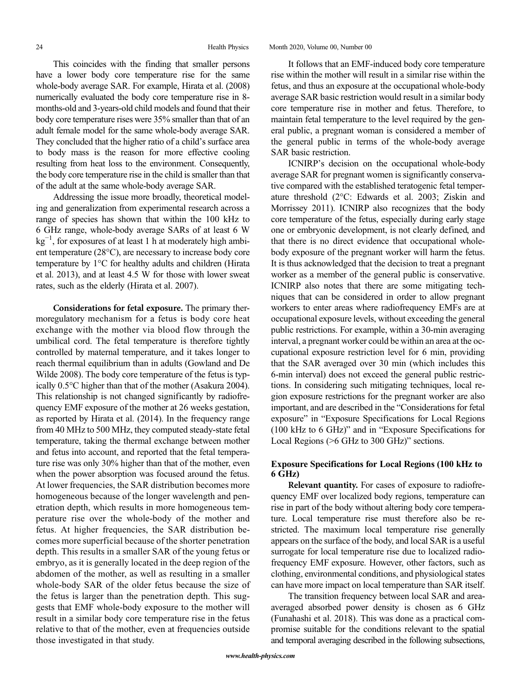This coincides with the finding that smaller persons have a lower body core temperature rise for the same whole-body average SAR. For example, Hirata et al. (2008) numerically evaluated the body core temperature rise in 8 months-old and 3-years-old child models and found that their body core temperature rises were 35% smaller than that of an adult female model for the same whole-body average SAR. They concluded that the higher ratio of a child's surface area to body mass is the reason for more effective cooling resulting from heat loss to the environment. Consequently, the body core temperature rise in the child is smaller than that of the adult at the same whole-body average SAR.

Addressing the issue more broadly, theoretical modeling and generalization from experimental research across a range of species has shown that within the 100 kHz to 6 GHz range, whole-body average SARs of at least 6 W kg−<sup>1</sup> , for exposures of at least 1 h at moderately high ambient temperature (28°C), are necessary to increase body core temperature by 1°C for healthy adults and children (Hirata et al. 2013), and at least 4.5 W for those with lower sweat rates, such as the elderly (Hirata et al. 2007).

Considerations for fetal exposure. The primary thermoregulatory mechanism for a fetus is body core heat exchange with the mother via blood flow through the umbilical cord. The fetal temperature is therefore tightly controlled by maternal temperature, and it takes longer to reach thermal equilibrium than in adults (Gowland and De Wilde 2008). The body core temperature of the fetus is typically 0.5°C higher than that of the mother (Asakura 2004). This relationship is not changed significantly by radiofrequency EMF exposure of the mother at 26 weeks gestation, as reported by Hirata et al. (2014). In the frequency range from 40 MHz to 500 MHz, they computed steady-state fetal temperature, taking the thermal exchange between mother and fetus into account, and reported that the fetal temperature rise was only 30% higher than that of the mother, even when the power absorption was focused around the fetus. At lower frequencies, the SAR distribution becomes more homogeneous because of the longer wavelength and penetration depth, which results in more homogeneous temperature rise over the whole-body of the mother and fetus. At higher frequencies, the SAR distribution becomes more superficial because of the shorter penetration depth. This results in a smaller SAR of the young fetus or embryo, as it is generally located in the deep region of the abdomen of the mother, as well as resulting in a smaller whole-body SAR of the older fetus because the size of the fetus is larger than the penetration depth. This suggests that EMF whole-body exposure to the mother will result in a similar body core temperature rise in the fetus relative to that of the mother, even at frequencies outside those investigated in that study.

It follows that an EMF-induced body core temperature

rise within the mother will result in a similar rise within the fetus, and thus an exposure at the occupational whole-body average SAR basic restriction would result in a similar body core temperature rise in mother and fetus. Therefore, to maintain fetal temperature to the level required by the general public, a pregnant woman is considered a member of the general public in terms of the whole-body average SAR basic restriction.

ICNIRP's decision on the occupational whole-body average SAR for pregnant women is significantly conservative compared with the established teratogenic fetal temperature threshold (2°C: Edwards et al. 2003; Ziskin and Morrissey 2011). ICNIRP also recognizes that the body core temperature of the fetus, especially during early stage one or embryonic development, is not clearly defined, and that there is no direct evidence that occupational wholebody exposure of the pregnant worker will harm the fetus. It is thus acknowledged that the decision to treat a pregnant worker as a member of the general public is conservative. ICNIRP also notes that there are some mitigating techniques that can be considered in order to allow pregnant workers to enter areas where radiofrequency EMFs are at occupational exposure levels, without exceeding the general public restrictions. For example, within a 30-min averaging interval, a pregnant worker could be within an area at the occupational exposure restriction level for 6 min, providing that the SAR averaged over 30 min (which includes this 6-min interval) does not exceed the general public restrictions. In considering such mitigating techniques, local region exposure restrictions for the pregnant worker are also important, and are described in the "Considerations for fetal exposure" in "Exposure Specifications for Local Regions (100 kHz to 6 GHz)" and in "Exposure Specifications for Local Regions (>6 GHz to 300 GHz)" sections.

#### Exposure Specifications for Local Regions (100 kHz to 6 GHz)

Relevant quantity. For cases of exposure to radiofrequency EMF over localized body regions, temperature can rise in part of the body without altering body core temperature. Local temperature rise must therefore also be restricted. The maximum local temperature rise generally appears on the surface of the body, and local SAR is a useful surrogate for local temperature rise due to localized radiofrequency EMF exposure. However, other factors, such as clothing, environmental conditions, and physiological states can have more impact on local temperature than SAR itself.

The transition frequency between local SAR and areaaveraged absorbed power density is chosen as 6 GHz (Funahashi et al. 2018). This was done as a practical compromise suitable for the conditions relevant to the spatial and temporal averaging described in the following subsections,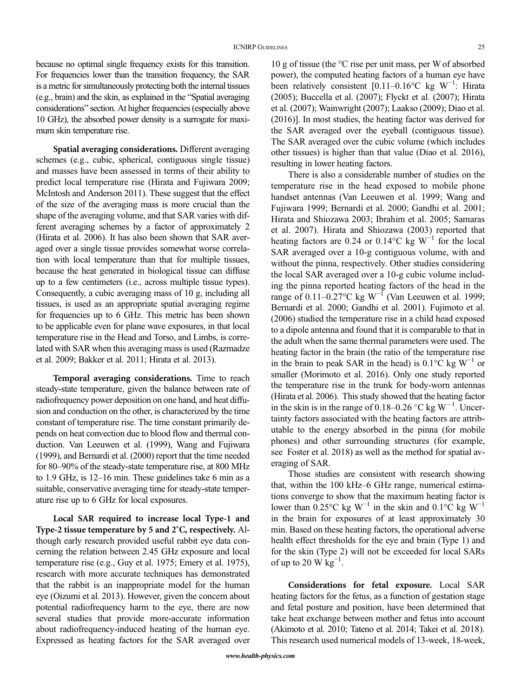because no optimal single frequency exists for this transition. For frequencies lower than the transition frequency, the SAR is a metric for simultaneously protecting both the internal tissues (e.g., brain) and the skin, as explained in the "Spatial averaging considerations" section. At higher frequencies (especially above 10 GHz), the absorbed power density is a surrogate for maximum skin temperature rise.

Spatial averaging considerations. Different averaging schemes (e.g., cubic, spherical, contiguous single tissue) and masses have been assessed in terms of their ability to predict local temperature rise (Hirata and Fujiwara 2009; McIntosh and Anderson 2011). These suggest that the effect of the size of the averaging mass is more crucial than the shape of the averaging volume, and that SAR varies with different averaging schemes by a factor of approximately 2 (Hirata et al. 2006). It has also been shown that SAR averaged over a single tissue provides somewhat worse correlation with local temperature than that for multiple tissues, because the heat generated in biological tissue can diffuse up to a few centimeters (i.e., across multiple tissue types). Consequently, a cubic averaging mass of 10 g, including all tissues, is used as an appropriate spatial averaging regime for frequencies up to 6 GHz. This metric has been shown to be applicable even for plane wave exposures, in that local temperature rise in the Head and Torso, and Limbs, is correlated with SAR when this averaging mass is used (Razmadze et al. 2009; Bakker et al. 2011; Hirata et al. 2013).

Temporal averaging considerations. Time to reach steady-state temperature, given the balance between rate of radiofrequency power deposition on one hand, and heat diffusion and conduction on the other, is characterized by the time constant of temperature rise. The time constant primarily depends on heat convection due to blood flow and thermal conduction. Van Leeuwen et al. (1999), Wang and Fujiwara (1999), and Bernardi et al. (2000) report that the time needed for 80–90% of the steady-state temperature rise, at 800 MHz to 1.9 GHz, is 12–16 min. These guidelines take 6 min as a suitable, conservative averaging time for steady-state temperature rise up to 6 GHz for local exposures.

Local SAR required to increase local Type-1 and Type-2 tissue temperature by 5 and 2˚C, respectively. Although early research provided useful rabbit eye data concerning the relation between 2.45 GHz exposure and local temperature rise (e.g., Guy et al. 1975; Emery et al. 1975), research with more accurate techniques has demonstrated that the rabbit is an inappropriate model for the human eye (Oizumi et al. 2013). However, given the concern about potential radiofrequency harm to the eye, there are now several studies that provide more-accurate information about radiofrequency-induced heating of the human eye. Expressed as heating factors for the SAR averaged over 10 g of tissue (the °C rise per unit mass, per W of absorbed power), the computed heating factors of a human eye have been relatively consistent [0.11–0.16°C kg W<sup>-1</sup>: Hirata (2005); Buccella et al. (2007); Flyckt et al. (2007); Hirata et al. (2007); Wainwright (2007); Laakso (2009); Diao et al. (2016)]. In most studies, the heating factor was derived for the SAR averaged over the eyeball (contiguous tissue). The SAR averaged over the cubic volume (which includes other tissues) is higher than that value (Diao et al. 2016), resulting in lower heating factors.

There is also a considerable number of studies on the temperature rise in the head exposed to mobile phone handset antennas (Van Leeuwen et al. 1999; Wang and Fujiwara 1999; Bernardi et al. 2000; Gandhi et al. 2001; Hirata and Shiozawa 2003; Ibrahim et al. 2005; Samaras et al. 2007). Hirata and Shiozawa (2003) reported that heating factors are 0.24 or 0.14°C kg W<sup>-1</sup> for the local SAR averaged over a 10-g contiguous volume, with and without the pinna, respectively. Other studies considering the local SAR averaged over a 10-g cubic volume including the pinna reported heating factors of the head in the range of 0.11–0.27°C kg W<sup>-1</sup> (Van Leeuwen et al. 1999; Bernardi et al. 2000; Gandhi et al. 2001). Fujimoto et al. (2006) studied the temperature rise in a child head exposed to a dipole antenna and found that it is comparable to that in the adult when the same thermal parameters were used. The heating factor in the brain (the ratio of the temperature rise in the brain to peak SAR in the head) is  $0.1^{\circ}$ C kg W<sup>-1</sup> or smaller (Morimoto et al. 2016). Only one study reported the temperature rise in the trunk for body-worn antennas (Hirata et al. 2006). This study showed that the heating factor in the skin is in the range of 0.18–0.26 °C kg W<sup>-1</sup>. Uncertainty factors associated with the heating factors are attributable to the energy absorbed in the pinna (for mobile phones) and other surrounding structures (for example, see Foster et al. 2018) as well as the method for spatial averaging of SAR.

Those studies are consistent with research showing that, within the 100 kHz–6 GHz range, numerical estimations converge to show that the maximum heating factor is lower than  $0.25^{\circ}$ C kg W<sup>-1</sup> in the skin and  $0.1^{\circ}$ C kg W<sup>-1</sup> in the brain for exposures of at least approximately 30 min. Based on these heating factors, the operational adverse health effect thresholds for the eye and brain (Type 1) and for the skin (Type 2) will not be exceeded for local SARs of up to 20 W  $kg^{-1}$ .

Considerations for fetal exposure. Local SAR heating factors for the fetus, as a function of gestation stage and fetal posture and position, have been determined that take heat exchange between mother and fetus into account (Akimoto et al. 2010; Tateno et al. 2014; Takei et al. 2018). This research used numerical models of 13-week, 18-week,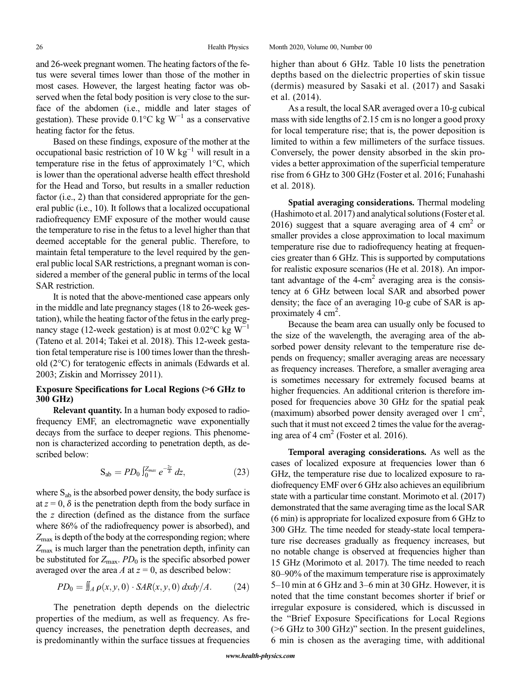and 26-week pregnant women. The heating factors of the fetus were several times lower than those of the mother in most cases. However, the largest heating factor was observed when the fetal body position is very close to the surface of the abdomen (i.e., middle and later stages of gestation). These provide  $0.1^{\circ}$ C kg W<sup>-1</sup> as a conservative heating factor for the fetus.

Based on these findings, exposure of the mother at the occupational basic restriction of 10 W  $kg^{-1}$  will result in a temperature rise in the fetus of approximately 1°C, which is lower than the operational adverse health effect threshold for the Head and Torso, but results in a smaller reduction factor (i.e., 2) than that considered appropriate for the general public (i.e., 10). It follows that a localized occupational radiofrequency EMF exposure of the mother would cause the temperature to rise in the fetus to a level higher than that deemed acceptable for the general public. Therefore, to maintain fetal temperature to the level required by the general public local SAR restrictions, a pregnant woman is considered a member of the general public in terms of the local SAR restriction.

It is noted that the above-mentioned case appears only in the middle and late pregnancy stages (18 to 26-week gestation), while the heating factor of the fetus in the early pregnancy stage (12-week gestation) is at most  $0.02$ °C kg W<sup>-1</sup> (Tateno et al. 2014; Takei et al. 2018). This 12-week gestation fetal temperature rise is 100 times lower than the threshold (2°C) for teratogenic effects in animals (Edwards et al. 2003; Ziskin and Morrissey 2011).

#### Exposure Specifications for Local Regions (>6 GHz to 300 GHz)

Relevant quantity. In a human body exposed to radiofrequency EMF, an electromagnetic wave exponentially decays from the surface to deeper regions. This phenomenon is characterized according to penetration depth, as described below:

$$
S_{ab} = PD_0 \int_0^{Z_{max}} e^{-\frac{2z}{\delta}} dz, \qquad (23)
$$

where  $S_{ab}$  is the absorbed power density, the body surface is at  $z = 0$ ,  $\delta$  is the penetration depth from the body surface in the z direction (defined as the distance from the surface where 86% of the radiofrequency power is absorbed), and  $Z_{\text{max}}$  is depth of the body at the corresponding region; where  $Z_{\text{max}}$  is much larger than the penetration depth, infinity can be substituted for  $Z_{\text{max}}$ .  $PD_0$  is the specific absorbed power averaged over the area  $A$  at  $z = 0$ , as described below:

$$
PD_0 = \iint_A \rho(x, y, 0) \cdot \mathcal{S}AR(x, y, 0) \, dx \, dy / A. \tag{24}
$$

The penetration depth depends on the dielectric properties of the medium, as well as frequency. As frequency increases, the penetration depth decreases, and is predominantly within the surface tissues at frequencies higher than about 6 GHz. Table 10 lists the penetration depths based on the dielectric properties of skin tissue (dermis) measured by Sasaki et al. (2017) and Sasaki et al. (2014).

As a result, the local SAR averaged over a 10-g cubical mass with side lengths of 2.15 cm is no longer a good proxy for local temperature rise; that is, the power deposition is limited to within a few millimeters of the surface tissues. Conversely, the power density absorbed in the skin provides a better approximation of the superficial temperature rise from 6 GHz to 300 GHz (Foster et al. 2016; Funahashi et al. 2018).

Spatial averaging considerations. Thermal modeling (Hashimoto et al. 2017) and analytical solutions (Foster et al. 2016) suggest that a square averaging area of 4  $\text{cm}^2$  or smaller provides a close approximation to local maximum temperature rise due to radiofrequency heating at frequencies greater than 6 GHz. This is supported by computations for realistic exposure scenarios (He et al. 2018). An important advantage of the  $4$ -cm<sup>2</sup> averaging area is the consistency at 6 GHz between local SAR and absorbed power density; the face of an averaging 10-g cube of SAR is approximately  $4 \text{ cm}^2$ .

Because the beam area can usually only be focused to the size of the wavelength, the averaging area of the absorbed power density relevant to the temperature rise depends on frequency; smaller averaging areas are necessary as frequency increases. Therefore, a smaller averaging area is sometimes necessary for extremely focused beams at higher frequencies. An additional criterion is therefore imposed for frequencies above 30 GHz for the spatial peak (maximum) absorbed power density averaged over  $1 \text{ cm}^2$ , such that it must not exceed 2 times the value for the averaging area of 4 cm<sup>2</sup> (Foster et al. 2016).

Temporal averaging considerations. As well as the cases of localized exposure at frequencies lower than 6 GHz, the temperature rise due to localized exposure to radiofrequency EMF over 6 GHz also achieves an equilibrium state with a particular time constant. Morimoto et al. (2017) demonstrated that the same averaging time as the local SAR (6 min) is appropriate for localized exposure from 6 GHz to 300 GHz. The time needed for steady-state local temperature rise decreases gradually as frequency increases, but no notable change is observed at frequencies higher than 15 GHz (Morimoto et al. 2017). The time needed to reach 80–90% of the maximum temperature rise is approximately 5–10 min at 6 GHz and 3–6 min at 30 GHz. However, it is noted that the time constant becomes shorter if brief or irregular exposure is considered, which is discussed in the "Brief Exposure Specifications for Local Regions (>6 GHz to 300 GHz)" section. In the present guidelines, 6 min is chosen as the averaging time, with additional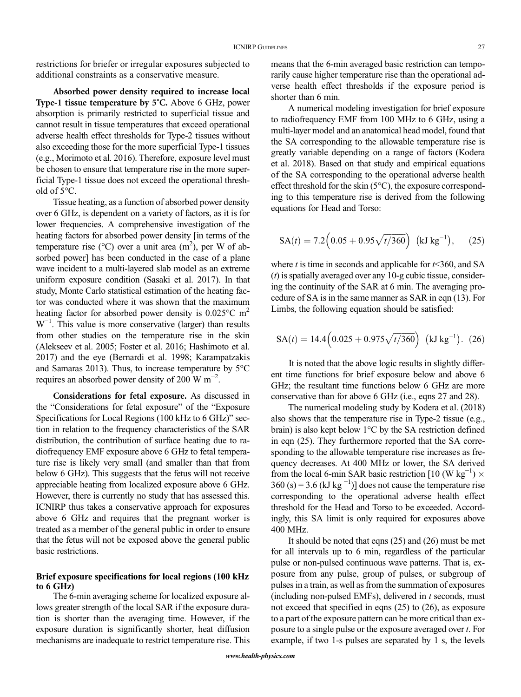restrictions for briefer or irregular exposures subjected to additional constraints as a conservative measure.

Absorbed power density required to increase local Type-1 tissue temperature by 5˚C. Above 6 GHz, power absorption is primarily restricted to superficial tissue and cannot result in tissue temperatures that exceed operational adverse health effect thresholds for Type-2 tissues without also exceeding those for the more superficial Type-1 tissues (e.g., Morimoto et al. 2016). Therefore, exposure level must be chosen to ensure that temperature rise in the more superficial Type-1 tissue does not exceed the operational threshold of 5°C.

Tissue heating, as a function of absorbed power density over 6 GHz, is dependent on a variety of factors, as it is for lower frequencies. A comprehensive investigation of the heating factors for absorbed power density [in terms of the temperature rise ( $^{\circ}$ C) over a unit area (m<sup>2</sup>), per W of absorbed power] has been conducted in the case of a plane wave incident to a multi-layered slab model as an extreme uniform exposure condition (Sasaki et al. 2017). In that study, Monte Carlo statistical estimation of the heating factor was conducted where it was shown that the maximum heating factor for absorbed power density is 0.025°C m<sup>2</sup> W−<sup>1</sup> . This value is more conservative (larger) than results from other studies on the temperature rise in the skin (Alekseev et al. 2005; Foster et al. 2016; Hashimoto et al. 2017) and the eye (Bernardi et al. 1998; Karampatzakis and Samaras 2013). Thus, to increase temperature by 5°C requires an absorbed power density of 200 W  $\text{m}^{-2}$ .

Considerations for fetal exposure. As discussed in the "Considerations for fetal exposure" of the "Exposure Specifications for Local Regions (100 kHz to 6 GHz)" section in relation to the frequency characteristics of the SAR distribution, the contribution of surface heating due to radiofrequency EMF exposure above 6 GHz to fetal temperature rise is likely very small (and smaller than that from below 6 GHz). This suggests that the fetus will not receive appreciable heating from localized exposure above 6 GHz. However, there is currently no study that has assessed this. ICNIRP thus takes a conservative approach for exposures above 6 GHz and requires that the pregnant worker is treated as a member of the general public in order to ensure that the fetus will not be exposed above the general public basic restrictions.

#### Brief exposure specifications for local regions (100 kHz to 6 GHz)

The 6-min averaging scheme for localized exposure allows greater strength of the local SAR if the exposure duration is shorter than the averaging time. However, if the exposure duration is significantly shorter, heat diffusion mechanisms are inadequate to restrict temperature rise. This means that the 6-min averaged basic restriction can temporarily cause higher temperature rise than the operational adverse health effect thresholds if the exposure period is shorter than 6 min.

A numerical modeling investigation for brief exposure to radiofrequency EMF from 100 MHz to 6 GHz, using a multi-layer model and an anatomical head model, found that the SA corresponding to the allowable temperature rise is greatly variable depending on a range of factors (Kodera et al. 2018). Based on that study and empirical equations of the SA corresponding to the operational adverse health effect threshold for the skin (5°C), the exposure corresponding to this temperature rise is derived from the following equations for Head and Torso:

$$
SA(t) = 7.2(0.05 + 0.95\sqrt{t/360}) \text{ (kJ kg}^{-1}), \quad (25)
$$

where t is time in seconds and applicable for  $t \leq 360$ , and SA  $(t)$  is spatially averaged over any 10-g cubic tissue, considering the continuity of the SAR at 6 min. The averaging procedure of SA is in the same manner as SAR in eqn (13). For Limbs, the following equation should be satisfied:

$$
SA(t) = 14.4 \left(0.025 + 0.975 \sqrt{t/360}\right) \text{ (kJ kg}^{-1}). (26)
$$

It is noted that the above logic results in slightly different time functions for brief exposure below and above 6 GHz; the resultant time functions below 6 GHz are more conservative than for above 6 GHz (i.e., eqns 27 and 28).

The numerical modeling study by Kodera et al. (2018) also shows that the temperature rise in Type-2 tissue (e.g., brain) is also kept below 1°C by the SA restriction defined in eqn (25). They furthermore reported that the SA corresponding to the allowable temperature rise increases as frequency decreases. At 400 MHz or lower, the SA derived from the local 6-min SAR basic restriction  $[10 \text{ (W kg}^{-1}) \times$  $360$  (s) = 3.6 (kJ kg<sup>-1</sup>)] does not cause the temperature rise corresponding to the operational adverse health effect threshold for the Head and Torso to be exceeded. Accordingly, this SA limit is only required for exposures above 400 MHz.

It should be noted that eqns (25) and (26) must be met for all intervals up to 6 min, regardless of the particular pulse or non-pulsed continuous wave patterns. That is, exposure from any pulse, group of pulses, or subgroup of pulses in a train, as well as from the summation of exposures (including non-pulsed EMFs), delivered in  $t$  seconds, must not exceed that specified in eqns (25) to (26), as exposure to a part of the exposure pattern can be more critical than exposure to a single pulse or the exposure averaged over t. For example, if two 1-s pulses are separated by 1 s, the levels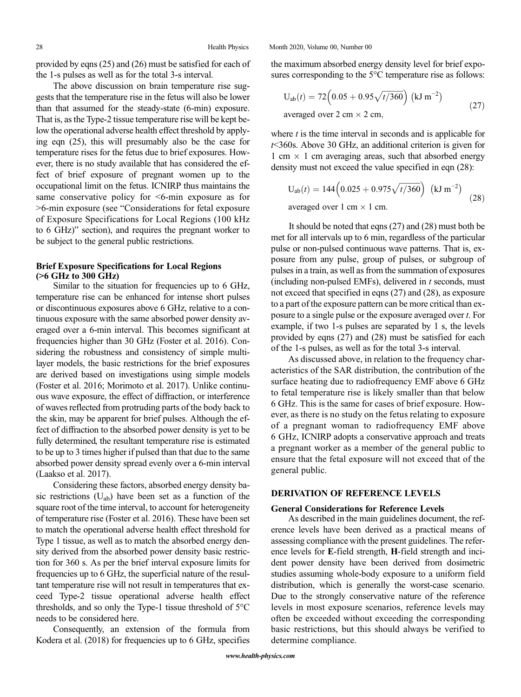provided by eqns (25) and (26) must be satisfied for each of the 1-s pulses as well as for the total 3-s interval.

The above discussion on brain temperature rise suggests that the temperature rise in the fetus will also be lower than that assumed for the steady-state (6-min) exposure. That is, as the Type-2 tissue temperature rise will be kept below the operational adverse health effect threshold by applying eqn (25), this will presumably also be the case for temperature rises for the fetus due to brief exposures. However, there is no study available that has considered the effect of brief exposure of pregnant women up to the occupational limit on the fetus. ICNIRP thus maintains the same conservative policy for  $\leq 6$ -min exposure as for >6-min exposure (see "Considerations for fetal exposure of Exposure Specifications for Local Regions (100 kHz to 6 GHz)" section), and requires the pregnant worker to be subject to the general public restrictions.

#### Brief Exposure Specifications for Local Regions (>6 GHz to 300 GHz)

Similar to the situation for frequencies up to 6 GHz, temperature rise can be enhanced for intense short pulses or discontinuous exposures above 6 GHz, relative to a continuous exposure with the same absorbed power density averaged over a 6-min interval. This becomes significant at frequencies higher than 30 GHz (Foster et al. 2016). Considering the robustness and consistency of simple multilayer models, the basic restrictions for the brief exposures are derived based on investigations using simple models (Foster et al. 2016; Morimoto et al. 2017). Unlike continuous wave exposure, the effect of diffraction, or interference of waves reflected from protruding parts of the body back to the skin, may be apparent for brief pulses. Although the effect of diffraction to the absorbed power density is yet to be fully determined, the resultant temperature rise is estimated to be up to 3 times higher if pulsed than that due to the same absorbed power density spread evenly over a 6-min interval (Laakso et al. 2017).

Considering these factors, absorbed energy density basic restrictions  $(U_{ab})$  have been set as a function of the square root of the time interval, to account for heterogeneity of temperature rise (Foster et al. 2016). These have been set to match the operational adverse health effect threshold for Type 1 tissue, as well as to match the absorbed energy density derived from the absorbed power density basic restriction for 360 s. As per the brief interval exposure limits for frequencies up to 6 GHz, the superficial nature of the resultant temperature rise will not result in temperatures that exceed Type-2 tissue operational adverse health effect thresholds, and so only the Type-1 tissue threshold of 5°C needs to be considered here.

Consequently, an extension of the formula from Kodera et al. (2018) for frequencies up to 6 GHz, specifies

#### 28 Health Physics Month 2020, Volume 00, Number 00

the maximum absorbed energy density level for brief exposures corresponding to the 5°C temperature rise as follows:

$$
U_{ab}(t) = 72(0.05 + 0.95\sqrt{t/360})(kJ m^{-2})
$$
  
averaged over 2 cm × 2 cm, (27)

where  $t$  is the time interval in seconds and is applicable for t<360s. Above 30 GHz, an additional criterion is given for 1 cm  $\times$  1 cm averaging areas, such that absorbed energy density must not exceed the value specified in eqn (28):

$$
U_{ab}(t) = 144 \left( 0.025 + 0.975 \sqrt{t/360} \right) \text{ (kJ m}^{-2}) \tag{28}
$$

averaged over 1 cm  $\times$  1 cm.

It should be noted that eqns (27) and (28) must both be met for all intervals up to 6 min, regardless of the particular pulse or non-pulsed continuous wave patterns. That is, exposure from any pulse, group of pulses, or subgroup of pulses in a train, as well as from the summation of exposures (including non-pulsed EMFs), delivered in  $t$  seconds, must not exceed that specified in eqns (27) and (28), as exposure to a part of the exposure pattern can be more critical than exposure to a single pulse or the exposure averaged over t. For example, if two 1-s pulses are separated by 1 s, the levels provided by eqns (27) and (28) must be satisfied for each of the 1-s pulses, as well as for the total 3-s interval.

As discussed above, in relation to the frequency characteristics of the SAR distribution, the contribution of the surface heating due to radiofrequency EMF above 6 GHz to fetal temperature rise is likely smaller than that below 6 GHz. This is the same for cases of brief exposure. However, as there is no study on the fetus relating to exposure of a pregnant woman to radiofrequency EMF above 6 GHz, ICNIRP adopts a conservative approach and treats a pregnant worker as a member of the general public to ensure that the fetal exposure will not exceed that of the general public.

#### DERIVATION OF REFERENCE LEVELS

#### General Considerations for Reference Levels

As described in the main guidelines document, the reference levels have been derived as a practical means of assessing compliance with the present guidelines. The reference levels for E-field strength, H-field strength and incident power density have been derived from dosimetric studies assuming whole-body exposure to a uniform field distribution, which is generally the worst-case scenario. Due to the strongly conservative nature of the reference levels in most exposure scenarios, reference levels may often be exceeded without exceeding the corresponding basic restrictions, but this should always be verified to determine compliance.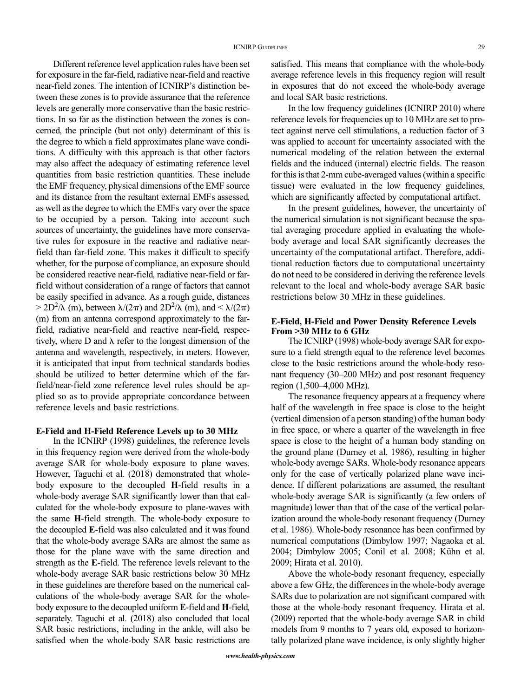Different reference level application rules have been set for exposure in the far-field, radiative near-field and reactive near-field zones. The intention of ICNIRP's distinction between these zones is to provide assurance that the reference levels are generally more conservative than the basic restrictions. In so far as the distinction between the zones is concerned, the principle (but not only) determinant of this is the degree to which a field approximates plane wave conditions. A difficulty with this approach is that other factors may also affect the adequacy of estimating reference level quantities from basic restriction quantities. These include the EMF frequency, physical dimensions of the EMF source and its distance from the resultant external EMFs assessed, as well as the degree to which the EMFs vary over the space to be occupied by a person. Taking into account such sources of uncertainty, the guidelines have more conservative rules for exposure in the reactive and radiative nearfield than far-field zone. This makes it difficult to specify whether, for the purpose of compliance, an exposure should be considered reactive near-field, radiative near-field or farfield without consideration of a range of factors that cannot be easily specified in advance. As a rough guide, distances  $> 2D^2/\lambda$  (m), between  $\lambda/(2\pi)$  and  $2D^2/\lambda$  (m), and  $< \lambda/(2\pi)$ (m) from an antenna correspond approximately to the farfield, radiative near-field and reactive near-field, respectively, where  $D$  and  $\lambda$  refer to the longest dimension of the antenna and wavelength, respectively, in meters. However, it is anticipated that input from technical standards bodies should be utilized to better determine which of the farfield/near-field zone reference level rules should be applied so as to provide appropriate concordance between reference levels and basic restrictions.

#### E-Field and H-Field Reference Levels up to 30 MHz

In the ICNIRP (1998) guidelines, the reference levels in this frequency region were derived from the whole-body average SAR for whole-body exposure to plane waves. However, Taguchi et al. (2018) demonstrated that wholebody exposure to the decoupled H-field results in a whole-body average SAR significantly lower than that calculated for the whole-body exposure to plane-waves with the same H-field strength. The whole-body exposure to the decoupled E-field was also calculated and it was found that the whole-body average SARs are almost the same as those for the plane wave with the same direction and strength as the E-field. The reference levels relevant to the whole-body average SAR basic restrictions below 30 MHz in these guidelines are therefore based on the numerical calculations of the whole-body average SAR for the wholebody exposure to the decoupled uniform E-field and H-field, separately. Taguchi et al. (2018) also concluded that local SAR basic restrictions, including in the ankle, will also be satisfied when the whole-body SAR basic restrictions are

satisfied. This means that compliance with the whole-body average reference levels in this frequency region will result in exposures that do not exceed the whole-body average and local SAR basic restrictions.

In the low frequency guidelines (ICNIRP 2010) where reference levels for frequencies up to 10 MHz are set to protect against nerve cell stimulations, a reduction factor of 3 was applied to account for uncertainty associated with the numerical modeling of the relation between the external fields and the induced (internal) electric fields. The reason for this is that 2-mm cube-averaged values (within a specific tissue) were evaluated in the low frequency guidelines, which are significantly affected by computational artifact.

In the present guidelines, however, the uncertainty of the numerical simulation is not significant because the spatial averaging procedure applied in evaluating the wholebody average and local SAR significantly decreases the uncertainty of the computational artifact. Therefore, additional reduction factors due to computational uncertainty do not need to be considered in deriving the reference levels relevant to the local and whole-body average SAR basic restrictions below 30 MHz in these guidelines.

#### E-Field, H-Field and Power Density Reference Levels From >30 MHz to 6 GHz

The ICNIRP (1998) whole-body average SAR for exposure to a field strength equal to the reference level becomes close to the basic restrictions around the whole-body resonant frequency (30–200 MHz) and post resonant frequency region (1,500–4,000 MHz).

The resonance frequency appears at a frequency where half of the wavelength in free space is close to the height (vertical dimension of a person standing) of the human body in free space, or where a quarter of the wavelength in free space is close to the height of a human body standing on the ground plane (Durney et al. 1986), resulting in higher whole-body average SARs. Whole-body resonance appears only for the case of vertically polarized plane wave incidence. If different polarizations are assumed, the resultant whole-body average SAR is significantly (a few orders of magnitude) lower than that of the case of the vertical polarization around the whole-body resonant frequency (Durney et al. 1986). Whole-body resonance has been confirmed by numerical computations (Dimbylow 1997; Nagaoka et al. 2004; Dimbylow 2005; Conil et al. 2008; Kühn et al. 2009; Hirata et al. 2010).

Above the whole-body resonant frequency, especially above a few GHz, the differences in the whole-body average SARs due to polarization are not significant compared with those at the whole-body resonant frequency. Hirata et al. (2009) reported that the whole-body average SAR in child models from 9 months to 7 years old, exposed to horizontally polarized plane wave incidence, is only slightly higher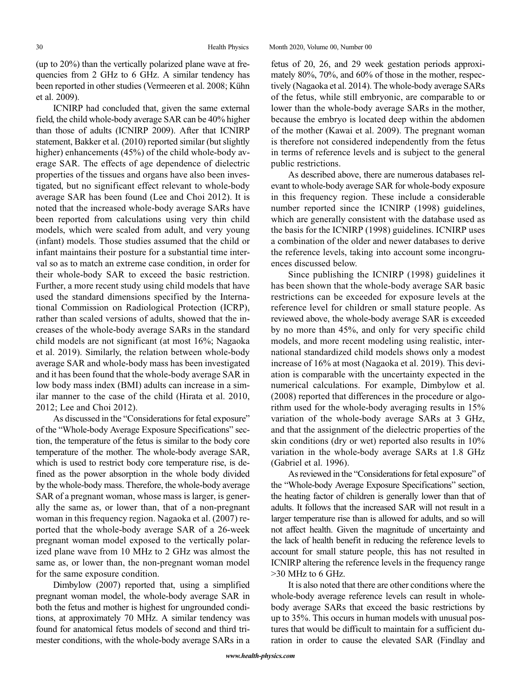(up to 20%) than the vertically polarized plane wave at frequencies from 2 GHz to 6 GHz. A similar tendency has been reported in other studies (Vermeeren et al. 2008; Kühn et al. 2009).

ICNIRP had concluded that, given the same external field, the child whole-body average SAR can be 40% higher than those of adults (ICNIRP 2009). After that ICNIRP statement, Bakker et al. (2010) reported similar (but slightly higher) enhancements (45%) of the child whole-body average SAR. The effects of age dependence of dielectric properties of the tissues and organs have also been investigated, but no significant effect relevant to whole-body average SAR has been found (Lee and Choi 2012). It is noted that the increased whole-body average SARs have been reported from calculations using very thin child models, which were scaled from adult, and very young (infant) models. Those studies assumed that the child or infant maintains their posture for a substantial time interval so as to match an extreme case condition, in order for their whole-body SAR to exceed the basic restriction. Further, a more recent study using child models that have used the standard dimensions specified by the International Commission on Radiological Protection (ICRP), rather than scaled versions of adults, showed that the increases of the whole-body average SARs in the standard child models are not significant (at most 16%; Nagaoka et al. 2019). Similarly, the relation between whole-body average SAR and whole-body mass has been investigated and it has been found that the whole-body average SAR in low body mass index (BMI) adults can increase in a similar manner to the case of the child (Hirata et al. 2010, 2012; Lee and Choi 2012).

As discussed in the "Considerations for fetal exposure" of the "Whole-body Average Exposure Specifications" section, the temperature of the fetus is similar to the body core temperature of the mother. The whole-body average SAR, which is used to restrict body core temperature rise, is defined as the power absorption in the whole body divided by the whole-body mass. Therefore, the whole-body average SAR of a pregnant woman, whose mass is larger, is generally the same as, or lower than, that of a non-pregnant woman in this frequency region. Nagaoka et al. (2007) reported that the whole-body average SAR of a 26-week pregnant woman model exposed to the vertically polarized plane wave from 10 MHz to 2 GHz was almost the same as, or lower than, the non-pregnant woman model for the same exposure condition.

Dimbylow (2007) reported that, using a simplified pregnant woman model, the whole-body average SAR in both the fetus and mother is highest for ungrounded conditions, at approximately 70 MHz. A similar tendency was found for anatomical fetus models of second and third trimester conditions, with the whole-body average SARs in a fetus of 20, 26, and 29 week gestation periods approximately 80%, 70%, and 60% of those in the mother, respectively (Nagaoka et al. 2014). The whole-body average SARs of the fetus, while still embryonic, are comparable to or lower than the whole-body average SARs in the mother, because the embryo is located deep within the abdomen of the mother (Kawai et al. 2009). The pregnant woman is therefore not considered independently from the fetus in terms of reference levels and is subject to the general public restrictions.

As described above, there are numerous databases relevant to whole-body average SAR for whole-body exposure in this frequency region. These include a considerable number reported since the ICNIRP (1998) guidelines, which are generally consistent with the database used as the basis for the ICNIRP (1998) guidelines. ICNIRP uses a combination of the older and newer databases to derive the reference levels, taking into account some incongruences discussed below.

Since publishing the ICNIRP (1998) guidelines it has been shown that the whole-body average SAR basic restrictions can be exceeded for exposure levels at the reference level for children or small stature people. As reviewed above, the whole-body average SAR is exceeded by no more than 45%, and only for very specific child models, and more recent modeling using realistic, international standardized child models shows only a modest increase of 16% at most (Nagaoka et al. 2019). This deviation is comparable with the uncertainty expected in the numerical calculations. For example, Dimbylow et al. (2008) reported that differences in the procedure or algorithm used for the whole-body averaging results in 15% variation of the whole-body average SARs at 3 GHz, and that the assignment of the dielectric properties of the skin conditions (dry or wet) reported also results in 10% variation in the whole-body average SARs at 1.8 GHz (Gabriel et al. 1996).

As reviewed in the "Considerations for fetal exposure" of the "Whole-body Average Exposure Specifications" section, the heating factor of children is generally lower than that of adults. It follows that the increased SAR will not result in a larger temperature rise than is allowed for adults, and so will not affect health. Given the magnitude of uncertainty and the lack of health benefit in reducing the reference levels to account for small stature people, this has not resulted in ICNIRP altering the reference levels in the frequency range >30 MHz to 6 GHz.

It is also noted that there are other conditions where the whole-body average reference levels can result in wholebody average SARs that exceed the basic restrictions by up to 35%. This occurs in human models with unusual postures that would be difficult to maintain for a sufficient duration in order to cause the elevated SAR (Findlay and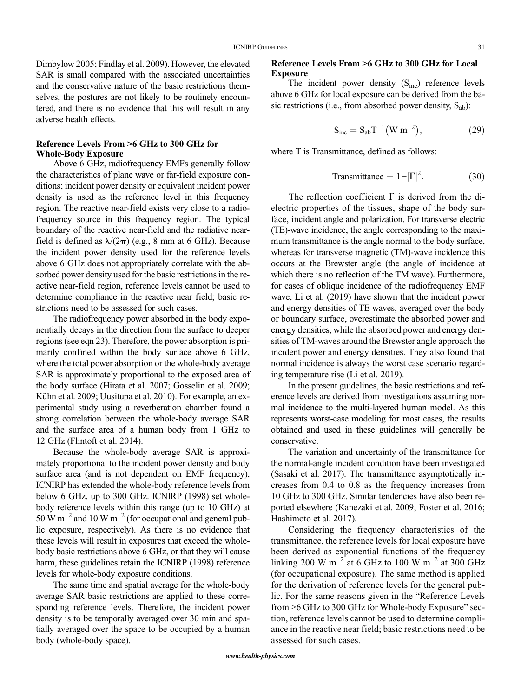Dimbylow 2005; Findlay et al. 2009). However, the elevated SAR is small compared with the associated uncertainties and the conservative nature of the basic restrictions themselves, the postures are not likely to be routinely encountered, and there is no evidence that this will result in any adverse health effects.

#### Reference Levels From >6 GHz to 300 GHz for Whole-Body Exposure

Above 6 GHz, radiofrequency EMFs generally follow the characteristics of plane wave or far-field exposure conditions; incident power density or equivalent incident power density is used as the reference level in this frequency region. The reactive near-field exists very close to a radiofrequency source in this frequency region. The typical boundary of the reactive near-field and the radiative nearfield is defined as  $\lambda/(2\pi)$  (e.g., 8 mm at 6 GHz). Because the incident power density used for the reference levels above 6 GHz does not appropriately correlate with the absorbed power density used for the basic restrictions in the reactive near-field region, reference levels cannot be used to determine compliance in the reactive near field; basic restrictions need to be assessed for such cases.

The radiofrequency power absorbed in the body exponentially decays in the direction from the surface to deeper regions (see eqn 23). Therefore, the power absorption is primarily confined within the body surface above 6 GHz, where the total power absorption or the whole-body average SAR is approximately proportional to the exposed area of the body surface (Hirata et al. 2007; Gosselin et al. 2009; Kühn et al. 2009; Uusitupa et al. 2010). For example, an experimental study using a reverberation chamber found a strong correlation between the whole-body average SAR and the surface area of a human body from 1 GHz to 12 GHz (Flintoft et al. 2014).

Because the whole-body average SAR is approximately proportional to the incident power density and body surface area (and is not dependent on EMF frequency), ICNIRP has extended the whole-body reference levels from below 6 GHz, up to 300 GHz. ICNIRP (1998) set wholebody reference levels within this range (up to 10 GHz) at 50 W m<sup>-2</sup> and 10 W m<sup>-2</sup> (for occupational and general public exposure, respectively). As there is no evidence that these levels will result in exposures that exceed the wholebody basic restrictions above 6 GHz, or that they will cause harm, these guidelines retain the ICNIRP (1998) reference levels for whole-body exposure conditions.

The same time and spatial average for the whole-body average SAR basic restrictions are applied to these corresponding reference levels. Therefore, the incident power density is to be temporally averaged over 30 min and spatially averaged over the space to be occupied by a human body (whole-body space).

#### Reference Levels From >6 GHz to 300 GHz for Local Exposure

The incident power density  $(S_{inc})$  reference levels above 6 GHz for local exposure can be derived from the basic restrictions (i.e., from absorbed power density,  $S_{ab}$ ):

$$
S_{inc} = S_{ab}T^{-1}(W \, m^{-2}), \tag{29}
$$

where T is Transmittance, defined as follows:

$$
Transmittance = 1 - |\Gamma|^2. \tag{30}
$$

The reflection coefficient  $\Gamma$  is derived from the dielectric properties of the tissues, shape of the body surface, incident angle and polarization. For transverse electric (TE)-wave incidence, the angle corresponding to the maximum transmittance is the angle normal to the body surface, whereas for transverse magnetic (TM)-wave incidence this occurs at the Brewster angle (the angle of incidence at which there is no reflection of the TM wave). Furthermore, for cases of oblique incidence of the radiofrequency EMF wave, Li et al. (2019) have shown that the incident power and energy densities of TE waves, averaged over the body or boundary surface, overestimate the absorbed power and energy densities, while the absorbed power and energy densities of TM-waves around the Brewster angle approach the incident power and energy densities. They also found that normal incidence is always the worst case scenario regarding temperature rise (Li et al. 2019).

In the present guidelines, the basic restrictions and reference levels are derived from investigations assuming normal incidence to the multi-layered human model. As this represents worst-case modeling for most cases, the results obtained and used in these guidelines will generally be conservative.

The variation and uncertainty of the transmittance for the normal-angle incident condition have been investigated (Sasaki et al. 2017). The transmittance asymptotically increases from 0.4 to 0.8 as the frequency increases from 10 GHz to 300 GHz. Similar tendencies have also been reported elsewhere (Kanezaki et al. 2009; Foster et al. 2016; Hashimoto et al. 2017).

Considering the frequency characteristics of the transmittance, the reference levels for local exposure have been derived as exponential functions of the frequency linking 200 W m<sup>-2</sup> at 6 GHz to 100 W m<sup>-2</sup> at 300 GHz (for occupational exposure). The same method is applied for the derivation of reference levels for the general public. For the same reasons given in the "Reference Levels from >6 GHz to 300 GHz for Whole-body Exposure" section, reference levels cannot be used to determine compliance in the reactive near field; basic restrictions need to be assessed for such cases.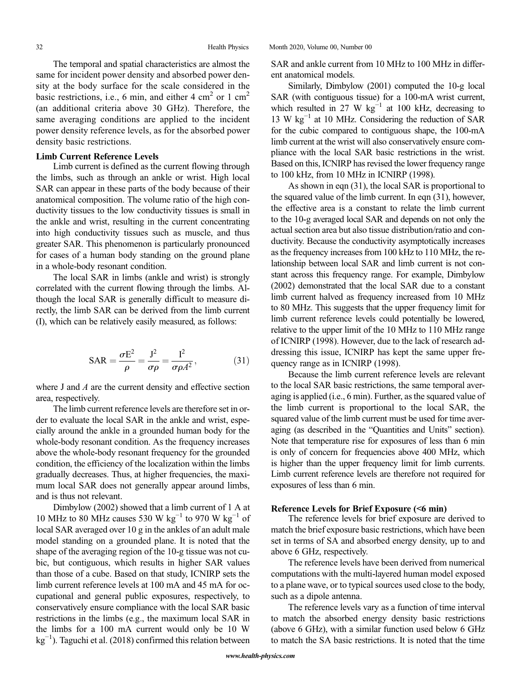The temporal and spatial characteristics are almost the same for incident power density and absorbed power density at the body surface for the scale considered in the basic restrictions, i.e., 6 min, and either 4 cm<sup>2</sup> or 1 cm<sup>2</sup> (an additional criteria above 30 GHz). Therefore, the same averaging conditions are applied to the incident power density reference levels, as for the absorbed power density basic restrictions.

#### Limb Current Reference Levels

Limb current is defined as the current flowing through the limbs, such as through an ankle or wrist. High local SAR can appear in these parts of the body because of their anatomical composition. The volume ratio of the high conductivity tissues to the low conductivity tissues is small in the ankle and wrist, resulting in the current concentrating into high conductivity tissues such as muscle, and thus greater SAR. This phenomenon is particularly pronounced for cases of a human body standing on the ground plane in a whole-body resonant condition.

The local SAR in limbs (ankle and wrist) is strongly correlated with the current flowing through the limbs. Although the local SAR is generally difficult to measure directly, the limb SAR can be derived from the limb current (I), which can be relatively easily measured, as follows:

$$
SAR = \frac{\sigma E^2}{\rho} = \frac{J^2}{\sigma \rho} = \frac{I^2}{\sigma \rho A^2},
$$
 (31)

where J and A are the current density and effective section area, respectively.

The limb current reference levels are therefore set in order to evaluate the local SAR in the ankle and wrist, especially around the ankle in a grounded human body for the whole-body resonant condition. As the frequency increases above the whole-body resonant frequency for the grounded condition, the efficiency of the localization within the limbs gradually decreases. Thus, at higher frequencies, the maximum local SAR does not generally appear around limbs, and is thus not relevant.

Dimbylow (2002) showed that a limb current of 1 A at 10 MHz to 80 MHz causes 530 W kg<sup>-1</sup> to 970 W kg<sup>-1</sup> of local SAR averaged over 10 g in the ankles of an adult male model standing on a grounded plane. It is noted that the shape of the averaging region of the 10-g tissue was not cubic, but contiguous, which results in higher SAR values than those of a cube. Based on that study, ICNIRP sets the limb current reference levels at 100 mA and 45 mA for occupational and general public exposures, respectively, to conservatively ensure compliance with the local SAR basic restrictions in the limbs (e.g., the maximum local SAR in the limbs for a 100 mA current would only be 10 W kg<sup>-1</sup>). Taguchi et al. (2018) confirmed this relation between

SAR and ankle current from 10 MHz to 100 MHz in different anatomical models.

Similarly, Dimbylow (2001) computed the 10-g local SAR (with contiguous tissue) for a 100-mA wrist current, which resulted in 27 W  $kg^{-1}$  at 100 kHz, decreasing to 13 W kg<sup>-1</sup> at 10 MHz. Considering the reduction of SAR for the cubic compared to contiguous shape, the 100-mA limb current at the wrist will also conservatively ensure compliance with the local SAR basic restrictions in the wrist. Based on this, ICNIRP has revised the lower frequency range to 100 kHz, from 10 MHz in ICNIRP (1998).

As shown in eqn (31), the local SAR is proportional to the squared value of the limb current. In eqn (31), however, the effective area is a constant to relate the limb current to the 10-g averaged local SAR and depends on not only the actual section area but also tissue distribution/ratio and conductivity. Because the conductivity asymptotically increases as the frequency increases from 100 kHz to 110 MHz, the relationship between local SAR and limb current is not constant across this frequency range. For example, Dimbylow (2002) demonstrated that the local SAR due to a constant limb current halved as frequency increased from 10 MHz to 80 MHz. This suggests that the upper frequency limit for limb current reference levels could potentially be lowered, relative to the upper limit of the 10 MHz to 110 MHz range of ICNIRP (1998). However, due to the lack of research addressing this issue, ICNIRP has kept the same upper frequency range as in ICNIRP (1998).

Because the limb current reference levels are relevant to the local SAR basic restrictions, the same temporal averaging is applied (i.e., 6 min). Further, as the squared value of the limb current is proportional to the local SAR, the squared value of the limb current must be used for time averaging (as described in the "Quantities and Units" section). Note that temperature rise for exposures of less than 6 min is only of concern for frequencies above 400 MHz, which is higher than the upper frequency limit for limb currents. Limb current reference levels are therefore not required for exposures of less than 6 min.

#### Reference Levels for Brief Exposure (<6 min)

The reference levels for brief exposure are derived to match the brief exposure basic restrictions, which have been set in terms of SA and absorbed energy density, up to and above 6 GHz, respectively.

The reference levels have been derived from numerical computations with the multi-layered human model exposed to a plane wave, or to typical sources used close to the body, such as a dipole antenna.

The reference levels vary as a function of time interval to match the absorbed energy density basic restrictions (above 6 GHz), with a similar function used below 6 GHz to match the SA basic restrictions. It is noted that the time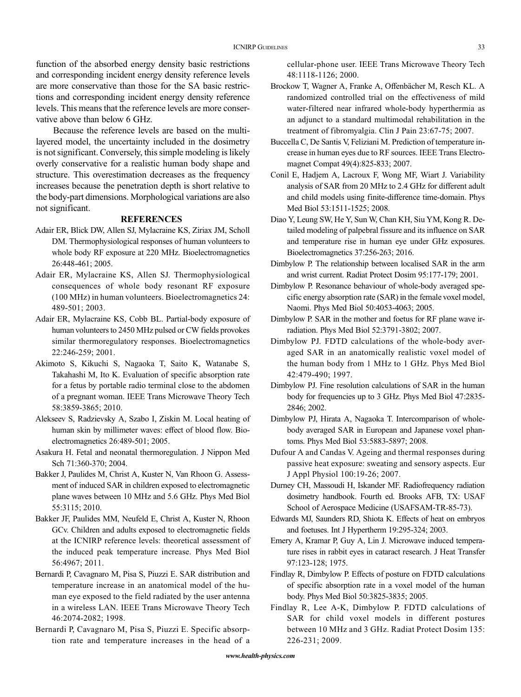function of the absorbed energy density basic restrictions and corresponding incident energy density reference levels are more conservative than those for the SA basic restrictions and corresponding incident energy density reference levels. This means that the reference levels are more conservative above than below 6 GHz.

Because the reference levels are based on the multilayered model, the uncertainty included in the dosimetry is not significant. Conversely, this simple modeling is likely overly conservative for a realistic human body shape and structure. This overestimation decreases as the frequency increases because the penetration depth is short relative to the body-part dimensions. Morphological variations are also not significant.

#### **REFERENCES**

- Adair ER, Blick DW, Allen SJ, Mylacraine KS, Ziriax JM, Scholl DM. Thermophysiological responses of human volunteers to whole body RF exposure at 220 MHz. Bioelectromagnetics 26:448-461; 2005.
- Adair ER, Mylacraine KS, Allen SJ. Thermophysiological consequences of whole body resonant RF exposure (100 MHz) in human volunteers. Bioelectromagnetics 24: 489-501; 2003.
- Adair ER, Mylacraine KS, Cobb BL. Partial-body exposure of human volunteers to 2450 MHz pulsed or CW fields provokes similar thermoregulatory responses. Bioelectromagnetics 22:246-259; 2001.
- Akimoto S, Kikuchi S, Nagaoka T, Saito K, Watanabe S, Takahashi M, Ito K. Evaluation of specific absorption rate for a fetus by portable radio terminal close to the abdomen of a pregnant woman. IEEE Trans Microwave Theory Tech 58:3859-3865; 2010.
- Alekseev S, Radzievsky A, Szabo I, Ziskin M. Local heating of human skin by millimeter waves: effect of blood flow. Bioelectromagnetics 26:489-501; 2005.
- Asakura H. Fetal and neonatal thermoregulation. J Nippon Med Sch 71:360-370; 2004.
- Bakker J, Paulides M, Christ A, Kuster N, Van Rhoon G. Assessment of induced SAR in children exposed to electromagnetic plane waves between 10 MHz and 5.6 GHz. Phys Med Biol 55:3115; 2010.
- Bakker JF, Paulides MM, Neufeld E, Christ A, Kuster N, Rhoon GCv. Children and adults exposed to electromagnetic fields at the ICNIRP reference levels: theoretical assessment of the induced peak temperature increase. Phys Med Biol 56:4967; 2011.
- Bernardi P, Cavagnaro M, Pisa S, Piuzzi E. SAR distribution and temperature increase in an anatomical model of the human eye exposed to the field radiated by the user antenna in a wireless LAN. IEEE Trans Microwave Theory Tech 46:2074-2082; 1998.
- Bernardi P, Cavagnaro M, Pisa S, Piuzzi E. Specific absorption rate and temperature increases in the head of a

cellular-phone user. IEEE Trans Microwave Theory Tech 48:1118-1126; 2000.

- Brockow T, Wagner A, Franke A, Offenbächer M, Resch KL. A randomized controlled trial on the effectiveness of mild water-filtered near infrared whole-body hyperthermia as an adjunct to a standard multimodal rehabilitation in the treatment of fibromyalgia. Clin J Pain 23:67-75; 2007.
- Buccella C, De Santis V, Feliziani M. Prediction of temperature increase in human eyes due to RF sources. IEEE Trans Electromagnet Compat 49(4):825-833; 2007.
- Conil E, Hadjem A, Lacroux F, Wong MF, Wiart J. Variability analysis of SAR from 20 MHz to 2.4 GHz for different adult and child models using finite-difference time-domain. Phys Med Biol 53:1511-1525; 2008.
- Diao Y, Leung SW, He Y, Sun W, Chan KH, Siu YM, Kong R. Detailed modeling of palpebral fissure and its influence on SAR and temperature rise in human eye under GHz exposures. Bioelectromagnetics 37:256-263; 2016.
- Dimbylow P. The relationship between localised SAR in the arm and wrist current. Radiat Protect Dosim 95:177-179; 2001.
- Dimbylow P. Resonance behaviour of whole-body averaged specific energy absorption rate (SAR) in the female voxel model, Naomi. Phys Med Biol 50:4053-4063; 2005.
- Dimbylow P. SAR in the mother and foetus for RF plane wave irradiation. Phys Med Biol 52:3791-3802; 2007.
- Dimbylow PJ. FDTD calculations of the whole-body averaged SAR in an anatomically realistic voxel model of the human body from 1 MHz to 1 GHz. Phys Med Biol 42:479-490; 1997.
- Dimbylow PJ. Fine resolution calculations of SAR in the human body for frequencies up to 3 GHz. Phys Med Biol 47:2835- 2846; 2002.
- Dimbylow PJ, Hirata A, Nagaoka T. Intercomparison of wholebody averaged SAR in European and Japanese voxel phantoms. Phys Med Biol 53:5883-5897; 2008.
- Dufour A and Candas V. Ageing and thermal responses during passive heat exposure: sweating and sensory aspects. Eur J Appl Physiol 100:19-26; 2007.
- Durney CH, Massoudi H, Iskander MF. Radiofrequency radiation dosimetry handbook. Fourth ed. Brooks AFB, TX: USAF School of Aerospace Medicine (USAFSAM-TR-85-73).
- Edwards MJ, Saunders RD, Shiota K. Effects of heat on embryos and foetuses. Int J Hypertherm 19:295-324; 2003.
- Emery A, Kramar P, Guy A, Lin J. Microwave induced temperature rises in rabbit eyes in cataract research. J Heat Transfer 97:123-128; 1975.
- Findlay R, Dimbylow P. Effects of posture on FDTD calculations of specific absorption rate in a voxel model of the human body. Phys Med Biol 50:3825-3835; 2005.
- Findlay R, Lee A-K, Dimbylow P. FDTD calculations of SAR for child voxel models in different postures between 10 MHz and 3 GHz. Radiat Protect Dosim 135: 226-231; 2009.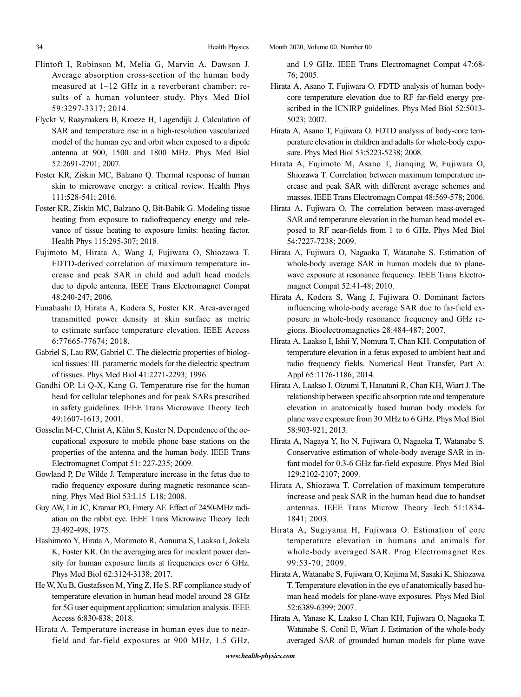34 Health Physics Month 2020, Volume 00, Number 00

- Flintoft I, Robinson M, Melia G, Marvin A, Dawson J. Average absorption cross-section of the human body measured at 1–12 GHz in a reverberant chamber: results of a human volunteer study. Phys Med Biol 59:3297-3317; 2014.
- Flyckt V, Raaymakers B, Kroeze H, Lagendijk J. Calculation of SAR and temperature rise in a high-resolution vascularized model of the human eye and orbit when exposed to a dipole antenna at 900, 1500 and 1800 MHz. Phys Med Biol 52:2691-2701; 2007.
- Foster KR, Ziskin MC, Balzano Q. Thermal response of human skin to microwave energy: a critical review. Health Phys 111:528-541; 2016.
- Foster KR, Ziskin MC, Balzano Q, Bit-Babik G. Modeling tissue heating from exposure to radiofrequency energy and relevance of tissue heating to exposure limits: heating factor. Health Phys 115:295-307; 2018.
- Fujimoto M, Hirata A, Wang J, Fujiwara O, Shiozawa T. FDTD-derived correlation of maximum temperature increase and peak SAR in child and adult head models due to dipole antenna. IEEE Trans Electromagnet Compat 48:240-247; 2006.
- Funahashi D, Hirata A, Kodera S, Foster KR. Area-averaged transmitted power density at skin surface as metric to estimate surface temperature elevation. IEEE Access 6:77665-77674; 2018.
- Gabriel S, Lau RW, Gabriel C. The dielectric properties of biological tissues: III. parametric models for the dielectric spectrum of tissues. Phys Med Biol 41:2271-2293; 1996.
- Gandhi OP, Li Q-X, Kang G. Temperature rise for the human head for cellular telephones and for peak SARs prescribed in safety guidelines. IEEE Trans Microwave Theory Tech 49:1607-1613; 2001.
- Gosselin M-C, Christ A, Kühn S, Kuster N. Dependence of the occupational exposure to mobile phone base stations on the properties of the antenna and the human body. IEEE Trans Electromagnet Compat 51: 227-235; 2009.
- Gowland P, De Wilde J. Temperature increase in the fetus due to radio frequency exposure during magnetic resonance scanning. Phys Med Biol 53:L15–L18; 2008.
- Guy AW, Lin JC, Kramar PO, Emery AF. Effect of 2450-MHz radiation on the rabbit eye. IEEE Trans Microwave Theory Tech 23:492-498; 1975.
- Hashimoto Y, Hirata A, Morimoto R, Aonuma S, Laakso I, Jokela K, Foster KR. On the averaging area for incident power density for human exposure limits at frequencies over 6 GHz. Phys Med Biol 62:3124-3138; 2017.
- He W, Xu B, Gustafsson M, Ying Z, He S. RF compliance study of temperature elevation in human head model around 28 GHz for 5G user equipment application: simulation analysis. IEEE Access 6:830-838; 2018.
- Hirata A. Temperature increase in human eyes due to nearfield and far-field exposures at 900 MHz, 1.5 GHz,

and 1.9 GHz. IEEE Trans Electromagnet Compat 47:68- 76; 2005.

- Hirata A, Asano T, Fujiwara O. FDTD analysis of human bodycore temperature elevation due to RF far-field energy prescribed in the ICNIRP guidelines. Phys Med Biol 52:5013- 5023; 2007.
- Hirata A, Asano T, Fujiwara O. FDTD analysis of body-core temperature elevation in children and adults for whole-body exposure. Phys Med Biol 53:5223-5238; 2008.
- Hirata A, Fujimoto M, Asano T, Jianqing W, Fujiwara O, Shiozawa T. Correlation between maximum temperature increase and peak SAR with different average schemes and masses. IEEE Trans Electromagn Compat 48:569-578; 2006.
- Hirata A, Fujiwara O. The correlation between mass-averaged SAR and temperature elevation in the human head model exposed to RF near-fields from 1 to 6 GHz. Phys Med Biol 54:7227-7238; 2009.
- Hirata A, Fujiwara O, Nagaoka T, Watanabe S. Estimation of whole-body average SAR in human models due to planewave exposure at resonance frequency. IEEE Trans Electromagnet Compat 52:41-48; 2010.
- Hirata A, Kodera S, Wang J, Fujiwara O. Dominant factors influencing whole-body average SAR due to far-field exposure in whole-body resonance frequency and GHz regions. Bioelectromagnetics 28:484-487; 2007.
- Hirata A, Laakso I, Ishii Y, Nomura T, Chan KH. Computation of temperature elevation in a fetus exposed to ambient heat and radio frequency fields. Numerical Heat Transfer, Part A: Appl 65:1176-1186; 2014.
- Hirata A, Laakso I, Oizumi T, Hanatani R, Chan KH, Wiart J. The relationship between specific absorption rate and temperature elevation in anatomically based human body models for plane wave exposure from 30 MHz to 6 GHz. Phys Med Biol 58:903-921; 2013.
- Hirata A, Nagaya Y, Ito N, Fujiwara O, Nagaoka T, Watanabe S. Conservative estimation of whole-body average SAR in infant model for 0.3-6 GHz far-field exposure. Phys Med Biol 129:2102-2107; 2009.
- Hirata A, Shiozawa T. Correlation of maximum temperature increase and peak SAR in the human head due to handset antennas. IEEE Trans Microw Theory Tech 51:1834- 1841; 2003.
- Hirata A, Sugiyama H, Fujiwara O. Estimation of core temperature elevation in humans and animals for whole-body averaged SAR. Prog Electromagnet Res 99:53-70; 2009.
- Hirata A, Watanabe S, Fujiwara O, Kojima M, Sasaki K, Shiozawa T. Temperature elevation in the eye of anatomically based human head models for plane-wave exposures. Phys Med Biol 52:6389-6399; 2007.
- Hirata A, Yanase K, Laakso I, Chan KH, Fujiwara O, Nagaoka T, Watanabe S, Conil E, Wiart J. Estimation of the whole-body averaged SAR of grounded human models for plane wave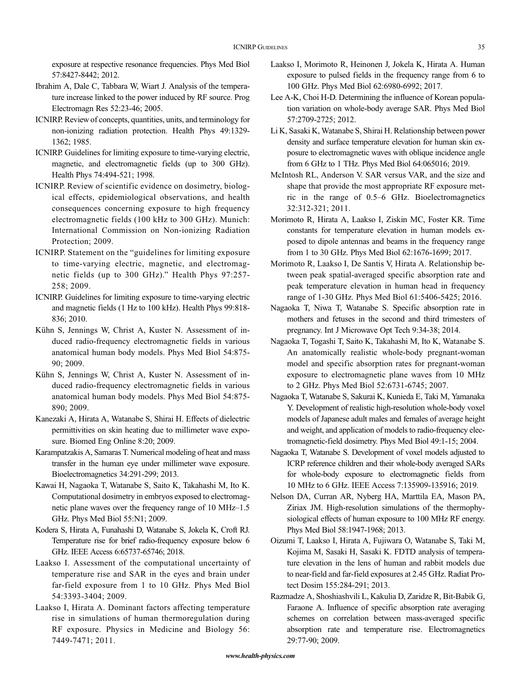exposure at respective resonance frequencies. Phys Med Biol 57:8427-8442; 2012.

- Ibrahim A, Dale C, Tabbara W, Wiart J. Analysis of the temperature increase linked to the power induced by RF source. Prog Electromagn Res 52:23-46; 2005.
- ICNIRP. Review of concepts, quantities, units, and terminology for non-ionizing radiation protection. Health Phys 49:1329- 1362; 1985.
- ICNIRP. Guidelines for limiting exposure to time-varying electric, magnetic, and electromagnetic fields (up to 300 GHz). Health Phys 74:494-521; 1998.
- ICNIRP. Review of scientific evidence on dosimetry, biological effects, epidemiological observations, and health consequences concerning exposure to high frequency electromagnetic fields (100 kHz to 300 GHz). Munich: International Commission on Non-ionizing Radiation Protection; 2009.
- ICNIRP. Statement on the "guidelines for limiting exposure to time-varying electric, magnetic, and electromagnetic fields (up to 300 GHz)." Health Phys 97:257- 258; 2009.
- ICNIRP. Guidelines for limiting exposure to time-varying electric and magnetic fields (1 Hz to 100 kHz). Health Phys 99:818- 836; 2010.
- Kühn S, Jennings W, Christ A, Kuster N. Assessment of induced radio-frequency electromagnetic fields in various anatomical human body models. Phys Med Biol 54:875- 90; 2009.
- Kühn S, Jennings W, Christ A, Kuster N. Assessment of induced radio-frequency electromagnetic fields in various anatomical human body models. Phys Med Biol 54:875- 890; 2009.
- Kanezaki A, Hirata A, Watanabe S, Shirai H. Effects of dielectric permittivities on skin heating due to millimeter wave exposure. Biomed Eng Online 8:20; 2009.
- Karampatzakis A, Samaras T. Numerical modeling of heat and mass transfer in the human eye under millimeter wave exposure. Bioelectromagnetics 34:291-299; 2013.
- Kawai H, Nagaoka T, Watanabe S, Saito K, Takahashi M, Ito K. Computational dosimetry in embryos exposed to electromagnetic plane waves over the frequency range of 10 MHz–1.5 GHz. Phys Med Biol 55:N1; 2009.
- Kodera S, Hirata A, Funahashi D, Watanabe S, Jokela K, Croft RJ. Temperature rise for brief radio-frequency exposure below 6 GHz. IEEE Access 6:65737-65746; 2018.
- Laakso I. Assessment of the computational uncertainty of temperature rise and SAR in the eyes and brain under far-field exposure from 1 to 10 GHz. Phys Med Biol 54:3393-3404; 2009.
- Laakso I, Hirata A. Dominant factors affecting temperature rise in simulations of human thermoregulation during RF exposure. Physics in Medicine and Biology 56: 7449-7471; 2011.
- Laakso I, Morimoto R, Heinonen J, Jokela K, Hirata A. Human exposure to pulsed fields in the frequency range from 6 to 100 GHz. Phys Med Biol 62:6980-6992; 2017.
- Lee A-K, Choi H-D. Determining the influence of Korean population variation on whole-body average SAR. Phys Med Biol 57:2709-2725; 2012.
- Li K, Sasaki K, Watanabe S, Shirai H. Relationship between power density and surface temperature elevation for human skin exposure to electromagnetic waves with oblique incidence angle from 6 GHz to 1 THz. Phys Med Biol 64:065016; 2019.
- McIntosh RL, Anderson V. SAR versus VAR, and the size and shape that provide the most appropriate RF exposure metric in the range of 0.5–6 GHz. Bioelectromagnetics 32:312-321; 2011.
- Morimoto R, Hirata A, Laakso I, Ziskin MC, Foster KR. Time constants for temperature elevation in human models exposed to dipole antennas and beams in the frequency range from 1 to 30 GHz. Phys Med Biol 62:1676-1699; 2017.
- Morimoto R, Laakso I, De Santis V, Hirata A. Relationship between peak spatial-averaged specific absorption rate and peak temperature elevation in human head in frequency range of 1-30 GHz. Phys Med Biol 61:5406-5425; 2016.
- Nagaoka T, Niwa T, Watanabe S. Specific absorption rate in mothers and fetuses in the second and third trimesters of pregnancy. Int J Microwave Opt Tech 9:34-38; 2014.
- Nagaoka T, Togashi T, Saito K, Takahashi M, Ito K, Watanabe S. An anatomically realistic whole-body pregnant-woman model and specific absorption rates for pregnant-woman exposure to electromagnetic plane waves from 10 MHz to 2 GHz. Phys Med Biol 52:6731-6745; 2007.
- Nagaoka T, Watanabe S, Sakurai K, Kunieda E, Taki M, Yamanaka Y. Development of realistic high-resolution whole-body voxel models of Japanese adult males and females of average height and weight, and application of models to radio-frequency electromagnetic-field dosimetry. Phys Med Biol 49:1-15; 2004.
- Nagaoka T, Watanabe S. Development of voxel models adjusted to ICRP reference children and their whole-body averaged SARs for whole-body exposure to electromagnetic fields from 10 MHz to 6 GHz. IEEE Access 7:135909-135916; 2019.
- Nelson DA, Curran AR, Nyberg HA, Marttila EA, Mason PA, Ziriax JM. High-resolution simulations of the thermophysiological effects of human exposure to 100 MHz RF energy. Phys Med Biol 58:1947-1968; 2013.
- Oizumi T, Laakso I, Hirata A, Fujiwara O, Watanabe S, Taki M, Kojima M, Sasaki H, Sasaki K. FDTD analysis of temperature elevation in the lens of human and rabbit models due to near-field and far-field exposures at 2.45 GHz. Radiat Protect Dosim 155:284-291; 2013.
- Razmadze A, Shoshiashvili L, Kakulia D, Zaridze R, Bit-Babik G, Faraone A. Influence of specific absorption rate averaging schemes on correlation between mass-averaged specific absorption rate and temperature rise. Electromagnetics 29:77-90; 2009.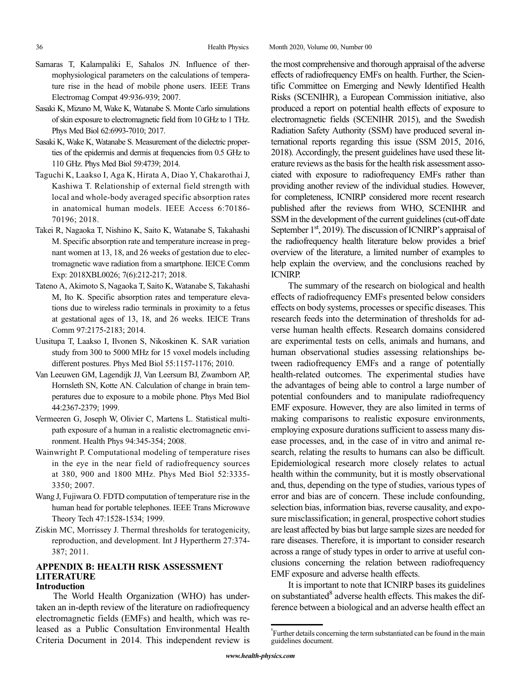- 36 Health Physics Month 2020, Volume 00, Number 00
- Samaras T, Kalampaliki E, Sahalos JN. Influence of thermophysiological parameters on the calculations of temperature rise in the head of mobile phone users. IEEE Trans Electromag Compat 49:936-939; 2007.
- Sasaki K, Mizuno M, Wake K, Watanabe S. Monte Carlo simulations of skin exposure to electromagnetic field from 10 GHz to 1 THz. Phys Med Biol 62:6993-7010; 2017.
- Sasaki K, Wake K, Watanabe S. Measurement of the dielectric properties of the epidermis and dermis at frequencies from 0.5 GHz to 110 GHz. Phys Med Biol 59:4739; 2014.
- Taguchi K, Laakso I, Aga K, Hirata A, Diao Y, Chakarothai J, Kashiwa T. Relationship of external field strength with local and whole-body averaged specific absorption rates in anatomical human models. IEEE Access 6:70186- 70196; 2018.
- Takei R, Nagaoka T, Nishino K, Saito K, Watanabe S, Takahashi M. Specific absorption rate and temperature increase in pregnant women at 13, 18, and 26 weeks of gestation due to electromagnetic wave radiation from a smartphone. IEICE Comm Exp: 2018XBL0026; 7(6):212-217; 2018.
- Tateno A, Akimoto S, Nagaoka T, Saito K, Watanabe S, Takahashi M, Ito K. Specific absorption rates and temperature elevations due to wireless radio terminals in proximity to a fetus at gestational ages of 13, 18, and 26 weeks. IEICE Trans Comm 97:2175-2183; 2014.
- Uusitupa T, Laakso I, Ilvonen S, Nikoskinen K. SAR variation study from 300 to 5000 MHz for 15 voxel models including different postures. Phys Med Biol 55:1157-1176; 2010.
- Van Leeuwen GM, Lagendijk JJ, Van Leersum BJ, Zwamborn AP, Hornsleth SN, Kotte AN. Calculation of change in brain temperatures due to exposure to a mobile phone. Phys Med Biol 44:2367-2379; 1999.
- Vermeeren G, Joseph W, Olivier C, Martens L. Statistical multipath exposure of a human in a realistic electromagnetic environment. Health Phys 94:345-354; 2008.
- Wainwright P. Computational modeling of temperature rises in the eye in the near field of radiofrequency sources at 380, 900 and 1800 MHz. Phys Med Biol 52:3335- 3350; 2007.
- Wang J, Fujiwara O. FDTD computation of temperature rise in the human head for portable telephones. IEEE Trans Microwave Theory Tech 47:1528-1534; 1999.
- Ziskin MC, Morrissey J. Thermal thresholds for teratogenicity, reproduction, and development. Int J Hypertherm 27:374- 387; 2011.

#### APPENDIX B: HEALTH RISK ASSESSMENT **LITERATURE** Introduction

The World Health Organization (WHO) has undertaken an in-depth review of the literature on radiofrequency electromagnetic fields (EMFs) and health, which was released as a Public Consultation Environmental Health Criteria Document in 2014. This independent review is the most comprehensive and thorough appraisal of the adverse effects of radiofrequency EMFs on health. Further, the Scientific Committee on Emerging and Newly Identified Health Risks (SCENIHR), a European Commission initiative, also produced a report on potential health effects of exposure to electromagnetic fields (SCENIHR 2015), and the Swedish Radiation Safety Authority (SSM) have produced several international reports regarding this issue (SSM 2015, 2016, 2018). Accordingly, the present guidelines have used these literature reviews as the basis for the health risk assessment associated with exposure to radiofrequency EMFs rather than providing another review of the individual studies. However, for completeness, ICNIRP considered more recent research published after the reviews from WHO, SCENIHR and SSM in the development of the current guidelines (cut-off date September  $1<sup>st</sup>$ , 2019). The discussion of ICNIRP's appraisal of the radiofrequency health literature below provides a brief overview of the literature, a limited number of examples to help explain the overview, and the conclusions reached by ICNIRP.

The summary of the research on biological and health effects of radiofrequency EMFs presented below considers effects on body systems, processes or specific diseases. This research feeds into the determination of thresholds for adverse human health effects. Research domains considered are experimental tests on cells, animals and humans, and human observational studies assessing relationships between radiofrequency EMFs and a range of potentially health-related outcomes. The experimental studies have the advantages of being able to control a large number of potential confounders and to manipulate radiofrequency EMF exposure. However, they are also limited in terms of making comparisons to realistic exposure environments, employing exposure durations sufficient to assess many disease processes, and, in the case of in vitro and animal research, relating the results to humans can also be difficult. Epidemiological research more closely relates to actual health within the community, but it is mostly observational and, thus, depending on the type of studies, various types of error and bias are of concern. These include confounding, selection bias, information bias, reverse causality, and exposure misclassification; in general, prospective cohort studies are least affected by bias but large sample sizes are needed for rare diseases. Therefore, it is important to consider research across a range of study types in order to arrive at useful conclusions concerning the relation between radiofrequency EMF exposure and adverse health effects.

It is important to note that ICNIRP bases its guidelines on substantiated<sup>8</sup> adverse health effects. This makes the difference between a biological and an adverse health effect an

<sup>8</sup> Further details concerning the term substantiated can be found in the main guidelines document.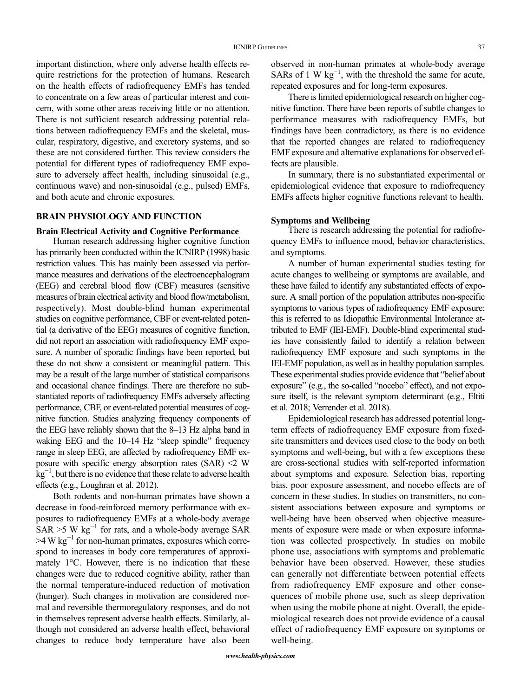important distinction, where only adverse health effects require restrictions for the protection of humans. Research on the health effects of radiofrequency EMFs has tended to concentrate on a few areas of particular interest and concern, with some other areas receiving little or no attention. There is not sufficient research addressing potential relations between radiofrequency EMFs and the skeletal, muscular, respiratory, digestive, and excretory systems, and so these are not considered further. This review considers the potential for different types of radiofrequency EMF exposure to adversely affect health, including sinusoidal (e.g., continuous wave) and non-sinusoidal (e.g., pulsed) EMFs, and both acute and chronic exposures.

#### BRAIN PHYSIOLOGY AND FUNCTION

#### Brain Electrical Activity and Cognitive Performance

Human research addressing higher cognitive function has primarily been conducted within the ICNIRP (1998) basic restriction values. This has mainly been assessed via performance measures and derivations of the electroencephalogram (EEG) and cerebral blood flow (CBF) measures (sensitive measures of brain electrical activity and blood flow/metabolism, respectively). Most double-blind human experimental studies on cognitive performance, CBF or event-related potential (a derivative of the EEG) measures of cognitive function, did not report an association with radiofrequency EMF exposure. A number of sporadic findings have been reported, but these do not show a consistent or meaningful pattern. This may be a result of the large number of statistical comparisons and occasional chance findings. There are therefore no substantiated reports of radiofrequency EMFs adversely affecting performance, CBF, or event-related potential measures of cognitive function. Studies analyzing frequency components of the EEG have reliably shown that the 8–13 Hz alpha band in waking EEG and the 10–14 Hz "sleep spindle" frequency range in sleep EEG, are affected by radiofrequency EMF exposure with specific energy absorption rates (SAR) <2 W kg<sup>-1</sup>, but there is no evidence that these relate to adverse health effects (e.g., Loughran et al. 2012).

Both rodents and non-human primates have shown a decrease in food-reinforced memory performance with exposures to radiofrequency EMFs at a whole-body average SAR >5 W  $kg^{-1}$  for rats, and a whole-body average SAR  $>4 W kg^{-1}$  for non-human primates, exposures which correspond to increases in body core temperatures of approximately 1°C. However, there is no indication that these changes were due to reduced cognitive ability, rather than the normal temperature-induced reduction of motivation (hunger). Such changes in motivation are considered normal and reversible thermoregulatory responses, and do not in themselves represent adverse health effects. Similarly, although not considered an adverse health effect, behavioral changes to reduce body temperature have also been observed in non-human primates at whole-body average SARs of 1 W  $kg^{-1}$ , with the threshold the same for acute, repeated exposures and for long-term exposures.

There is limited epidemiological research on higher cognitive function. There have been reports of subtle changes to performance measures with radiofrequency EMFs, but findings have been contradictory, as there is no evidence that the reported changes are related to radiofrequency EMF exposure and alternative explanations for observed effects are plausible.

In summary, there is no substantiated experimental or epidemiological evidence that exposure to radiofrequency EMFs affects higher cognitive functions relevant to health.

#### Symptoms and Wellbeing

There is research addressing the potential for radiofrequency EMFs to influence mood, behavior characteristics, and symptoms.

A number of human experimental studies testing for acute changes to wellbeing or symptoms are available, and these have failed to identify any substantiated effects of exposure. A small portion of the population attributes non-specific symptoms to various types of radiofrequency EMF exposure; this is referred to as Idiopathic Environmental Intolerance attributed to EMF (IEI-EMF). Double-blind experimental studies have consistently failed to identify a relation between radiofrequency EMF exposure and such symptoms in the IEI-EMF population, as well as in healthy population samples. These experimental studies provide evidence that "belief about exposure" (e.g., the so-called "nocebo" effect), and not exposure itself, is the relevant symptom determinant (e.g., Eltiti et al. 2018; Verrender et al. 2018).

Epidemiological research has addressed potential longterm effects of radiofrequency EMF exposure from fixedsite transmitters and devices used close to the body on both symptoms and well-being, but with a few exceptions these are cross-sectional studies with self-reported information about symptoms and exposure. Selection bias, reporting bias, poor exposure assessment, and nocebo effects are of concern in these studies. In studies on transmitters, no consistent associations between exposure and symptoms or well-being have been observed when objective measurements of exposure were made or when exposure information was collected prospectively. In studies on mobile phone use, associations with symptoms and problematic behavior have been observed. However, these studies can generally not differentiate between potential effects from radiofrequency EMF exposure and other consequences of mobile phone use, such as sleep deprivation when using the mobile phone at night. Overall, the epidemiological research does not provide evidence of a causal effect of radiofrequency EMF exposure on symptoms or well-being.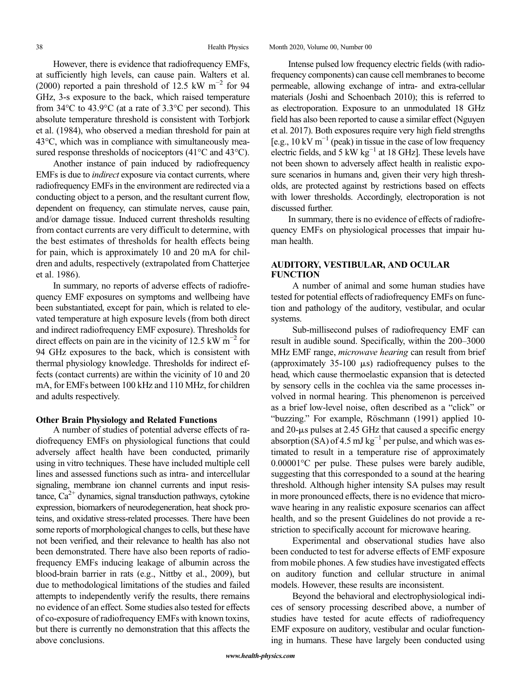However, there is evidence that radiofrequency EMFs, at sufficiently high levels, can cause pain. Walters et al. (2000) reported a pain threshold of 12.5 kW m<sup>-2</sup> for 94 GHz, 3-s exposure to the back, which raised temperature from 34°C to 43.9°C (at a rate of 3.3°C per second). This absolute temperature threshold is consistent with Torbjork et al. (1984), who observed a median threshold for pain at 43°C, which was in compliance with simultaneously measured response thresholds of nociceptors (41<sup>o</sup>C and 43<sup>o</sup>C).

Another instance of pain induced by radiofrequency EMFs is due to indirect exposure via contact currents, where radiofrequency EMFs in the environment are redirected via a conducting object to a person, and the resultant current flow, dependent on frequency, can stimulate nerves, cause pain, and/or damage tissue. Induced current thresholds resulting from contact currents are very difficult to determine, with the best estimates of thresholds for health effects being for pain, which is approximately 10 and 20 mA for children and adults, respectively (extrapolated from Chatterjee et al. 1986).

In summary, no reports of adverse effects of radiofrequency EMF exposures on symptoms and wellbeing have been substantiated, except for pain, which is related to elevated temperature at high exposure levels (from both direct and indirect radiofrequency EMF exposure). Thresholds for direct effects on pain are in the vicinity of 12.5 kW m<sup>-2</sup> for 94 GHz exposures to the back, which is consistent with thermal physiology knowledge. Thresholds for indirect effects (contact currents) are within the vicinity of 10 and 20 mA, for EMFs between 100 kHz and 110 MHz, for children and adults respectively.

#### Other Brain Physiology and Related Functions

A number of studies of potential adverse effects of radiofrequency EMFs on physiological functions that could adversely affect health have been conducted, primarily using in vitro techniques. These have included multiple cell lines and assessed functions such as intra- and intercellular signaling, membrane ion channel currents and input resistance,  $Ca^{2+}$  dynamics, signal transduction pathways, cytokine expression, biomarkers of neurodegeneration, heat shock proteins, and oxidative stress-related processes. There have been some reports of morphological changes to cells, but these have not been verified, and their relevance to health has also not been demonstrated. There have also been reports of radiofrequency EMFs inducing leakage of albumin across the blood-brain barrier in rats (e.g., Nittby et al., 2009), but due to methodological limitations of the studies and failed attempts to independently verify the results, there remains no evidence of an effect. Some studies also tested for effects of co-exposure of radiofrequency EMFs with known toxins, but there is currently no demonstration that this affects the above conclusions.

Intense pulsed low frequency electric fields (with radiofrequency components) can cause cell membranes to become permeable, allowing exchange of intra- and extra-cellular materials (Joshi and Schoenbach 2010); this is referred to as electroporation. Exposure to an unmodulated 18 GHz field has also been reported to cause a similar effect (Nguyen et al. 2017). Both exposures require very high field strengths [e.g.,  $10 \text{ kV m}^{-1}$  (peak) in tissue in the case of low frequency electric fields, and 5 kW kg−<sup>1</sup> at 18 GHz]. These levels have not been shown to adversely affect health in realistic exposure scenarios in humans and, given their very high thresholds, are protected against by restrictions based on effects with lower thresholds. Accordingly, electroporation is not discussed further.

In summary, there is no evidence of effects of radiofrequency EMFs on physiological processes that impair human health.

#### AUDITORY, VESTIBULAR, AND OCULAR **FUNCTION**

A number of animal and some human studies have tested for potential effects of radiofrequency EMFs on function and pathology of the auditory, vestibular, and ocular systems.

Sub-millisecond pulses of radiofrequency EMF can result in audible sound. Specifically, within the 200–3000 MHz EMF range, microwave hearing can result from brief (approximately  $35-100 \mu s$ ) radiofrequency pulses to the head, which cause thermoelastic expansion that is detected by sensory cells in the cochlea via the same processes involved in normal hearing. This phenomenon is perceived as a brief low-level noise, often described as a "click" or "buzzing." For example, Röschmann (1991) applied 10 and  $20$ - $\mu$ s pulses at 2.45 GHz that caused a specific energy absorption (SA) of 4.5 mJ kg<sup> $-1$ </sup> per pulse, and which was estimated to result in a temperature rise of approximately 0.00001°C per pulse. These pulses were barely audible, suggesting that this corresponded to a sound at the hearing threshold. Although higher intensity SA pulses may result in more pronounced effects, there is no evidence that microwave hearing in any realistic exposure scenarios can affect health, and so the present Guidelines do not provide a restriction to specifically account for microwave hearing.

Experimental and observational studies have also been conducted to test for adverse effects of EMF exposure from mobile phones. A few studies have investigated effects on auditory function and cellular structure in animal models. However, these results are inconsistent.

Beyond the behavioral and electrophysiological indices of sensory processing described above, a number of studies have tested for acute effects of radiofrequency EMF exposure on auditory, vestibular and ocular functioning in humans. These have largely been conducted using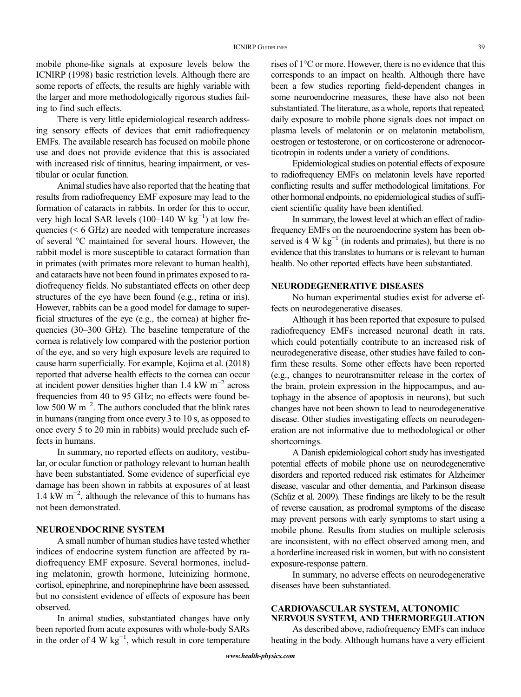mobile phone-like signals at exposure levels below the ICNIRP (1998) basic restriction levels. Although there are some reports of effects, the results are highly variable with the larger and more methodologically rigorous studies failing to find such effects.

There is very little epidemiological research addressing sensory effects of devices that emit radiofrequency EMFs. The available research has focused on mobile phone use and does not provide evidence that this is associated with increased risk of tinnitus, hearing impairment, or vestibular or ocular function.

Animal studies have also reported that the heating that results from radiofrequency EMF exposure may lead to the formation of cataracts in rabbits. In order for this to occur, very high local SAR levels  $(100-140 \text{ W kg}^{-1})$  at low frequencies (< 6 GHz) are needed with temperature increases of several °C maintained for several hours. However, the rabbit model is more susceptible to cataract formation than in primates (with primates more relevant to human health), and cataracts have not been found in primates exposed to radiofrequency fields. No substantiated effects on other deep structures of the eye have been found (e.g., retina or iris). However, rabbits can be a good model for damage to superficial structures of the eye (e.g., the cornea) at higher frequencies (30–300 GHz). The baseline temperature of the cornea is relatively low compared with the posterior portion of the eye, and so very high exposure levels are required to cause harm superficially. For example, Kojima et al. (2018) reported that adverse health effects to the cornea can occur at incident power densities higher than 1.4 kW  $m^{-2}$  across frequencies from 40 to 95 GHz; no effects were found below 500 W m−<sup>2</sup> . The authors concluded that the blink rates in humans (ranging from once every 3 to 10 s, as opposed to once every 5 to 20 min in rabbits) would preclude such effects in humans.

In summary, no reported effects on auditory, vestibular, or ocular function or pathology relevant to human health have been substantiated. Some evidence of superficial eye damage has been shown in rabbits at exposures of at least 1.4 kW m−<sup>2</sup> , although the relevance of this to humans has not been demonstrated.

#### NEUROENDOCRINE SYSTEM

A small number of human studies have tested whether indices of endocrine system function are affected by radiofrequency EMF exposure. Several hormones, including melatonin, growth hormone, luteinizing hormone, cortisol, epinephrine, and norepinephrine have been assessed, but no consistent evidence of effects of exposure has been observed.

In animal studies, substantiated changes have only been reported from acute exposures with whole-body SARs in the order of 4 W  $kg^{-1}$ , which result in core temperature

rises of 1°C or more. However, there is no evidence that this corresponds to an impact on health. Although there have been a few studies reporting field-dependent changes in some neuroendocrine measures, these have also not been substantiated. The literature, as a whole, reports that repeated, daily exposure to mobile phone signals does not impact on plasma levels of melatonin or on melatonin metabolism, oestrogen or testosterone, or on corticosterone or adrenocorticotropin in rodents under a variety of conditions.

Epidemiological studies on potential effects of exposure to radiofrequency EMFs on melatonin levels have reported conflicting results and suffer methodological limitations. For other hormonal endpoints, no epidemiological studies of sufficient scientific quality have been identified.

In summary, the lowest level at which an effect of radiofrequency EMFs on the neuroendocrine system has been observed is 4 W  $kg^{-1}$  (in rodents and primates), but there is no evidence that this translates to humans or is relevant to human health. No other reported effects have been substantiated.

#### NEURODEGENERATIVE DISEASES

No human experimental studies exist for adverse effects on neurodegenerative diseases.

Although it has been reported that exposure to pulsed radiofrequency EMFs increased neuronal death in rats, which could potentially contribute to an increased risk of neurodegenerative disease, other studies have failed to confirm these results. Some other effects have been reported (e.g., changes to neurotransmitter release in the cortex of the brain, protein expression in the hippocampus, and autophagy in the absence of apoptosis in neurons), but such changes have not been shown to lead to neurodegenerative disease. Other studies investigating effects on neurodegeneration are not informative due to methodological or other shortcomings.

A Danish epidemiological cohort study has investigated potential effects of mobile phone use on neurodegenerative disorders and reported reduced risk estimates for Alzheimer disease, vascular and other dementia, and Parkinson disease (Schüz et al. 2009). These findings are likely to be the result of reverse causation, as prodromal symptoms of the disease may prevent persons with early symptoms to start using a mobile phone. Results from studies on multiple sclerosis are inconsistent, with no effect observed among men, and a borderline increased risk in women, but with no consistent exposure-response pattern.

In summary, no adverse effects on neurodegenerative diseases have been substantiated.

#### CARDIOVASCULAR SYSTEM, AUTONOMIC NERVOUS SYSTEM, AND THERMOREGULATION

As described above, radiofrequency EMFs can induce heating in the body. Although humans have a very efficient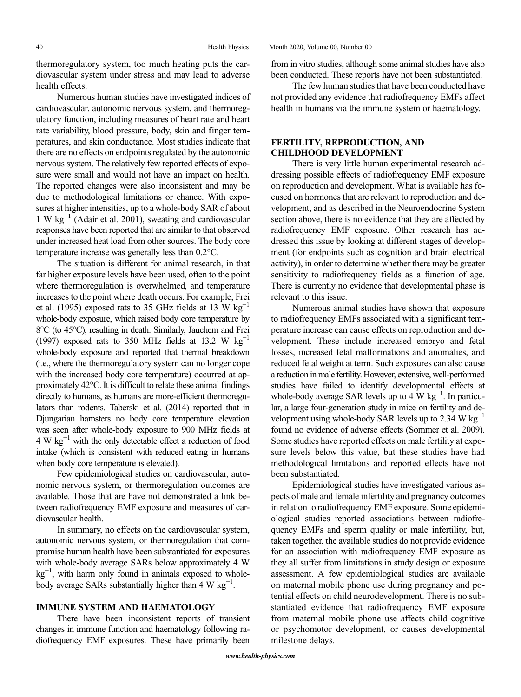thermoregulatory system, too much heating puts the cardiovascular system under stress and may lead to adverse health effects.

Numerous human studies have investigated indices of cardiovascular, autonomic nervous system, and thermoregulatory function, including measures of heart rate and heart rate variability, blood pressure, body, skin and finger temperatures, and skin conductance. Most studies indicate that there are no effects on endpoints regulated by the autonomic nervous system. The relatively few reported effects of exposure were small and would not have an impact on health. The reported changes were also inconsistent and may be due to methodological limitations or chance. With exposures at higher intensities, up to a whole-body SAR of about 1 W kg−<sup>1</sup> (Adair et al. 2001), sweating and cardiovascular responses have been reported that are similar to that observed under increased heat load from other sources. The body core temperature increase was generally less than 0.2°C.

The situation is different for animal research, in that far higher exposure levels have been used, often to the point where thermoregulation is overwhelmed, and temperature increases to the point where death occurs. For example, Frei et al. (1995) exposed rats to 35 GHz fields at 13 W  $kg^{-1}$ whole-body exposure, which raised body core temperature by 8°C (to 45°C), resulting in death. Similarly, Jauchem and Frei (1997) exposed rats to 350 MHz fields at 13.2 W  $kg^{-1}$ whole-body exposure and reported that thermal breakdown (i.e., where the thermoregulatory system can no longer cope with the increased body core temperature) occurred at approximately 42°C. It is difficult to relate these animal findings directly to humans, as humans are more-efficient thermoregulators than rodents. Taberski et al. (2014) reported that in Djungarian hamsters no body core temperature elevation was seen after whole-body exposure to 900 MHz fields at  $4 W kg^{-1}$  with the only detectable effect a reduction of food intake (which is consistent with reduced eating in humans when body core temperature is elevated).

Few epidemiological studies on cardiovascular, autonomic nervous system, or thermoregulation outcomes are available. Those that are have not demonstrated a link between radiofrequency EMF exposure and measures of cardiovascular health.

In summary, no effects on the cardiovascular system, autonomic nervous system, or thermoregulation that compromise human health have been substantiated for exposures with whole-body average SARs below approximately 4 W kg<sup>-1</sup>, with harm only found in animals exposed to wholebody average SARs substantially higher than 4 W kg−<sup>1</sup> .

#### IMMUNE SYSTEM AND HAEMATOLOGY

There have been inconsistent reports of transient changes in immune function and haematology following radiofrequency EMF exposures. These have primarily been

from in vitro studies, although some animal studies have also been conducted. These reports have not been substantiated.

The few human studies that have been conducted have not provided any evidence that radiofrequency EMFs affect health in humans via the immune system or haematology.

#### FERTILITY, REPRODUCTION, AND CHILDHOOD DEVELOPMENT

There is very little human experimental research addressing possible effects of radiofrequency EMF exposure on reproduction and development. What is available has focused on hormones that are relevant to reproduction and development, and as described in the Neuroendocrine System section above, there is no evidence that they are affected by radiofrequency EMF exposure. Other research has addressed this issue by looking at different stages of development (for endpoints such as cognition and brain electrical activity), in order to determine whether there may be greater sensitivity to radiofrequency fields as a function of age. There is currently no evidence that developmental phase is relevant to this issue.

Numerous animal studies have shown that exposure to radiofrequency EMFs associated with a significant temperature increase can cause effects on reproduction and development. These include increased embryo and fetal losses, increased fetal malformations and anomalies, and reduced fetal weight at term. Such exposures can also cause a reduction in male fertility. However, extensive, well-performed studies have failed to identify developmental effects at whole-body average SAR levels up to  $4 \text{ W kg}^{-1}$ . In particular, a large four-generation study in mice on fertility and development using whole-body SAR levels up to 2.34 W kg<sup>-1</sup> found no evidence of adverse effects (Sommer et al. 2009). Some studies have reported effects on male fertility at exposure levels below this value, but these studies have had methodological limitations and reported effects have not been substantiated.

Epidemiological studies have investigated various aspects of male and female infertility and pregnancy outcomes in relation to radiofrequency EMF exposure. Some epidemiological studies reported associations between radiofrequency EMFs and sperm quality or male infertility, but, taken together, the available studies do not provide evidence for an association with radiofrequency EMF exposure as they all suffer from limitations in study design or exposure assessment. A few epidemiological studies are available on maternal mobile phone use during pregnancy and potential effects on child neurodevelopment. There is no substantiated evidence that radiofrequency EMF exposure from maternal mobile phone use affects child cognitive or psychomotor development, or causes developmental milestone delays.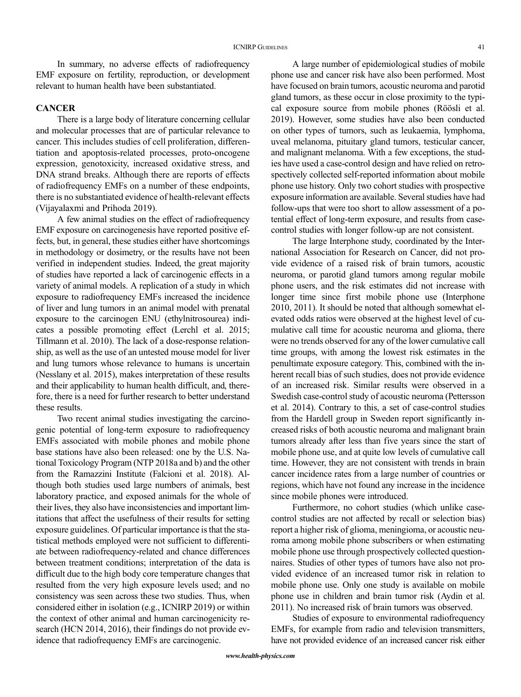In summary, no adverse effects of radiofrequency EMF exposure on fertility, reproduction, or development relevant to human health have been substantiated.

#### **CANCER**

There is a large body of literature concerning cellular and molecular processes that are of particular relevance to cancer. This includes studies of cell proliferation, differentiation and apoptosis-related processes, proto-oncogene expression, genotoxicity, increased oxidative stress, and DNA strand breaks. Although there are reports of effects of radiofrequency EMFs on a number of these endpoints, there is no substantiated evidence of health-relevant effects (Vijayalaxmi and Prihoda 2019).

A few animal studies on the effect of radiofrequency EMF exposure on carcinogenesis have reported positive effects, but, in general, these studies either have shortcomings in methodology or dosimetry, or the results have not been verified in independent studies. Indeed, the great majority of studies have reported a lack of carcinogenic effects in a variety of animal models. A replication of a study in which exposure to radiofrequency EMFs increased the incidence of liver and lung tumors in an animal model with prenatal exposure to the carcinogen ENU (ethylnitrosourea) indicates a possible promoting effect (Lerchl et al. 2015; Tillmann et al. 2010). The lack of a dose-response relationship, as well as the use of an untested mouse model for liver and lung tumors whose relevance to humans is uncertain (Nesslany et al. 2015), makes interpretation of these results and their applicability to human health difficult, and, therefore, there is a need for further research to better understand these results.

Two recent animal studies investigating the carcinogenic potential of long-term exposure to radiofrequency EMFs associated with mobile phones and mobile phone base stations have also been released: one by the U.S. National Toxicology Program (NTP 2018a and b) and the other from the Ramazzini Institute (Falcioni et al. 2018). Although both studies used large numbers of animals, best laboratory practice, and exposed animals for the whole of their lives, they also have inconsistencies and important limitations that affect the usefulness of their results for setting exposure guidelines. Of particular importance is that the statistical methods employed were not sufficient to differentiate between radiofrequency-related and chance differences between treatment conditions; interpretation of the data is difficult due to the high body core temperature changes that resulted from the very high exposure levels used; and no consistency was seen across these two studies. Thus, when considered either in isolation (e.g., ICNIRP 2019) or within the context of other animal and human carcinogenicity research (HCN 2014, 2016), their findings do not provide evidence that radiofrequency EMFs are carcinogenic.

A large number of epidemiological studies of mobile phone use and cancer risk have also been performed. Most have focused on brain tumors, acoustic neuroma and parotid gland tumors, as these occur in close proximity to the typical exposure source from mobile phones (Röösli et al. 2019). However, some studies have also been conducted on other types of tumors, such as leukaemia, lymphoma, uveal melanoma, pituitary gland tumors, testicular cancer, and malignant melanoma. With a few exceptions, the studies have used a case-control design and have relied on retrospectively collected self-reported information about mobile phone use history. Only two cohort studies with prospective exposure information are available. Several studies have had follow-ups that were too short to allow assessment of a potential effect of long-term exposure, and results from casecontrol studies with longer follow-up are not consistent.

The large Interphone study, coordinated by the International Association for Research on Cancer, did not provide evidence of a raised risk of brain tumors, acoustic neuroma, or parotid gland tumors among regular mobile phone users, and the risk estimates did not increase with longer time since first mobile phone use (Interphone 2010, 2011). It should be noted that although somewhat elevated odds ratios were observed at the highest level of cumulative call time for acoustic neuroma and glioma, there were no trends observed for any of the lower cumulative call time groups, with among the lowest risk estimates in the penultimate exposure category. This, combined with the inherent recall bias of such studies, does not provide evidence of an increased risk. Similar results were observed in a Swedish case-control study of acoustic neuroma (Pettersson et al. 2014). Contrary to this, a set of case-control studies from the Hardell group in Sweden report significantly increased risks of both acoustic neuroma and malignant brain tumors already after less than five years since the start of mobile phone use, and at quite low levels of cumulative call time. However, they are not consistent with trends in brain cancer incidence rates from a large number of countries or regions, which have not found any increase in the incidence since mobile phones were introduced.

Furthermore, no cohort studies (which unlike casecontrol studies are not affected by recall or selection bias) report a higher risk of glioma, meningioma, or acoustic neuroma among mobile phone subscribers or when estimating mobile phone use through prospectively collected questionnaires. Studies of other types of tumors have also not provided evidence of an increased tumor risk in relation to mobile phone use. Only one study is available on mobile phone use in children and brain tumor risk (Aydin et al. 2011). No increased risk of brain tumors was observed.

Studies of exposure to environmental radiofrequency EMFs, for example from radio and television transmitters, have not provided evidence of an increased cancer risk either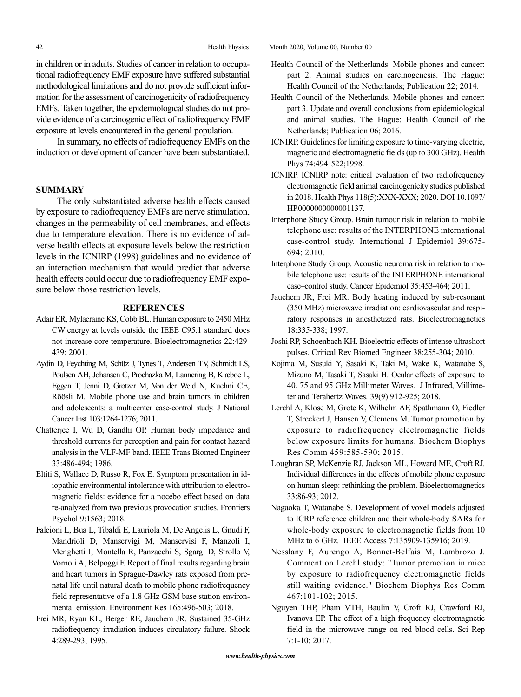in children or in adults. Studies of cancer in relation to occupational radiofrequency EMF exposure have suffered substantial methodological limitations and do not provide sufficient information for the assessment of carcinogenicity of radiofrequency EMFs. Taken together, the epidemiological studies do not provide evidence of a carcinogenic effect of radiofrequency EMF exposure at levels encountered in the general population.

In summary, no effects of radiofrequency EMFs on the induction or development of cancer have been substantiated.

#### **SUMMARY**

The only substantiated adverse health effects caused by exposure to radiofrequency EMFs are nerve stimulation, changes in the permeability of cell membranes, and effects due to temperature elevation. There is no evidence of adverse health effects at exposure levels below the restriction levels in the ICNIRP (1998) guidelines and no evidence of an interaction mechanism that would predict that adverse health effects could occur due to radiofrequency EMF exposure below those restriction levels.

#### **REFERENCES**

- Adair ER, Mylacraine KS, Cobb BL. Human exposure to 2450 MHz CW energy at levels outside the IEEE C95.1 standard does not increase core temperature. Bioelectromagnetics 22:429- 439; 2001.
- Aydin D, Feychting M, Schüz J, Tynes T, Andersen TV, Schmidt LS, Poulsen AH, Johansen C, Prochazka M, Lannering B, Klæboe L, Eggen T, Jenni D, Grotzer M, Von der Weid N, Kuehni CE, Röösli M. Mobile phone use and brain tumors in children and adolescents: a multicenter case-control study. J National Cancer Inst 103:1264-1276; 2011.
- Chatterjee I, Wu D, Gandhi OP. Human body impedance and threshold currents for perception and pain for contact hazard analysis in the VLF-MF band. IEEE Trans Biomed Engineer 33:486-494; 1986.
- Eltiti S, Wallace D, Russo R, Fox E. Symptom presentation in idiopathic environmental intolerance with attribution to electromagnetic fields: evidence for a nocebo effect based on data re-analyzed from two previous provocation studies. Frontiers Psychol 9:1563; 2018.
- Falcioni L, Bua L, Tibaldi E, Lauriola M, De Angelis L, Gnudi F, Mandrioli D, Manservigi M, Manservisi F, Manzoli I, Menghetti I, Montella R, Panzacchi S, Sgargi D, Strollo V, Vornoli A, Belpoggi F. Report of final results regarding brain and heart tumors in Sprague-Dawley rats exposed from prenatal life until natural death to mobile phone radiofrequency field representative of a 1.8 GHz GSM base station environmental emission. Environment Res 165:496-503; 2018.
- Frei MR, Ryan KL, Berger RE, Jauchem JR. Sustained 35-GHz radiofrequency irradiation induces circulatory failure. Shock 4:289-293; 1995.
- Health Council of the Netherlands. Mobile phones and cancer: part 2. Animal studies on carcinogenesis. The Hague: Health Council of the Netherlands; Publication 22; 2014.
- Health Council of the Netherlands. Mobile phones and cancer: part 3. Update and overall conclusions from epidemiological and animal studies. The Hague: Health Council of the Netherlands; Publication 06; 2016.
- ICNIRP. Guidelines for limiting exposure to time‐varying electric, magnetic and electromagnetic fields (up to 300 GHz). Health Phys 74:494‐522;1998.
- ICNIRP. ICNIRP note: critical evaluation of two radiofrequency electromagnetic field animal carcinogenicity studies published in 2018. Health Phys 118(5):XXX-XXX; 2020. DOI 10.1097/ HP.0000000000001137.
- Interphone Study Group. Brain tumour risk in relation to mobile telephone use: results of the INTERPHONE international case-control study. International J Epidemiol 39:675- 694; 2010.
- Interphone Study Group. Acoustic neuroma risk in relation to mobile telephone use: results of the INTERPHONE international case–control study. Cancer Epidemiol 35:453-464; 2011.
- Jauchem JR, Frei MR. Body heating induced by sub-resonant (350 MHz) microwave irradiation: cardiovascular and respiratory responses in anesthetized rats. Bioelectromagnetics 18:335-338; 1997.
- Joshi RP, Schoenbach KH. Bioelectric effects of intense ultrashort pulses. Critical Rev Biomed Engineer 38:255-304; 2010.
- Kojima M, Susuki Y, Sasaki K, Taki M, Wake K, Watanabe S, Mizuno M, Tasaki T, Sasaki H. Ocular effects of exposure to 40, 75 and 95 GHz Millimeter Waves. J Infrared, Millimeter and Terahertz Waves. 39(9):912-925; 2018.
- Lerchl A, Klose M, Grote K, Wilhelm AF, Spathmann O, Fiedler T, Streckert J, Hansen V, Clemens M. Tumor promotion by exposure to radiofrequency electromagnetic fields below exposure limits for humans. Biochem Biophys Res Comm 459:585-590; 2015.
- Loughran SP, McKenzie RJ, Jackson ML, Howard ME, Croft RJ. Individual differences in the effects of mobile phone exposure on human sleep: rethinking the problem. Bioelectromagnetics 33:86-93; 2012.
- Nagaoka T, Watanabe S. Development of voxel models adjusted to ICRP reference children and their whole-body SARs for whole-body exposure to electromagnetic fields from 10 MHz to 6 GHz. IEEE Access 7:135909-135916; 2019.
- Nesslany F, Aurengo A, Bonnet-Belfais M, Lambrozo J. Comment on Lerchl study: "Tumor promotion in mice by exposure to radiofrequency electromagnetic fields still waiting evidence." Biochem Biophys Res Comm 467:101-102; 2015.
- Nguyen THP, Pham VTH, Baulin V, Croft RJ, Crawford RJ, Ivanova EP. The effect of a high frequency electromagnetic field in the microwave range on red blood cells. Sci Rep 7:1-10; 2017.